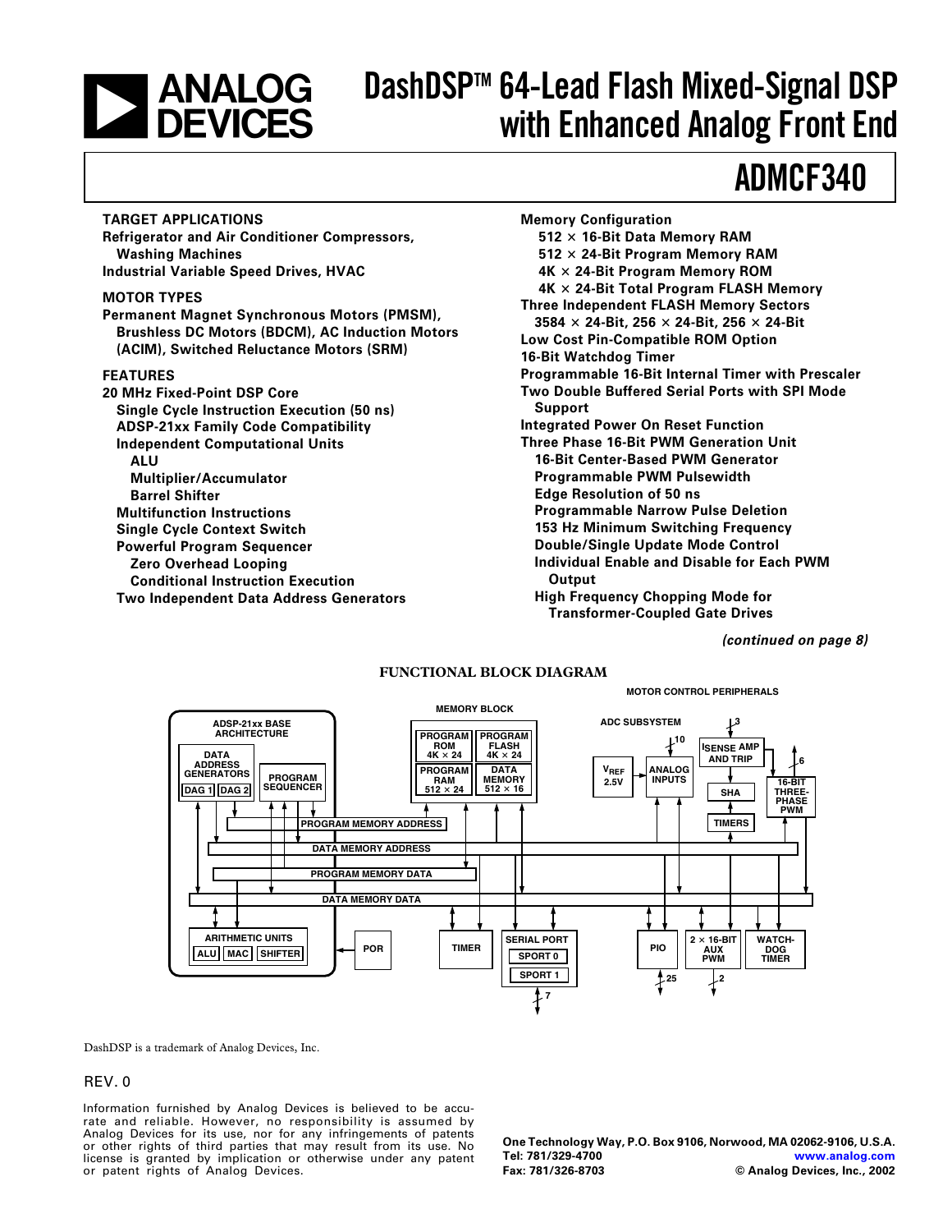# **EXAMALOG<br>DEVICES**

# **DashDSPTM 64-Lead Flash Mixed-Signal DSP with Enhanced Analog Front End**

# **ADMCF340**

#### **TARGET APPLICATIONS**

**Refrigerator and Air Conditioner Compressors, Washing Machines Industrial Variable Speed Drives, HVAC**

#### **MOTOR TYPES**

**Permanent Magnet Synchronous Motors (PMSM), Brushless DC Motors (BDCM), AC Induction Motors (ACIM), Switched Reluctance Motors (SRM)**

#### **FEATURES**

**20 MHz Fixed-Point DSP Core Single Cycle Instruction Execution (50 ns) ADSP-21xx Family Code Compatibility Independent Computational Units ALU Multiplier/Accumulator Barrel Shifter Multifunction Instructions Single Cycle Context Switch Powerful Program Sequencer Zero Overhead Looping Conditional Instruction Execution Two Independent Data Address Generators** **Memory Configuration 512 16-Bit Data Memory RAM 512 24-Bit Program Memory RAM 4K 24-Bit Program Memory ROM 4K 24-Bit Total Program FLASH Memory Three Independent FLASH Memory Sectors 3584 24-Bit, 256 24-Bit, 256 24-Bit Low Cost Pin-Compatible ROM Option 16-Bit Watchdog Timer Programmable 16-Bit Internal Timer with Prescaler Two Double Buffered Serial Ports with SPI Mode Support Integrated Power On Reset Function Three Phase 16-Bit PWM Generation Unit 16-Bit Center-Based PWM Generator Programmable PWM Pulsewidth Edge Resolution of 50 ns Programmable Narrow Pulse Deletion 153 Hz Minimum Switching Frequency Double/Single Update Mode Control Individual Enable and Disable for Each PWM Output High Frequency Chopping Mode for Transformer-Coupled Gate Drives**

**MOTOR CONTROL PERIPHERALS**

**(continued on page 8)**

#### **FUNCTIONAL BLOCK DIAGRAM**

#### **VREF 2.5V MEMORY BLOCK PROGRAM ROM**  $4K \times 24$ **PROGRAM FLASH 4K 24 PROGRAM RAM 512 24 DATA MEMORY 512 16 ANALOG**  $I$ **INPUTS**  $I$   $\longrightarrow$   $I$ <sub>16-BIT</sub> **THREE-PHASE PWM TIMER SERIAL PORT SPORT 0**  $PIO$   $\begin{array}{|c} 2 \times 16 - BIT \\ AUX \end{array}$ **AUX PWM WATCH-DOG TIMER ADSP-21xx BASE ARCHITECTURE DATA ADDRESS GENERATORS DAG 1 DAG 2 PROGRAM SEQUENCER ARITHMETIC UNITS ALU MAC SHIFTER PROGRAM MEMORY ADDRESS DATA MEMORY ADDRESS PROGRAM MEMORY DATA DATA MEMORY DATA SPORT 1 ADC SUBSYSTEM SHA 3 10 TIMERS 6 POR ISENSE AMP AND TRIP**  $\frac{1}{2^{25}}$   $\frac{1}{2}$ **7**

DashDSP is a trademark of Analog Devices, Inc.

#### REV. 0

Information furnished by Analog Devices is believed to be accurate and reliable. However, no responsibility is assumed by Analog Devices for its use, nor for any infringements of patents or other rights of third parties that may result from its use. No license is granted by implication or otherwise under any patent or patent rights of Analog Devices.

**One Technology Way, P.O. Box 9106, Norwood, MA 02062-9106, U.S.A. Tel: 781/329-4700 [www.analog.com](http://www.analog.com) Fax: 781/326-8703 © Analog Devices, Inc., 2002**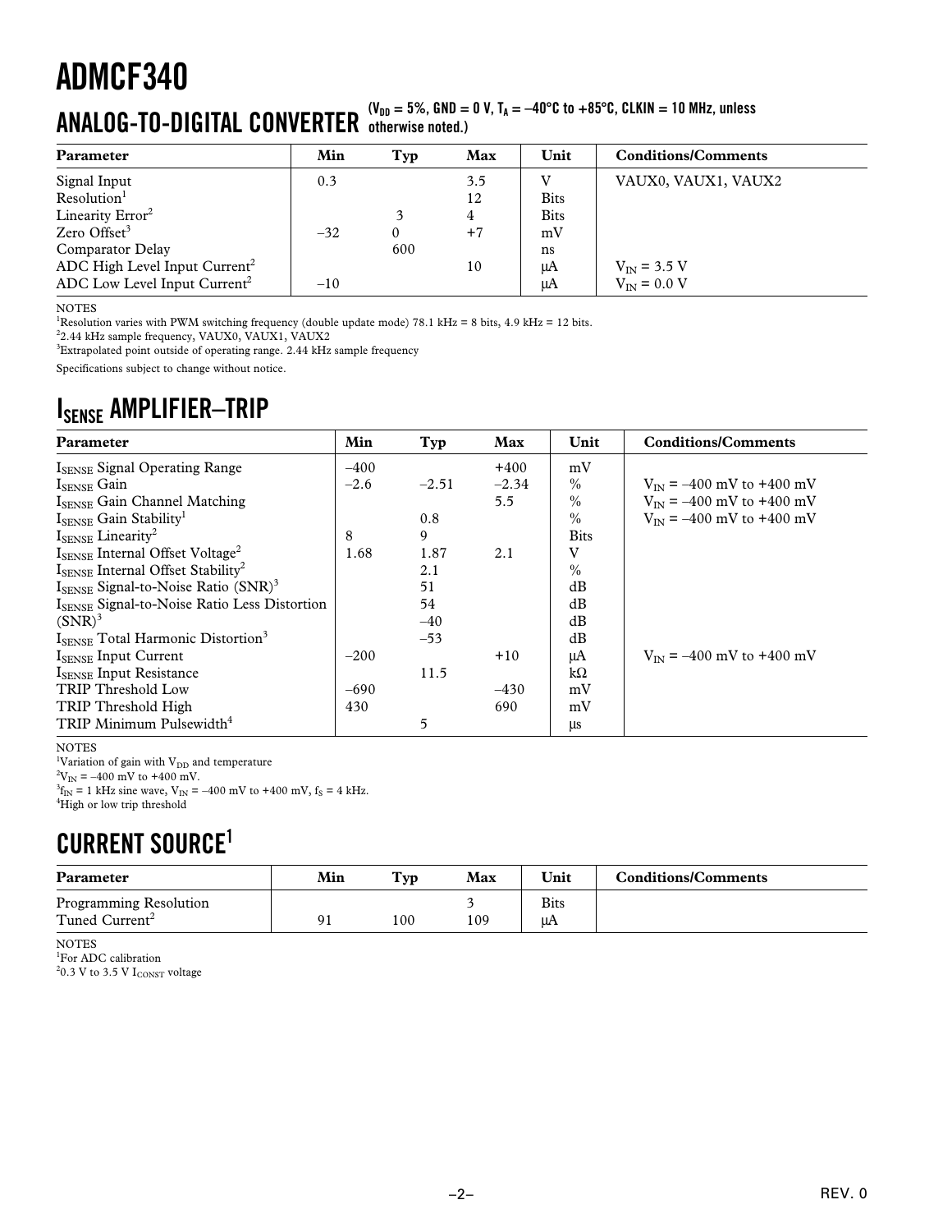# $\mathbf{ANALOG-TO-DIGITAL CONVERTER}$  ( $\mathbf{v_{DD}} = 5\%$ , GND = 0 V, T<sub>A</sub> =  $-40^{\circ}\text{C}$  to  $+85^{\circ}\text{C}$ , CLKIN = 10 MHz, unless

| Parameter                                | Min   | Typ | Max  | Unit        | <b>Conditions/Comments</b> |
|------------------------------------------|-------|-----|------|-------------|----------------------------|
| Signal Input                             | 0.3   |     | 3.5  |             | VAUX0, VAUX1, VAUX2        |
| Resolution <sup>1</sup>                  |       |     | 12   | <b>Bits</b> |                            |
| Linearity Error <sup>2</sup>             |       |     | 4    | <b>Bits</b> |                            |
| Zero Offset $3$                          | $-32$ |     | $+7$ | mV          |                            |
| Comparator Delay                         |       | 600 |      | ns          |                            |
| ADC High Level Input $Current2$          |       |     | 10   | μA          | $V_{IN}$ = 3.5 V           |
| ADC Low Level Input Current <sup>2</sup> | $-10$ |     |      | μA          | $V_{IN}$ = 0.0 V           |

NOTES

<sup>1</sup>Resolution varies with PWM switching frequency (double update mode) 78.1 kHz = 8 bits, 4.9 kHz = 12 bits.

2 2.44 kHz sample frequency, VAUX0, VAUX1, VAUX2

<sup>3</sup>Extrapolated point outside of operating range. 2.44 kHz sample frequency

Specifications subject to change without notice.

### **ISENSE AMPLIFIER–TRIP**

| Parameter                                                   | Min    | Typ     | Max     | Unit          | <b>Conditions/Comments</b>             |
|-------------------------------------------------------------|--------|---------|---------|---------------|----------------------------------------|
| ISENSE Signal Operating Range                               | $-400$ |         | $+400$  | mV            |                                        |
| $I_{\text{SENSE}}$ Gain                                     | $-2.6$ | $-2.51$ | $-2.34$ | $\frac{0}{0}$ | $V_{\text{IN}} = -400$ mV to +400 mV   |
| ISENSE Gain Channel Matching                                |        |         | 5.5     | $\frac{0}{0}$ | $V_{\text{IN}} = -400$ mV to +400 mV   |
| $I_{\text{SENSE}}$ Gain Stability <sup>1</sup>              |        | 0.8     |         | $\%$          | $V_{\text{IN}} = -400$ mV to $+400$ mV |
| $I_{\text{SENSE}}$ Linearity <sup>2</sup>                   | 8      | 9       |         | <b>Bits</b>   |                                        |
| $I_{\text{SENSE}}$ Internal Offset Voltage <sup>2</sup>     | 1.68   | 1.87    | 2.1     | V             |                                        |
| $I_{\text{SENSE}}$ Internal Offset Stability <sup>2</sup>   |        | 2.1     |         | $\%$          |                                        |
| $I_{\text{SENSE}}$ Signal-to-Noise Ratio (SNR) <sup>3</sup> |        | 51      |         | dB            |                                        |
| ISENSE Signal-to-Noise Ratio Less Distortion                |        | 54      |         | dB            |                                        |
| $(SNR)^3$                                                   |        | $-40$   |         | dB            |                                        |
| ISENSE Total Harmonic Distortion <sup>3</sup>               |        | $-53$   |         | dB            |                                        |
| $I_{\text{SENSE}}$ Input Current                            | $-200$ |         | $+10$   | μA            | $V_{\text{IN}} = -400$ mV to +400 mV   |
| <b>ISENSE</b> Input Resistance                              |        | 11.5    |         | kΩ            |                                        |
| <b>TRIP Threshold Low</b>                                   | $-690$ |         | $-430$  | mV            |                                        |
| TRIP Threshold High                                         | 430    |         | 690     | mV            |                                        |
| TRIP Minimum Pulsewidth <sup>4</sup>                        |        | 5       |         | μs            |                                        |

NOTES

<sup>1</sup>Variation of gain with V<sub>DD</sub> and temperature

 $^{2}V_{IN} = -400$  mV to +400 mV.

 ${}^{3}f_{IN}$  = 1 kHz sine wave, V<sub>IN</sub> = -400 mV to +400 mV, f<sub>S</sub> = 4 kHz. 4 High or low trip threshold

### **CURRENT SOURCE1**

| Parameter                  | Min | Tvp | Max | Unit | <b>Conditions/Comments</b> |
|----------------------------|-----|-----|-----|------|----------------------------|
| Programming Resolution     |     |     |     | Bits |                            |
| Tuned Current <sup>2</sup> | O.  | 100 | 109 | uA   |                            |

NOTES

1 For ADC calibration  $^{2}$ 0.3 V to 3.5 V I $_{\rm CONST}$  voltage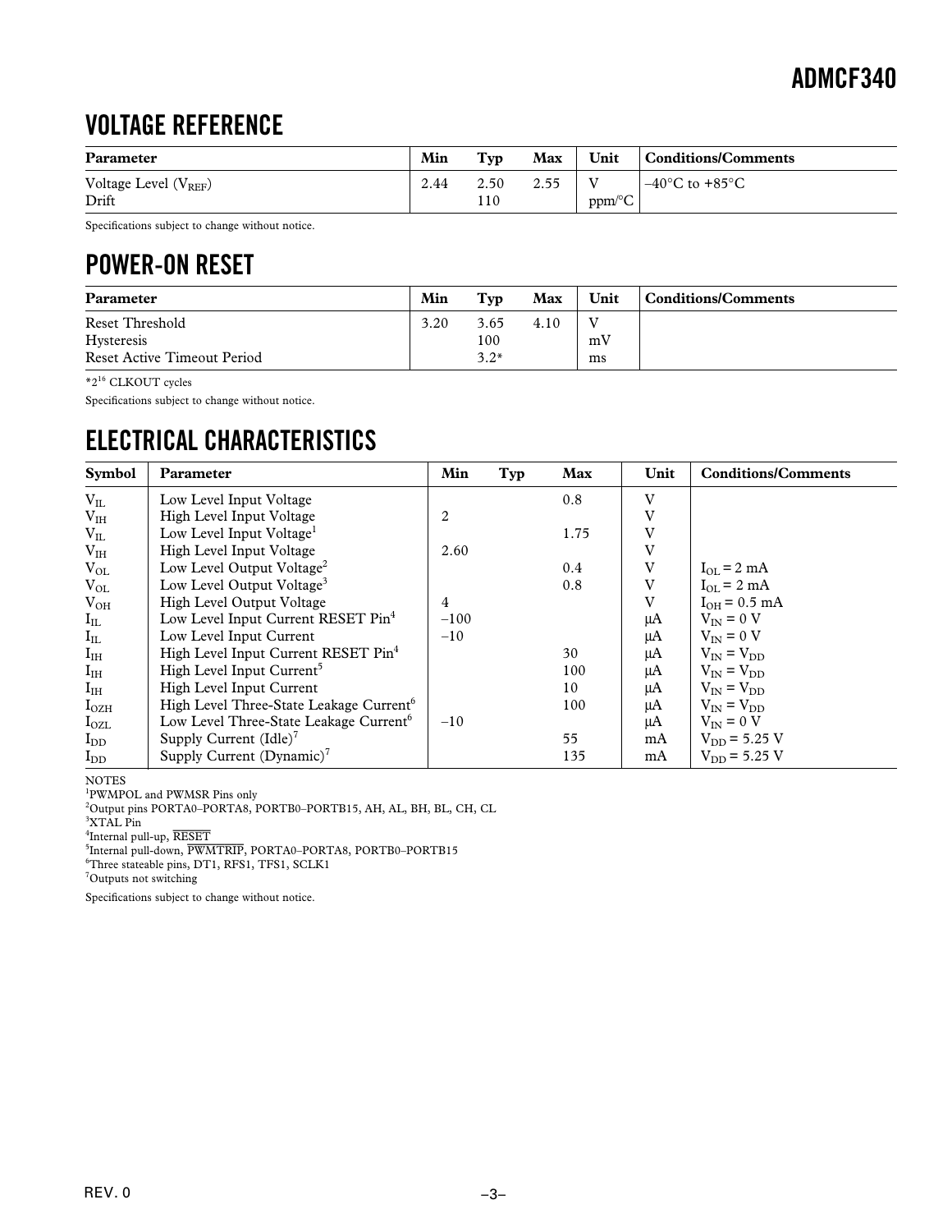### **VOLTAGE REFERENCE**

| Parameter                 | Min  | Tvp  | Max  | Unit                 | Conditions/Comments                |
|---------------------------|------|------|------|----------------------|------------------------------------|
| Voltage Level $(V_{REF})$ | 2.44 | 2.50 | 2.55 |                      | $-40^{\circ}$ C to $+85^{\circ}$ C |
| Drift                     |      | 110  |      | $ppm$ <sup>o</sup> C |                                    |

Specifications subject to change without notice.

### **POWER-ON RESET**

| Parameter                   | Min  | Typ    | Max  | Unit | Conditions/Comments |
|-----------------------------|------|--------|------|------|---------------------|
| Reset Threshold             | 3.20 | 3.65   | 4.10 |      |                     |
| Hysteresis                  |      | 100    |      | mV   |                     |
| Reset Active Timeout Period |      | $3.2*$ |      | ms   |                     |

\*2<sup>16</sup> CLKOUT cycles

Specifications subject to change without notice.

### **ELECTRICAL CHARACTERISTICS**

| <b>Symbol</b>         | Parameter                                           | Min    | Typ | Max  | Unit | <b>Conditions/Comments</b>      |
|-----------------------|-----------------------------------------------------|--------|-----|------|------|---------------------------------|
| $V_{IL}$              | Low Level Input Voltage                             |        |     | 0.8  | V    |                                 |
| V <sub>IH</sub>       | High Level Input Voltage                            | 2      |     |      | V    |                                 |
| $V_{IL}$              | Low Level Input Voltage <sup>1</sup>                |        |     | 1.75 | V    |                                 |
| V <sub>IH</sub>       | High Level Input Voltage                            | 2.60   |     |      | V    |                                 |
| $V_{OL}$              | Low Level Output Voltage <sup>2</sup>               |        |     | 0.4  | V    | $I_{\Omega I} = 2 \text{ mA}$   |
| $V_{OL}$              | Low Level Output Voltage <sup>3</sup>               |        |     | 0.8  | V    | $I_{OL} = 2 mA$                 |
| $V_{OH}$              | High Level Output Voltage                           | 4      |     |      | V    | $I_{OH} = 0.5$ mA               |
| $I_{IL}$              | Low Level Input Current RESET Pin <sup>4</sup>      | $-100$ |     |      | μA   | $V_{IN} = 0 V$                  |
| $\mathbf{I}_{\rm IL}$ | Low Level Input Current                             | $-10$  |     |      | μA   | $V_{\text{IN}} = 0$ V           |
| $I_{IH}$              | High Level Input Current RESET Pin <sup>4</sup>     |        |     | 30   | μA   | $V_{\text{IN}} = V_{\text{DD}}$ |
| $I_{IH}$              | High Level Input Current <sup>3</sup>               |        |     | 100  | μA   | $V_{IN} = V_{DD}$               |
| $I_{IH}$              | High Level Input Current                            |        |     | 10   | μA   | $V_{IN} = V_{DD}$               |
| $I_{OZH}$             | High Level Three-State Leakage Current <sup>6</sup> |        |     | 100  | μA   | $V_{\text{IN}} = V_{\text{DD}}$ |
| $I_{OZL}$             | Low Level Three-State Leakage Current <sup>6</sup>  | $-10$  |     |      | μA   | $V_{\text{IN}} = 0$ V           |
| $I_{DD}$              | Supply Current $(\text{Idle})^7$                    |        |     | 55   | mA   | $V_{DD} = 5.25$ V               |
| $I_{DD}$              | Supply Current (Dynamic) <sup>7</sup>               |        |     | 135  | mA   | $V_{DD} = 5.25$ V               |

NOTES

1 PWMPOL and PWMSR Pins only 2 Output pins PORTA0–PORTA8, PORTB0–PORTB15, AH, AL, BH, BL, CH, CL

3 XTAL Pin

4 Internal pull-up, *RESET*

5 Internal pull-down, *PWMTRIP*, PORTA0–PORTA8, PORTB0–PORTB15

6 Three stateable pins, DT1, RFS1, TFS1, SCLK1

<sup>7</sup>Outputs not switching

Specifications subject to change without notice.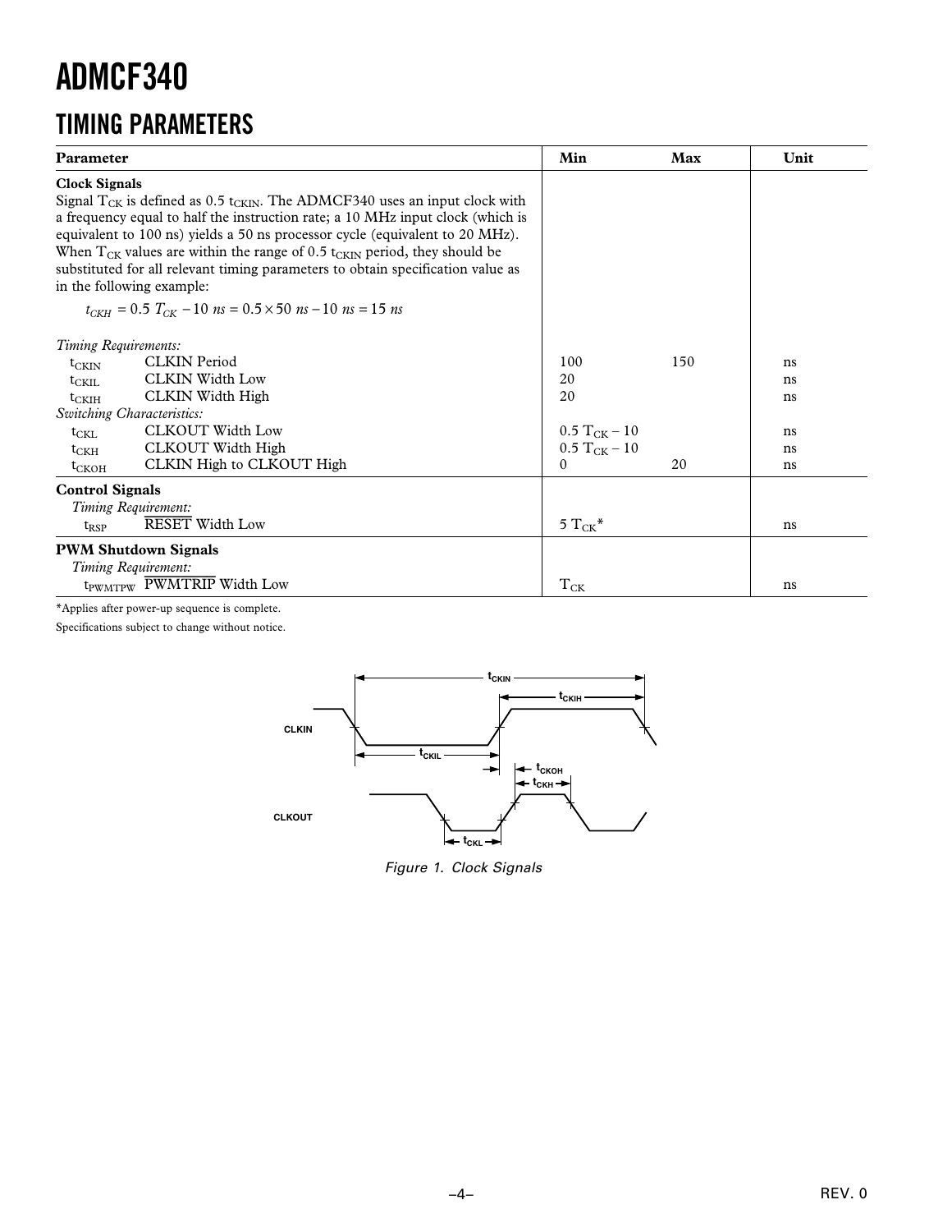### **TIMING PARAMETERS**

| Parameter                                                                                                                                                                                                                                                                                                                                                                                                                                                                                                                                                                         | Min                                                                   | Max       | Unit                             |
|-----------------------------------------------------------------------------------------------------------------------------------------------------------------------------------------------------------------------------------------------------------------------------------------------------------------------------------------------------------------------------------------------------------------------------------------------------------------------------------------------------------------------------------------------------------------------------------|-----------------------------------------------------------------------|-----------|----------------------------------|
| <b>Clock Signals</b><br>Signal $T_{CK}$ is defined as 0.5 t <sub>CKIN</sub> . The ADMCF340 uses an input clock with<br>a frequency equal to half the instruction rate; a 10 MHz input clock (which is<br>equivalent to 100 ns) yields a 50 ns processor cycle (equivalent to 20 MHz).<br>When $T_{CK}$ values are within the range of 0.5 t <sub>CKIN</sub> period, they should be<br>substituted for all relevant timing parameters to obtain specification value as<br>in the following example:<br>$t_{CKH} = 0.5$ $T_{CK} - 10$ $ns = 0.5 \times 50$ $ns - 10$ $ns = 15$ $ns$ |                                                                       |           |                                  |
| Timing Requirements:<br><b>CLKIN</b> Period<br>$t_{CKIN}$<br><b>CLKIN Width Low</b><br>$t_{\rm CKIL}$<br>CLKIN Width High<br>$t_{\rm CKIH}$<br>Switching Characteristics:<br>CLKOUT Width Low<br>$t_{\text{CKL}}$<br>CLKOUT Width High<br>$t_{\rm CKH}$<br>CLKIN High to CLKOUT High<br>$t_{CKOH}$                                                                                                                                                                                                                                                                                | 100<br>20<br>20<br>$0.5 T_{CK} - 10$<br>$0.5 T_{CK} - 10$<br>$\Omega$ | 150<br>20 | ns<br>ns<br>ns<br>ns<br>ns<br>ns |
| <b>Control Signals</b><br>Timing Requirement:<br><b>RESET Width Low</b><br>$t_{RSP}$<br><b>PWM Shutdown Signals</b>                                                                                                                                                                                                                                                                                                                                                                                                                                                               | 5 $T_{CK}$ *                                                          |           | ns                               |
| Timing Requirement:<br>t <sub>PWMTPW</sub> PWMTRIP Width Low                                                                                                                                                                                                                                                                                                                                                                                                                                                                                                                      | $T_{CK}$                                                              |           | ns                               |

\*Applies after power-up sequence is complete.

Specifications subject to change without notice.



Figure 1. Clock Signals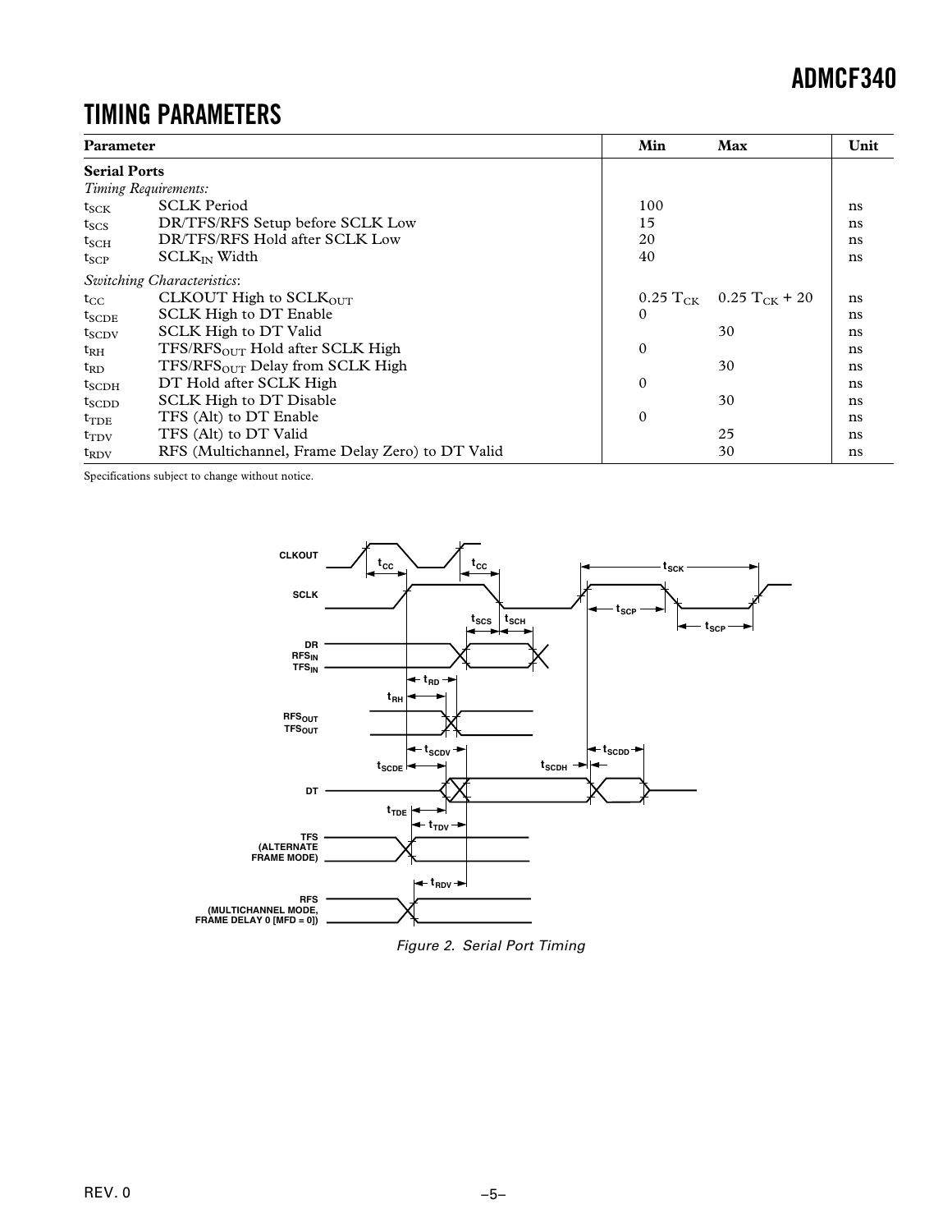### **TIMING PARAMETERS**

| Parameter           |                                                  | Min          | Max                                             | Unit |
|---------------------|--------------------------------------------------|--------------|-------------------------------------------------|------|
| <b>Serial Ports</b> |                                                  |              |                                                 |      |
|                     | Timing Requirements:                             |              |                                                 |      |
| $t_{SCK}$           | <b>SCLK Period</b>                               | 100          |                                                 | ns   |
| $t_{SCS}$           | DR/TFS/RFS Setup before SCLK Low                 | 15           |                                                 | ns   |
| $t_{\rm SCH}$       | DR/TFS/RFS Hold after SCLK Low                   | 20           |                                                 | ns   |
| $t_{\text{SCP}}$    | $SCLK_{IN}$ Width                                | 40           |                                                 | ns   |
|                     | <b>Switching Characteristics:</b>                |              |                                                 |      |
| $t_{\rm CC}$        | CLKOUT High to SCLKOUT                           |              | $0.25 \text{ T}_{CK}$ 0.25 T <sub>CK</sub> + 20 | ns   |
| $t_{SCDE}$          | SCLK High to DT Enable                           | $\mathbf{0}$ |                                                 | ns   |
| $t_{SCDV}$          | SCLK High to DT Valid                            |              | 30                                              | ns   |
| $t_{\rm RH}$        | $TFS/RFSOUT$ Hold after SCLK High                | 0            |                                                 | ns   |
| $t_{RD}$            | $TFS/RFSOUT$ Delay from SCLK High                |              | 30                                              | ns   |
| $t_{\rm SCDH}$      | DT Hold after SCLK High                          | 0            |                                                 | ns   |
| $t_{SCDD}$          | SCLK High to DT Disable                          |              | 30                                              | ns   |
| $t_{\rm TDE}$       | TFS (Alt) to DT Enable                           | 0            |                                                 | ns   |
| $t_{\rm TDV}$       | TFS (Alt) to DT Valid                            |              | 25                                              | ns   |
| $t_{\rm RDV}$       | RFS (Multichannel, Frame Delay Zero) to DT Valid |              | 30                                              | ns   |

Specifications subject to change without notice.



Figure 2. Serial Port Timing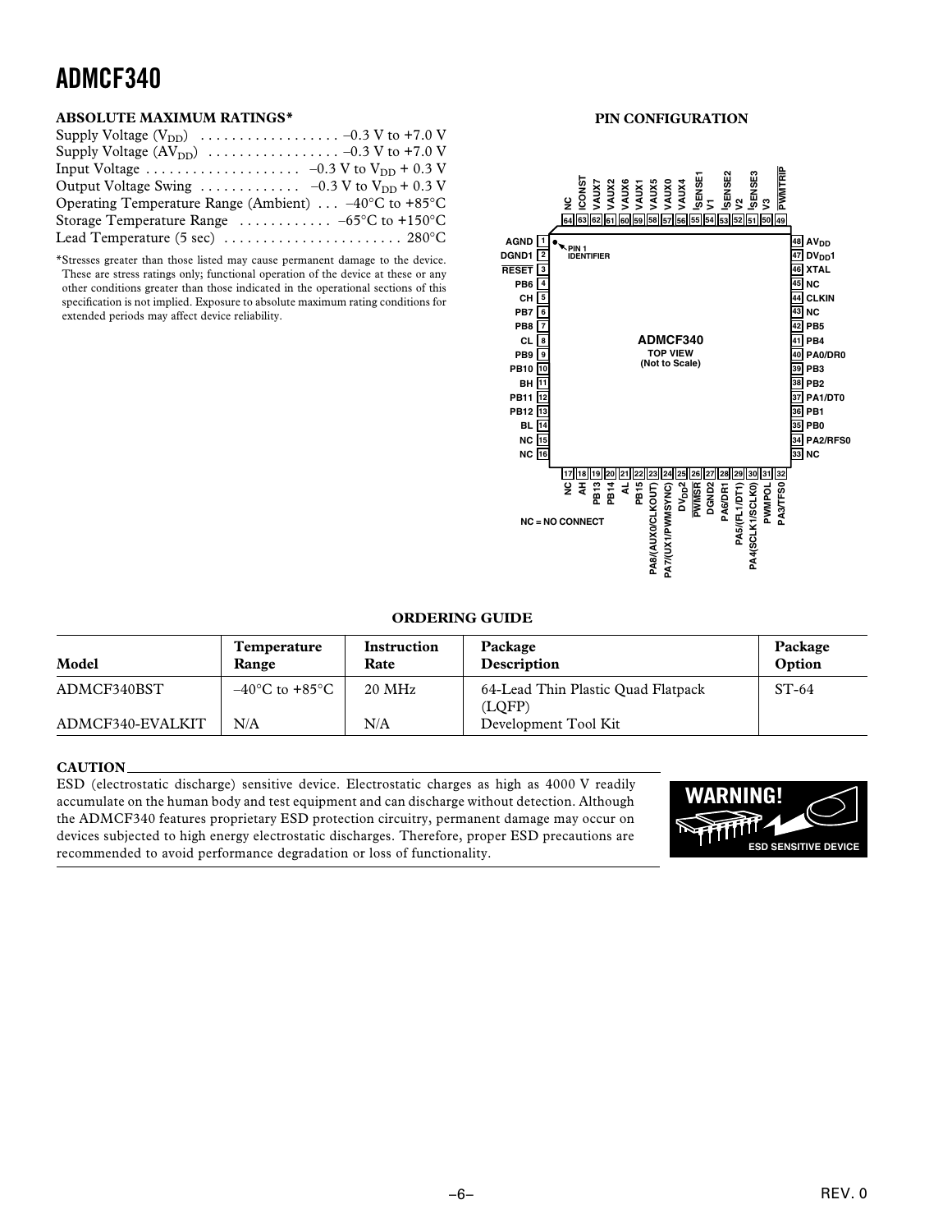#### **ABSOLUTE MAXIMUM RATINGS\***

| Output Voltage Swing $\ldots \ldots \ldots \ldots -0.3$ V to V <sub>DD</sub> + 0.3 V |
|--------------------------------------------------------------------------------------|
| Operating Temperature Range (Ambient) $\ldots -40^{\circ}$ C to +85°C                |
| Storage Temperature Range $\ldots \ldots \ldots \ldots -65^{\circ}C$ to +150°C       |
|                                                                                      |

\*Stresses greater than those listed may cause permanent damage to the device. These are stress ratings only; functional operation of the device at these or any other conditions greater than those indicated in the operational sections of this specification is not implied. Exposure to absolute maximum rating conditions for extended periods may affect device reliability.

#### **PIN CONFIGURATION**



#### **ORDERING GUIDE**

| Model            | Temperature<br><b>Range</b>        | Instruction<br>Rate | Package<br>Description                       | Package<br>Option |
|------------------|------------------------------------|---------------------|----------------------------------------------|-------------------|
| ADMCF340BST      | $-40^{\circ}$ C to $+85^{\circ}$ C | $20 \text{ MHz}$    | 64-Lead Thin Plastic Ouad Flatpack<br>(LOFP) | $ST-64$           |
| ADMCF340-EVALKIT | N/A                                | N/A                 | Development Tool Kit                         |                   |

#### **CAUTION**

ESD (electrostatic discharge) sensitive device. Electrostatic charges as high as 4000 V readily accumulate on the human body and test equipment and can discharge without detection. Although the ADMCF340 features proprietary ESD protection circuitry, permanent damage may occur on devices subjected to high energy electrostatic discharges. Therefore, proper ESD precautions are recommended to avoid performance degradation or loss of functionality.

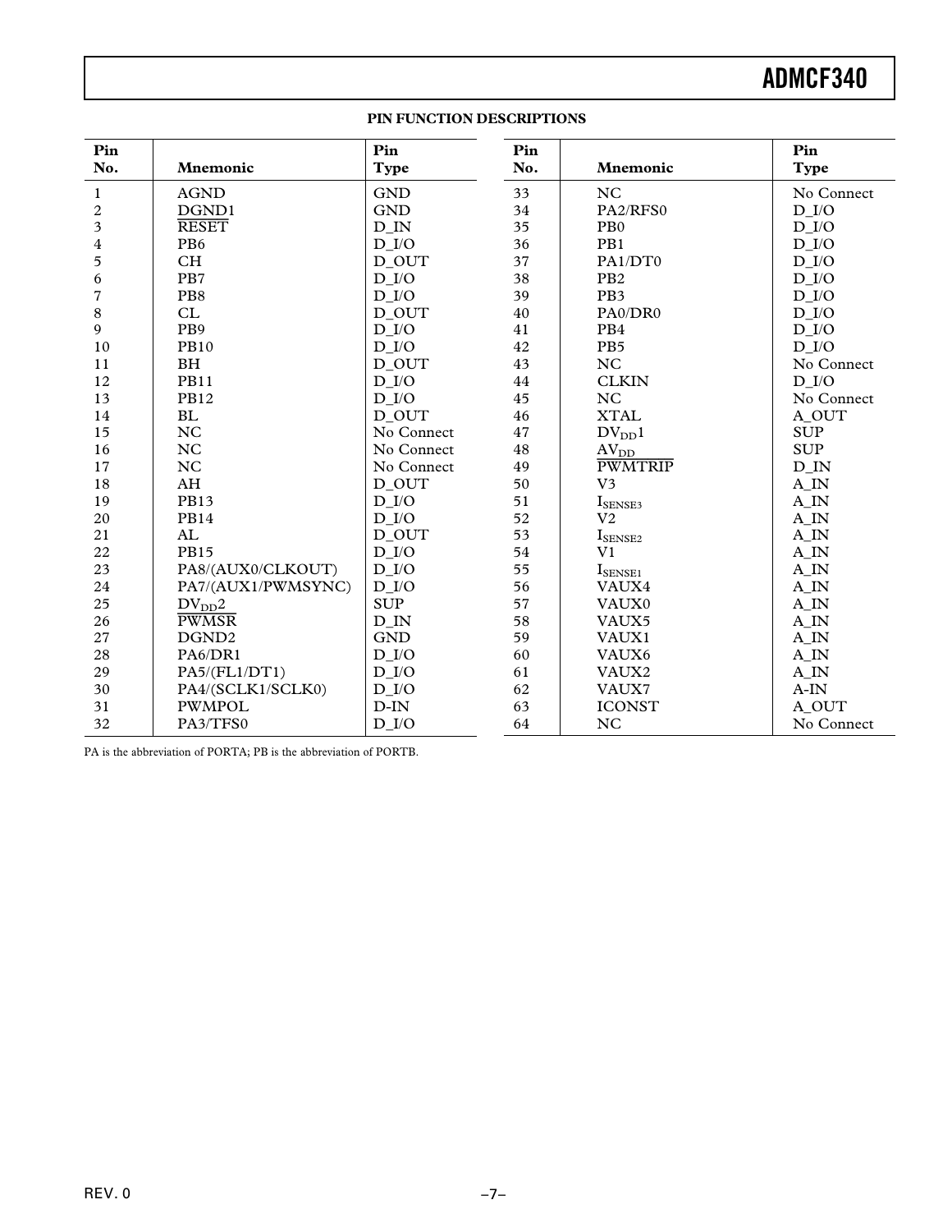#### **PIN FUNCTION DESCRIPTIONS**

| Pin<br>No.              | Mnemonic           | Pin<br><b>Type</b>  | Pin<br>No. | Mnemonic                     | Pin<br><b>Type</b>  |
|-------------------------|--------------------|---------------------|------------|------------------------------|---------------------|
|                         |                    |                     |            |                              |                     |
| 1                       | <b>AGND</b>        | <b>GND</b>          | 33         | <b>NC</b>                    | No Connect          |
| $\overline{\mathbf{c}}$ | DGND1              | <b>GND</b>          | 34         | PA2/RFS0                     | $D$ $I/O$           |
| 3                       | <b>RESET</b>       | $D$ <sub>IN</sub>   | 35         | P <sub>B</sub> 0             | $D_{I/O}$           |
| 4                       | PB <sub>6</sub>    | $D_{I/O}$           | 36         | PB1                          | $D_{I/O}$           |
| 5                       | <b>CH</b>          | D_OUT               | 37         | PA1/DT0                      | $D_{I/O}$           |
| 6                       | PB7                | $D$ $I/O$           | 38         | PB <sub>2</sub>              | $D$ $I/O$           |
| 7                       | PB8                | $D$ $I/O$           | 39         | PB <sub>3</sub>              | $D_{I/O}$           |
| 8                       | CL                 | D OUT               | 40         | PA0/DR0                      | $D$ $I/O$           |
| 9                       | PB9                | $D$ $I/O$           | 41         | PB4                          | $D$ $I/O$           |
| 10                      | <b>PB10</b>        | $D$ $I/O$           | 42         | PB <sub>5</sub>              | $D$ <sub>I</sub> /O |
| 11                      | <b>BH</b>          | D_OUT               | 43         | NC                           | No Connect          |
| 12                      | <b>PB11</b>        | $D_{I/O}$           | 44         | <b>CLKIN</b>                 | $D_{I/O}$           |
| 13                      | <b>PB12</b>        | $D_{I/O}$           | 45         | NC                           | No Connect          |
| 14                      | <b>BL</b>          | D_OUT               | 46         | <b>XTAL</b>                  | A_OUT               |
| 15                      | NC                 | No Connect          | 47         | $DV_{DD}1$                   | <b>SUP</b>          |
| 16                      | <b>NC</b>          | No Connect          | 48         | AV <sub>DD</sub>             | <b>SUP</b>          |
| 17                      | NC                 | No Connect          | 49         | <b>PWMTRIP</b>               | $D$ <sub>IN</sub>   |
| 18                      | AH                 | D_OUT               | 50         | V <sub>3</sub>               | A_IN                |
| 19                      | <b>PB13</b>        | $D_{I/O}$           | 51         | $I_{\rm SENSE3}$             | $A$ <sub>IN</sub>   |
| 20                      | <b>PB14</b>        | $D$ $I/O$           | 52         | V <sub>2</sub>               | A_IN                |
| 21                      | AL                 | D_OUT               | 53         | $I_{\rm SENSE2}$             | $A$ <sub>IN</sub>   |
| 22                      | <b>PB15</b>        | $D$ $I/O$           | 54         | V <sub>1</sub>               | $A$ <sub>IN</sub>   |
| 23                      | PA8/(AUX0/CLKOUT)  | $D$ $I/O$           | 55         | $\mathbf{I}_{\text{SENSE1}}$ | A_IN                |
| 24                      | PA7/(AUX1/PWMSYNC) | $D$ <sub>I</sub> /O | 56         | VAUX4                        | $A$ <sub>IN</sub>   |
| 25                      | $\rm DV_{DD}2$     | <b>SUP</b>          | 57         | VAUX0                        | $A$ <sub>IN</sub>   |
| 26                      | <b>PWMSR</b>       | D IN                | 58         | VAUX5                        | A_IN                |
| 27                      | DGND <sub>2</sub>  | <b>GND</b>          | 59         | VAUX1                        | $A$ <sub>IN</sub>   |
| 28                      | PA6/DR1            | $D_{I/O}$           | 60         | VAUX6                        | $A$ <sub>IN</sub>   |
| 29                      | PA5/(FL1/DT1)      | $D$ <sub>I</sub> /O | 61         | VAUX2                        | $A$ <sub>IN</sub>   |
| 30                      | PA4/(SCLK1/SCLK0)  | $D$ $I/O$           | 62         | VAUX7                        | $A-IN$              |
| 31                      | <b>PWMPOL</b>      | $D-IN$              | 63         | <b>ICONST</b>                | A OUT               |
| 32                      | PA3/TFS0           | $D$ <sub>I</sub> /O | 64         | NC                           | No Connect          |

PA is the abbreviation of PORTA; PB is the abbreviation of PORTB.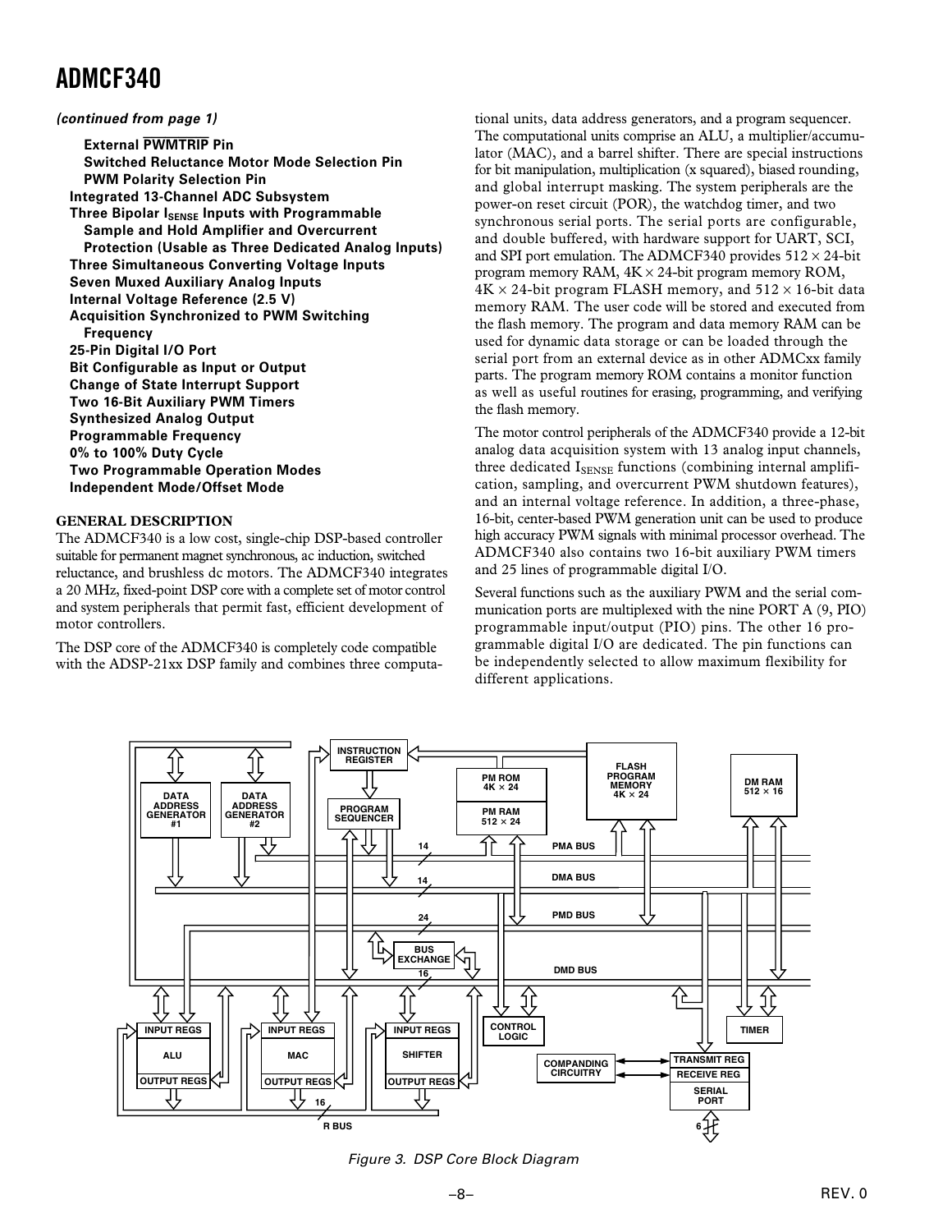**(continued from page 1)**

**External PWMTRIP Pin Switched Reluctance Motor Mode Selection Pin PWM Polarity Selection Pin Integrated 13-Channel ADC Subsystem Three Bipolar ISENSE Inputs with Programmable Sample and Hold Amplifier and Overcurrent Protection (Usable as Three Dedicated Analog Inputs) Three Simultaneous Converting Voltage Inputs Seven Muxed Auxiliary Analog Inputs Internal Voltage Reference (2.5 V) Acquisition Synchronized to PWM Switching Frequency 25-Pin Digital I/O Port Bit Configurable as Input or Output Change of State Interrupt Support Two 16-Bit Auxiliary PWM Timers Synthesized Analog Output Programmable Frequency 0% to 100% Duty Cycle Two Programmable Operation Modes Independent Mode/Offset Mode**

#### **GENERAL DESCRIPTION**

The ADMCF340 is a low cost, single-chip DSP-based controller suitable for permanent magnet synchronous, ac induction, switched reluctance, and brushless dc motors. The ADMCF340 integrates a 20 MHz, fixed-point DSP core with a complete set of motor control and system peripherals that permit fast, efficient development of motor controllers.

The DSP core of the ADMCF340 is completely code compatible with the ADSP-21xx DSP family and combines three computa-

tional units, data address generators, and a program sequencer. The computational units comprise an ALU, a multiplier/accumulator (MAC), and a barrel shifter. There are special instructions for bit manipulation, multiplication (x squared), biased rounding, and global interrupt masking. The system peripherals are the power-on reset circuit (POR), the watchdog timer, and two synchronous serial ports. The serial ports are configurable, and double buffered, with hardware support for UART, SCI, and SPI port emulation. The ADMCF340 provides  $512 \times 24$ -bit program memory RAM, 4K × 24-bit program memory ROM,  $4K \times 24$ -bit program FLASH memory, and  $512 \times 16$ -bit data memory RAM. The user code will be stored and executed from the flash memory. The program and data memory RAM can be used for dynamic data storage or can be loaded through the serial port from an external device as in other ADMCxx family parts. The program memory ROM contains a monitor function as well as useful routines for erasing, programming, and verifying the flash memory.

The motor control peripherals of the ADMCF340 provide a 12-bit analog data acquisition system with 13 analog input channels, three dedicated ISENSE functions (combining internal amplification, sampling, and overcurrent PWM shutdown features), and an internal voltage reference. In addition, a three-phase, 16-bit, center-based PWM generation unit can be used to produce high accuracy PWM signals with minimal processor overhead. The ADMCF340 also contains two 16-bit auxiliary PWM timers and 25 lines of programmable digital I/O.

Several functions such as the auxiliary PWM and the serial communication ports are multiplexed with the nine PORT A (9, PIO) programmable input/output (PIO) pins. The other 16 programmable digital I/O are dedicated. The pin functions can be independently selected to allow maximum flexibility for different applications.



Figure 3. DSP Core Block Diagram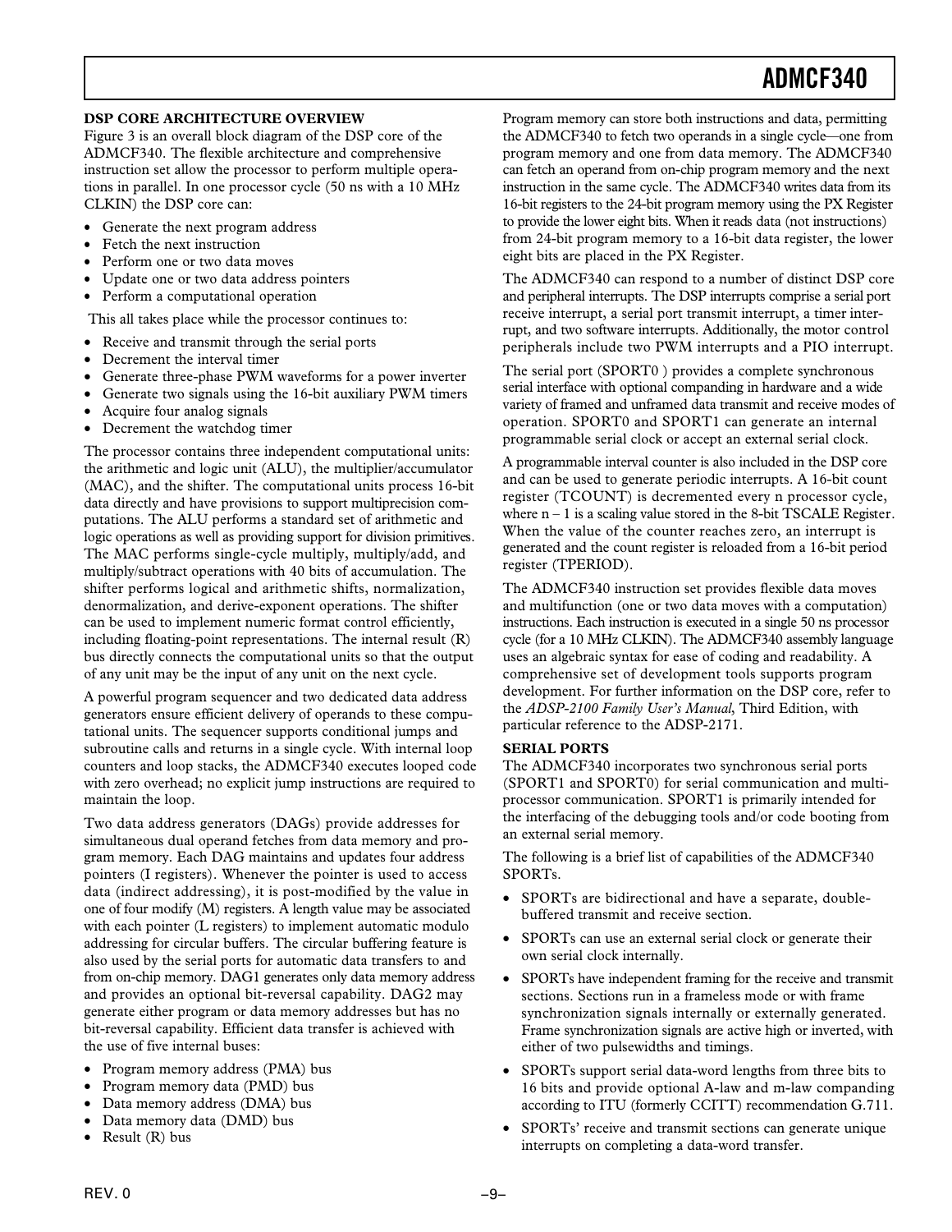#### **DSP CORE ARCHITECTURE OVERVIEW**

Figure 3 is an overall block diagram of the DSP core of the ADMCF340. The flexible architecture and comprehensive instruction set allow the processor to perform multiple operations in parallel. In one processor cycle (50 ns with a 10 MHz CLKIN) the DSP core can:

- Generate the next program address
- Fetch the next instruction
- Perform one or two data moves
- Update one or two data address pointers
- Perform a computational operation

This all takes place while the processor continues to:

- Receive and transmit through the serial ports
- Decrement the interval timer
- Generate three-phase PWM waveforms for a power inverter
- Generate two signals using the 16-bit auxiliary PWM timers
- Acquire four analog signals
- Decrement the watchdog timer

The processor contains three independent computational units: the arithmetic and logic unit (ALU), the multiplier/accumulator (MAC), and the shifter. The computational units process 16-bit data directly and have provisions to support multiprecision computations. The ALU performs a standard set of arithmetic and logic operations as well as providing support for division primitives. The MAC performs single-cycle multiply, multiply/add, and multiply/subtract operations with 40 bits of accumulation. The shifter performs logical and arithmetic shifts, normalization, denormalization, and derive-exponent operations. The shifter can be used to implement numeric format control efficiently, including floating-point representations. The internal result (R) bus directly connects the computational units so that the output of any unit may be the input of any unit on the next cycle.

A powerful program sequencer and two dedicated data address generators ensure efficient delivery of operands to these computational units. The sequencer supports conditional jumps and subroutine calls and returns in a single cycle. With internal loop counters and loop stacks, the ADMCF340 executes looped code with zero overhead; no explicit jump instructions are required to maintain the loop.

Two data address generators (DAGs) provide addresses for simultaneous dual operand fetches from data memory and program memory. Each DAG maintains and updates four address pointers (I registers). Whenever the pointer is used to access data (indirect addressing), it is post-modified by the value in one of four modify (M) registers. A length value may be associated with each pointer (L registers) to implement automatic modulo addressing for circular buffers. The circular buffering feature is also used by the serial ports for automatic data transfers to and from on-chip memory. DAG1 generates only data memory address and provides an optional bit-reversal capability. DAG2 may generate either program or data memory addresses but has no bit-reversal capability. Efficient data transfer is achieved with the use of five internal buses:

- Program memory address (PMA) bus
- Program memory data (PMD) bus
- Data memory address (DMA) bus
- Data memory data (DMD) bus
- Result (R) bus

Program memory can store both instructions and data, permitting the ADMCF340 to fetch two operands in a single cycle—one from program memory and one from data memory. The ADMCF340 can fetch an operand from on-chip program memory and the next instruction in the same cycle. The ADMCF340 writes data from its 16-bit registers to the 24-bit program memory using the PX Register to provide the lower eight bits. When it reads data (not instructions) from 24-bit program memory to a 16-bit data register, the lower eight bits are placed in the PX Register.

The ADMCF340 can respond to a number of distinct DSP core and peripheral interrupts. The DSP interrupts comprise a serial port receive interrupt, a serial port transmit interrupt, a timer interrupt, and two software interrupts. Additionally, the motor control peripherals include two PWM interrupts and a PIO interrupt.

The serial port (SPORT0 ) provides a complete synchronous serial interface with optional companding in hardware and a wide variety of framed and unframed data transmit and receive modes of operation. SPORT0 and SPORT1 can generate an internal programmable serial clock or accept an external serial clock.

A programmable interval counter is also included in the DSP core and can be used to generate periodic interrupts. A 16-bit count register (TCOUNT) is decremented every n processor cycle, where  $n - 1$  is a scaling value stored in the 8-bit TSCALE Register. When the value of the counter reaches zero, an interrupt is generated and the count register is reloaded from a 16-bit period register (TPERIOD).

The ADMCF340 instruction set provides flexible data moves and multifunction (one or two data moves with a computation) instructions. Each instruction is executed in a single 50 ns processor cycle (for a 10 MHz CLKIN). The ADMCF340 assembly language uses an algebraic syntax for ease of coding and readability. A comprehensive set of development tools supports program development. For further information on the DSP core, refer to the *ADSP-2100 Family User's Manual*, Third Edition, with particular reference to the ADSP-2171.

#### **SERIAL PORTS**

The ADMCF340 incorporates two synchronous serial ports (SPORT1 and SPORT0) for serial communication and multiprocessor communication. SPORT1 is primarily intended for the interfacing of the debugging tools and/or code booting from an external serial memory.

The following is a brief list of capabilities of the ADMCF340 SPORTs.

- SPORTs are bidirectional and have a separate, doublebuffered transmit and receive section.
- SPORTs can use an external serial clock or generate their own serial clock internally.
- SPORTs have independent framing for the receive and transmit sections. Sections run in a frameless mode or with frame synchronization signals internally or externally generated. Frame synchronization signals are active high or inverted, with either of two pulsewidths and timings.
- SPORTs support serial data-word lengths from three bits to 16 bits and provide optional A-law and m-law companding according to ITU (formerly CCITT) recommendation G.711.
- SPORTs' receive and transmit sections can generate unique interrupts on completing a data-word transfer.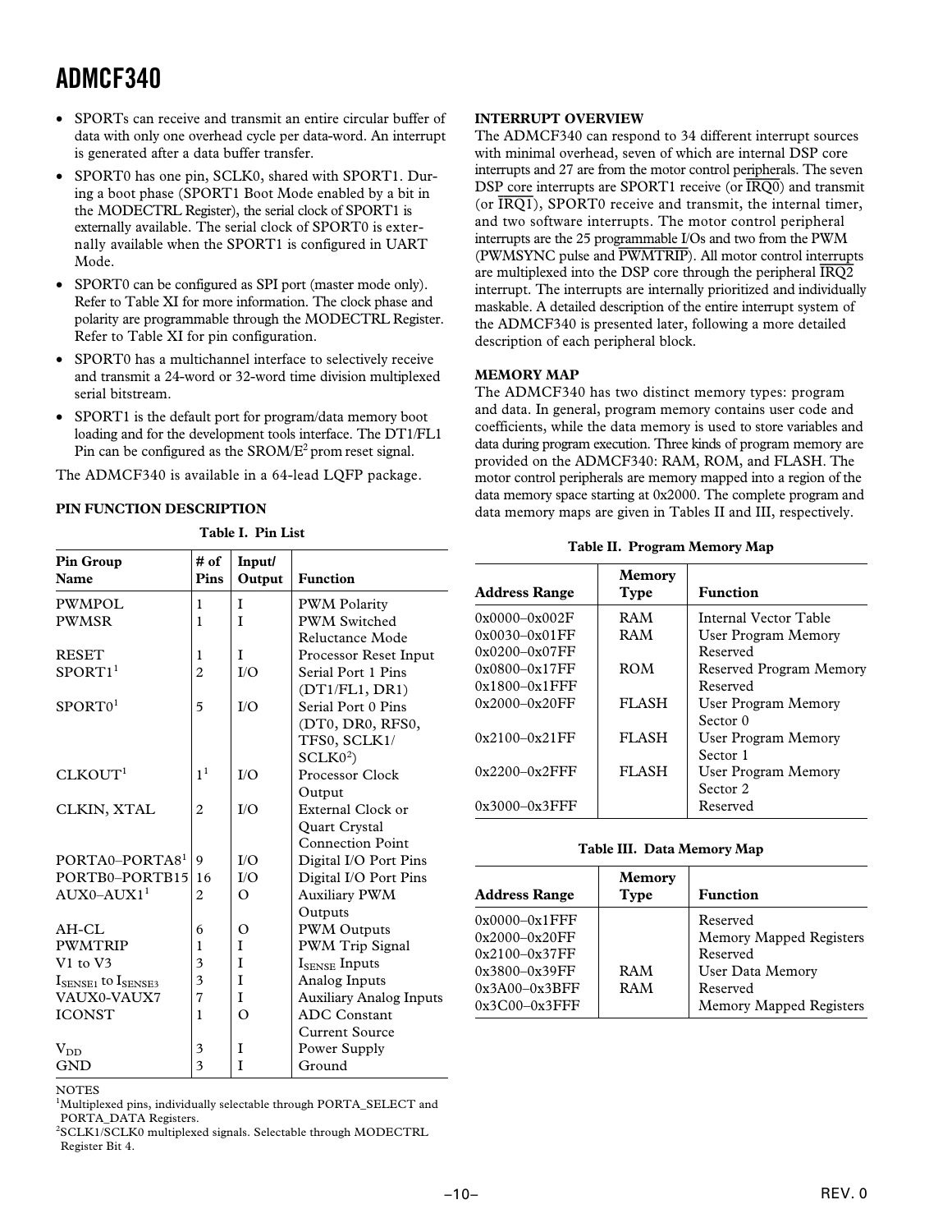- SPORTs can receive and transmit an entire circular buffer of data with only one overhead cycle per data-word. An interrupt is generated after a data buffer transfer.
- SPORT0 has one pin, SCLK0, shared with SPORT1. During a boot phase (SPORT1 Boot Mode enabled by a bit in the MODECTRL Register), the serial clock of SPORT1 is externally available. The serial clock of SPORT0 is externally available when the SPORT1 is configured in UART Mode.
- SPORT0 can be configured as SPI port (master mode only). Refer to Table XI for more information. The clock phase and polarity are programmable through the MODECTRL Register. Refer to Table XI for pin configuration.
- SPORT0 has a multichannel interface to selectively receive and transmit a 24-word or 32-word time division multiplexed serial bitstream.
- SPORT1 is the default port for program/data memory boot loading and for the development tools interface. The DT1/FL1 Pin can be configured as the SROM/E2 prom reset signal.

The ADMCF340 is available in a 64-lead LQFP package.

#### **PIN FUNCTION DESCRIPTION**

| 1 AVIC 1. 1 III LISL                 |                |                  |                                |  |  |  |  |
|--------------------------------------|----------------|------------------|--------------------------------|--|--|--|--|
| <b>Pin Group</b><br>Name             | # of<br>Pins   | Input/<br>Output | <b>Function</b>                |  |  |  |  |
| <b>PWMPOL</b>                        | 1              | T                | <b>PWM Polarity</b>            |  |  |  |  |
| <b>PWMSR</b>                         | 1              | T                | <b>PWM Switched</b>            |  |  |  |  |
|                                      |                |                  | Reluctance Mode                |  |  |  |  |
| <b>RESET</b>                         | 1              | T                | Processor Reset Input          |  |  |  |  |
| SPORT1 <sup>1</sup>                  | $\overline{2}$ | I/O              | Serial Port 1 Pins             |  |  |  |  |
|                                      |                |                  | (DT1/FL1, DR1)                 |  |  |  |  |
| SPORT <sub>0</sub> <sup>1</sup>      | 5              | I/O              | Serial Port 0 Pins             |  |  |  |  |
|                                      |                |                  | (DT0, DR0, RFS0,               |  |  |  |  |
|                                      |                |                  | TFS0, SCLK1/                   |  |  |  |  |
|                                      |                |                  | SCLKO <sup>2</sup>             |  |  |  |  |
| CLKOUT <sup>1</sup>                  | 1 <sup>1</sup> | I/O              | Processor Clock                |  |  |  |  |
|                                      |                |                  | Output                         |  |  |  |  |
| CLKIN, XTAL                          | $\overline{c}$ | I/O              | External Clock or              |  |  |  |  |
|                                      |                |                  | Quart Crystal                  |  |  |  |  |
|                                      |                |                  | <b>Connection Point</b>        |  |  |  |  |
| PORTA0-PORTA8 <sup>1</sup>           | 9              | I/O              | Digital I/O Port Pins          |  |  |  |  |
| PORTB0-PORTB15                       | 16             | I/O              | Digital I/O Port Pins          |  |  |  |  |
| $AUX0-AUX11$                         | $\overline{c}$ | $\Omega$         | <b>Auxiliary PWM</b>           |  |  |  |  |
|                                      |                |                  | Outputs                        |  |  |  |  |
| AH-CL                                | 6              | $\Omega$         | <b>PWM Outputs</b>             |  |  |  |  |
| <b>PWMTRIP</b>                       | 1              | T                | PWM Trip Signal                |  |  |  |  |
| V1 to V3                             | 3              | T                | $I_{\text{SPNSF}}$ Inputs      |  |  |  |  |
| $I_{\rm SENSE1}$ to $I_{\rm SENSE3}$ | 3              | T                | Analog Inputs                  |  |  |  |  |
| VAUX0-VAUX7                          | 7              | I                | <b>Auxiliary Analog Inputs</b> |  |  |  |  |
| <b>ICONST</b>                        | 1              | $\Omega$         | <b>ADC</b> Constant            |  |  |  |  |
|                                      |                |                  | <b>Current Source</b>          |  |  |  |  |
| $V_{DD}$                             | 3              | T                | Power Supply                   |  |  |  |  |
| <b>GND</b>                           | 3              | I                | Ground                         |  |  |  |  |

**Table I. Pin List**

#### **INTERRUPT OVERVIEW**

The ADMCF340 can respond to 34 different interrupt sources with minimal overhead, seven of which are internal DSP core interrupts and 27 are from the motor control peripherals. The seven DSP core interrupts are SPORT1 receive (or *IRQ0*) and transmit (or *IRQ1*), SPORT0 receive and transmit, the internal timer, and two software interrupts. The motor control peripheral interrupts are the 25 programmable I/Os and two from the PWM (PWMSYNC pulse and *PWMTRIP*). All motor control interrupts are multiplexed into the DSP core through the peripheral *IRQ2* interrupt. The interrupts are internally prioritized and individually maskable. A detailed description of the entire interrupt system of the ADMCF340 is presented later, following a more detailed description of each peripheral block.

#### **MEMORY MAP**

The ADMCF340 has two distinct memory types: program and data. In general, program memory contains user code and coefficients, while the data memory is used to store variables and data during program execution. Three kinds of program memory are provided on the ADMCF340: RAM, ROM, and FLASH. The motor control peripherals are memory mapped into a region of the data memory space starting at 0x2000. The complete program and data memory maps are given in Tables II and III, respectively.

| Table II. Program Memory Map |  |  |  |
|------------------------------|--|--|--|
|------------------------------|--|--|--|

| Address Range     | Memory<br>Type | <b>Function</b>         |
|-------------------|----------------|-------------------------|
| 0x0000-0x002F     | <b>RAM</b>     | Internal Vector Table   |
| 0x0030–0x01FF     | RAM            | User Program Memory     |
| 0x0200–0x07FF     |                | Reserved                |
| 0x0800–0x17FF     | <b>ROM</b>     | Reserved Program Memory |
| 0x1800–0x1FFF     |                | Reserved                |
| 0x2000–0x20FF     | <b>FLASH</b>   | User Program Memory     |
|                   |                | Sector 0                |
| $0x2100 - 0x21FF$ | <b>FLASH</b>   | User Program Memory     |
|                   |                | Sector 1                |
| 0x2200–0x2FFF     | <b>FLASH</b>   | User Program Memory     |
|                   |                | Sector 2                |
| 0x3000–0x3FFF     |                | Reserved                |

|  | Table III. Data Memory Map |  |
|--|----------------------------|--|
|--|----------------------------|--|

| <b>Address Range</b>                                                                                                    | Memory<br><b>Type</b> | <b>Function</b>                                                                                            |
|-------------------------------------------------------------------------------------------------------------------------|-----------------------|------------------------------------------------------------------------------------------------------------|
| $0x0000 - 0x1$ FFF<br>$0x2000 - 0x20FF$<br>$0x2100 - 0x37FF$<br>$0x3800 - 0x39FF$<br>$0x3A00-0x3BFF$<br>$0x3C00-0x3FFF$ | RAM<br>RAM            | Reserved<br>Memory Mapped Registers<br>Reserved<br>User Data Memory<br>Reserved<br>Memory Mapped Registers |

**NOTES** 

<sup>1</sup>Multiplexed pins, individually selectable through PORTA\_SELECT and PORTA\_DATA Registers.

2 SCLK1/SCLK0 multiplexed signals. Selectable through MODECTRL Register Bit 4.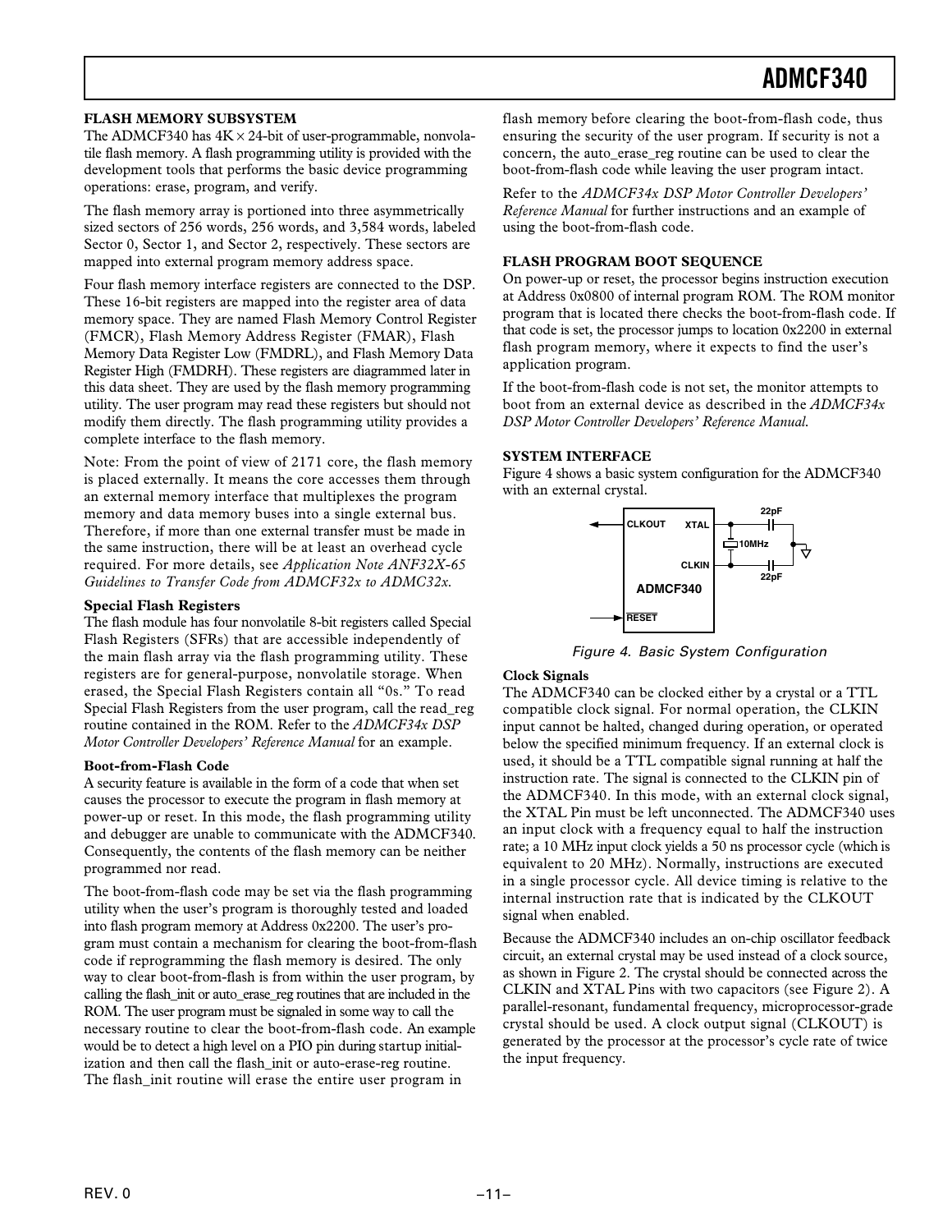#### **FLASH MEMORY SUBSYSTEM**

The ADMCF340 has  $4K \times 24$ -bit of user-programmable, nonvolatile flash memory. A flash programming utility is provided with the development tools that performs the basic device programming operations: erase, program, and verify.

The flash memory array is portioned into three asymmetrically sized sectors of 256 words, 256 words, and 3,584 words, labeled Sector 0, Sector 1, and Sector 2, respectively. These sectors are mapped into external program memory address space.

Four flash memory interface registers are connected to the DSP. These 16-bit registers are mapped into the register area of data memory space. They are named Flash Memory Control Register (FMCR), Flash Memory Address Register (FMAR), Flash Memory Data Register Low (FMDRL), and Flash Memory Data Register High (FMDRH). These registers are diagrammed later in this data sheet. They are used by the flash memory programming utility. The user program may read these registers but should not modify them directly. The flash programming utility provides a complete interface to the flash memory.

Note: From the point of view of 2171 core, the flash memory is placed externally. It means the core accesses them through an external memory interface that multiplexes the program memory and data memory buses into a single external bus. Therefore, if more than one external transfer must be made in the same instruction, there will be at least an overhead cycle required. For more details, see *Application Note ANF32X-65 Guidelines to Transfer Code from ADMCF32x to ADMC32x*.

#### **Special Flash Registers**

The flash module has four nonvolatile 8-bit registers called Special Flash Registers (SFRs) that are accessible independently of the main flash array via the flash programming utility. These registers are for general-purpose, nonvolatile storage. When erased, the Special Flash Registers contain all "0s." To read Special Flash Registers from the user program, call the read\_reg routine contained in the ROM. Refer to the *ADMCF34x DSP Motor Controller Developers' Reference Manual* for an example.

#### **Boot-from-Flash Code**

A security feature is available in the form of a code that when set causes the processor to execute the program in flash memory at power-up or reset. In this mode, the flash programming utility and debugger are unable to communicate with the ADMCF340. Consequently, the contents of the flash memory can be neither programmed nor read.

The boot-from-flash code may be set via the flash programming utility when the user's program is thoroughly tested and loaded into flash program memory at Address 0x2200. The user's program must contain a mechanism for clearing the boot-from-flash code if reprogramming the flash memory is desired. The only way to clear boot-from-flash is from within the user program, by calling the flash\_init or auto\_erase\_reg routines that are included in the ROM. The user program must be signaled in some way to call the necessary routine to clear the boot-from-flash code. An example would be to detect a high level on a PIO pin during startup initialization and then call the flash\_init or auto-erase-reg routine. The flash init routine will erase the entire user program in

flash memory before clearing the boot-from-flash code, thus ensuring the security of the user program. If security is not a concern, the auto\_erase\_reg routine can be used to clear the boot-from-flash code while leaving the user program intact.

Refer to the *ADMCF34x DSP Motor Controller Developers' Reference Manual* for further instructions and an example of using the boot-from-flash code.

#### **FLASH PROGRAM BOOT SEQUENCE**

On power-up or reset, the processor begins instruction execution at Address 0x0800 of internal program ROM. The ROM monitor program that is located there checks the boot-from-flash code. If that code is set, the processor jumps to location 0x2200 in external flash program memory, where it expects to find the user's application program.

If the boot-from-flash code is not set, the monitor attempts to boot from an external device as described in the *ADMCF34x DSP Motor Controller Developers' Reference Manual.*

#### **SYSTEM INTERFACE**

Figure 4 shows a basic system configuration for the ADMCF340 with an external crystal.



Figure 4. Basic System Configuration

#### **Clock Signals**

The ADMCF340 can be clocked either by a crystal or a TTL compatible clock signal. For normal operation, the CLKIN input cannot be halted, changed during operation, or operated below the specified minimum frequency. If an external clock is used, it should be a TTL compatible signal running at half the instruction rate. The signal is connected to the CLKIN pin of the ADMCF340. In this mode, with an external clock signal, the XTAL Pin must be left unconnected. The ADMCF340 uses an input clock with a frequency equal to half the instruction rate; a 10 MHz input clock yields a 50 ns processor cycle (which is equivalent to 20 MHz). Normally, instructions are executed in a single processor cycle. All device timing is relative to the internal instruction rate that is indicated by the CLKOUT signal when enabled.

Because the ADMCF340 includes an on-chip oscillator feedback circuit, an external crystal may be used instead of a clock source, as shown in Figure 2. The crystal should be connected across the CLKIN and XTAL Pins with two capacitors (see Figure 2). A parallel-resonant, fundamental frequency, microprocessor-grade crystal should be used. A clock output signal (CLKOUT) is generated by the processor at the processor's cycle rate of twice the input frequency.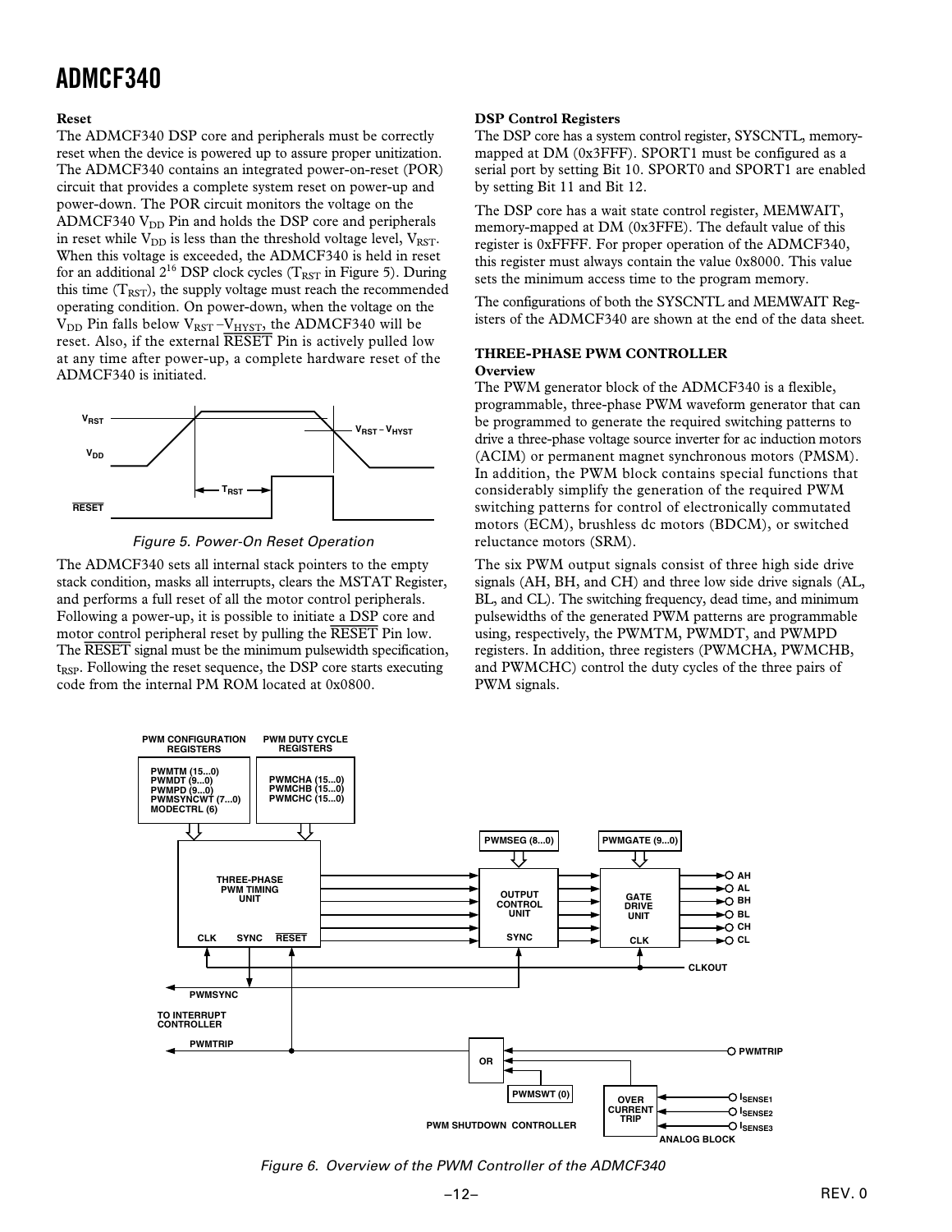#### **Reset**

The ADMCF340 DSP core and peripherals must be correctly reset when the device is powered up to assure proper unitization. The ADMCF340 contains an integrated power-on-reset (POR) circuit that provides a complete system reset on power-up and power-down. The POR circuit monitors the voltage on the ADMCF340  $V_{DD}$  Pin and holds the DSP core and peripherals in reset while  $V_{DD}$  is less than the threshold voltage level,  $V_{RST}$ . When this voltage is exceeded, the ADMCF340 is held in reset for an additional  $2^{16}$  DSP clock cycles (T<sub>RST</sub> in Figure 5). During this time  $(T<sub>RST</sub>)$ , the supply voltage must reach the recommended operating condition. On power-down, when the voltage on the  $V_{\rm DD}$  Pin falls below  $V_{\rm RST}$  – $V_{\rm HYST}$ , the ADMCF340 will be reset. Also, if the external *RESET* Pin is actively pulled low at any time after power-up, a complete hardware reset of the ADMCF340 is initiated.





The ADMCF340 sets all internal stack pointers to the empty stack condition, masks all interrupts, clears the MSTAT Register, and performs a full reset of all the motor control peripherals. Following a power-up, it is possible to initiate a DSP core and motor control peripheral reset by pulling the *RESET* Pin low. The *RESET* signal must be the minimum pulsewidth specification, t<sub>RSP</sub>. Following the reset sequence, the DSP core starts executing code from the internal PM ROM located at 0x0800.

#### **DSP Control Registers**

The DSP core has a system control register, SYSCNTL, memorymapped at DM (0x3FFF). SPORT1 must be configured as a serial port by setting Bit 10. SPORT0 and SPORT1 are enabled by setting Bit 11 and Bit 12.

The DSP core has a wait state control register, MEMWAIT, memory-mapped at DM (0x3FFE). The default value of this register is 0xFFFF. For proper operation of the ADMCF340, this register must always contain the value 0x8000. This value sets the minimum access time to the program memory.

The configurations of both the SYSCNTL and MEMWAIT Registers of the ADMCF340 are shown at the end of the data sheet.

#### **THREE-PHASE PWM CONTROLLER Overview**

The PWM generator block of the ADMCF340 is a flexible, programmable, three-phase PWM waveform generator that can be programmed to generate the required switching patterns to drive a three-phase voltage source inverter for ac induction motors (ACIM) or permanent magnet synchronous motors (PMSM). In addition, the PWM block contains special functions that considerably simplify the generation of the required PWM switching patterns for control of electronically commutated motors (ECM), brushless dc motors (BDCM), or switched reluctance motors (SRM).

The six PWM output signals consist of three high side drive signals (AH, BH, and CH) and three low side drive signals (AL, BL, and CL). The switching frequency, dead time, and minimum pulsewidths of the generated PWM patterns are programmable using, respectively, the PWMTM, PWMDT, and PWMPD registers. In addition, three registers (PWMCHA, PWMCHB, and PWMCHC) control the duty cycles of the three pairs of PWM signals.



Figure 6. Overview of the PWM Controller of the ADMCF340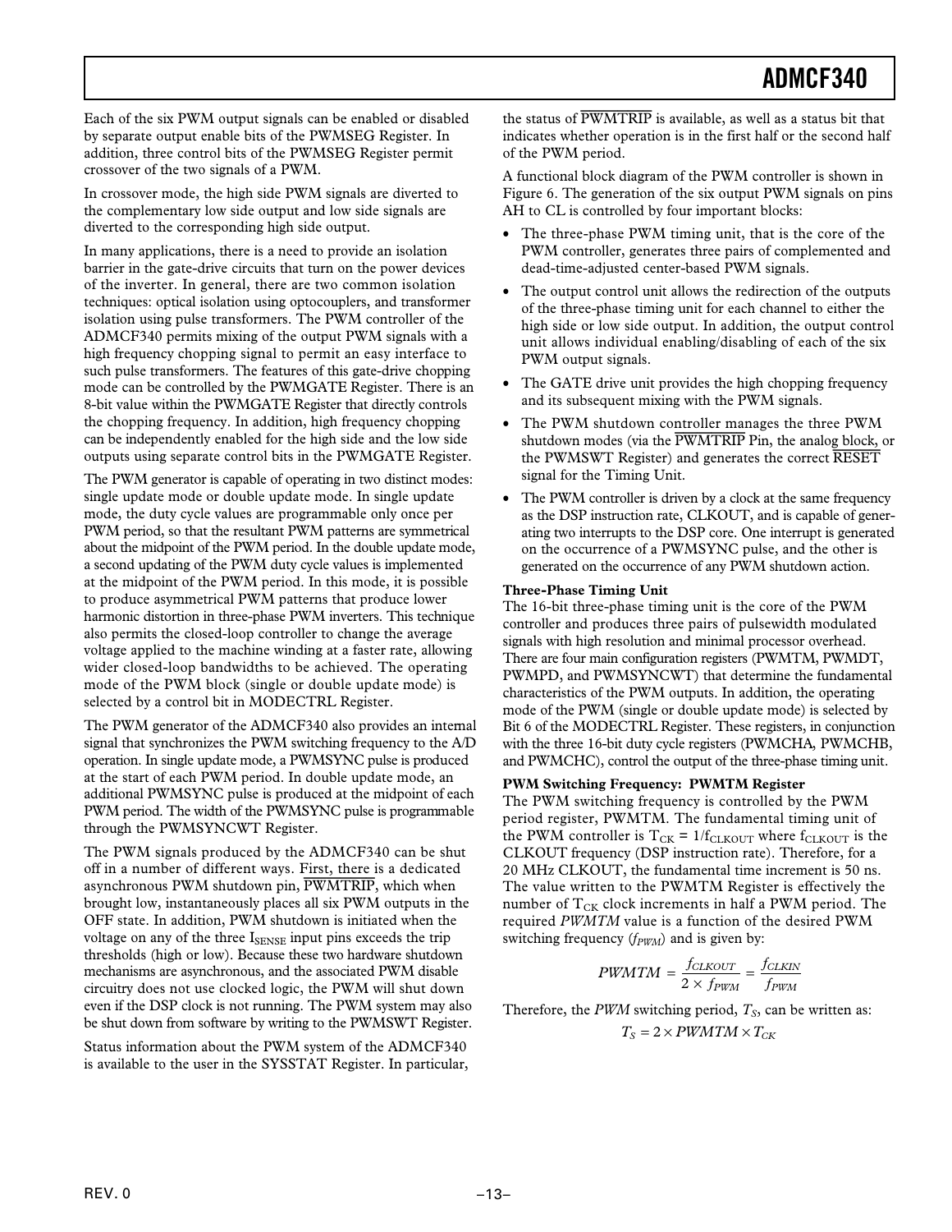Each of the six PWM output signals can be enabled or disabled by separate output enable bits of the PWMSEG Register. In addition, three control bits of the PWMSEG Register permit crossover of the two signals of a PWM.

In crossover mode, the high side PWM signals are diverted to the complementary low side output and low side signals are diverted to the corresponding high side output.

In many applications, there is a need to provide an isolation barrier in the gate-drive circuits that turn on the power devices of the inverter. In general, there are two common isolation techniques: optical isolation using optocouplers, and transformer isolation using pulse transformers. The PWM controller of the ADMCF340 permits mixing of the output PWM signals with a high frequency chopping signal to permit an easy interface to such pulse transformers. The features of this gate-drive chopping mode can be controlled by the PWMGATE Register. There is an 8-bit value within the PWMGATE Register that directly controls the chopping frequency. In addition, high frequency chopping can be independently enabled for the high side and the low side outputs using separate control bits in the PWMGATE Register.

The PWM generator is capable of operating in two distinct modes: single update mode or double update mode. In single update mode, the duty cycle values are programmable only once per PWM period, so that the resultant PWM patterns are symmetrical about the midpoint of the PWM period. In the double update mode, a second updating of the PWM duty cycle values is implemented at the midpoint of the PWM period. In this mode, it is possible to produce asymmetrical PWM patterns that produce lower harmonic distortion in three-phase PWM inverters. This technique also permits the closed-loop controller to change the average voltage applied to the machine winding at a faster rate, allowing wider closed-loop bandwidths to be achieved. The operating mode of the PWM block (single or double update mode) is selected by a control bit in MODECTRL Register.

The PWM generator of the ADMCF340 also provides an internal signal that synchronizes the PWM switching frequency to the A/D operation. In single update mode, a PWMSYNC pulse is produced at the start of each PWM period. In double update mode, an additional PWMSYNC pulse is produced at the midpoint of each PWM period. The width of the PWMSYNC pulse is programmable through the PWMSYNCWT Register.

The PWM signals produced by the ADMCF340 can be shut off in a number of different ways. First, there is a dedicated asynchronous PWM shutdown pin, *PWMTRIP*, which when brought low, instantaneously places all six PWM outputs in the OFF state. In addition, PWM shutdown is initiated when the voltage on any of the three  $I_{\text{SENSE}}$  input pins exceeds the trip thresholds (high or low). Because these two hardware shutdown mechanisms are asynchronous, and the associated PWM disable circuitry does not use clocked logic, the PWM will shut down even if the DSP clock is not running. The PWM system may also be shut down from software by writing to the PWMSWT Register.

Status information about the PWM system of the ADMCF340 is available to the user in the SYSSTAT Register. In particular, the status of *PWMTRIP* is available, as well as a status bit that indicates whether operation is in the first half or the second half of the PWM period.

A functional block diagram of the PWM controller is shown in Figure 6. The generation of the six output PWM signals on pins AH to CL is controlled by four important blocks:

- The three-phase PWM timing unit, that is the core of the PWM controller, generates three pairs of complemented and dead-time-adjusted center-based PWM signals.
- The output control unit allows the redirection of the outputs of the three-phase timing unit for each channel to either the high side or low side output. In addition, the output control unit allows individual enabling/disabling of each of the six PWM output signals.
- The GATE drive unit provides the high chopping frequency and its subsequent mixing with the PWM signals.
- The PWM shutdown controller manages the three PWM shutdown modes (via the *PWMTRIP* Pin, the analog block, or the PWMSWT Register) and generates the correct *RESET* signal for the Timing Unit.
- The PWM controller is driven by a clock at the same frequency as the DSP instruction rate, CLKOUT, and is capable of generating two interrupts to the DSP core. One interrupt is generated on the occurrence of a PWMSYNC pulse, and the other is generated on the occurrence of any PWM shutdown action.

#### **Three-Phase Timing Unit**

The 16-bit three-phase timing unit is the core of the PWM controller and produces three pairs of pulsewidth modulated signals with high resolution and minimal processor overhead. There are four main configuration registers (PWMTM, PWMDT, PWMPD, and PWMSYNCWT) that determine the fundamental characteristics of the PWM outputs. In addition, the operating mode of the PWM (single or double update mode) is selected by Bit 6 of the MODECTRL Register. These registers, in conjunction with the three 16-bit duty cycle registers (PWMCHA, PWMCHB, and PWMCHC), control the output of the three-phase timing unit.

#### **PWM Switching Frequency: PWMTM Register**

The PWM switching frequency is controlled by the PWM period register, PWMTM. The fundamental timing unit of the PWM controller is  $T_{CK} = 1/f_{CLKOUT}$  where  $f_{CLKOUT}$  is the CLKOUT frequency (DSP instruction rate). Therefore, for a 20 MHz CLKOUT, the fundamental time increment is 50 ns. The value written to the PWMTM Register is effectively the number of  $T_{CK}$  clock increments in half a PWM period. The required *PWMTM* value is a function of the desired PWM switching frequency ( $f_{PWM}$ ) and is given by:

$$
PWMTM = \frac{f_{CLKOUT}}{2 \times f_{PWM}} = \frac{f_{CLKIN}}{f_{PWM}}
$$

Therefore, the *PWM* switching period,  $T<sub>S</sub>$ , can be written as:  $T_S = 2 \times PWMTM \times T_{CK}$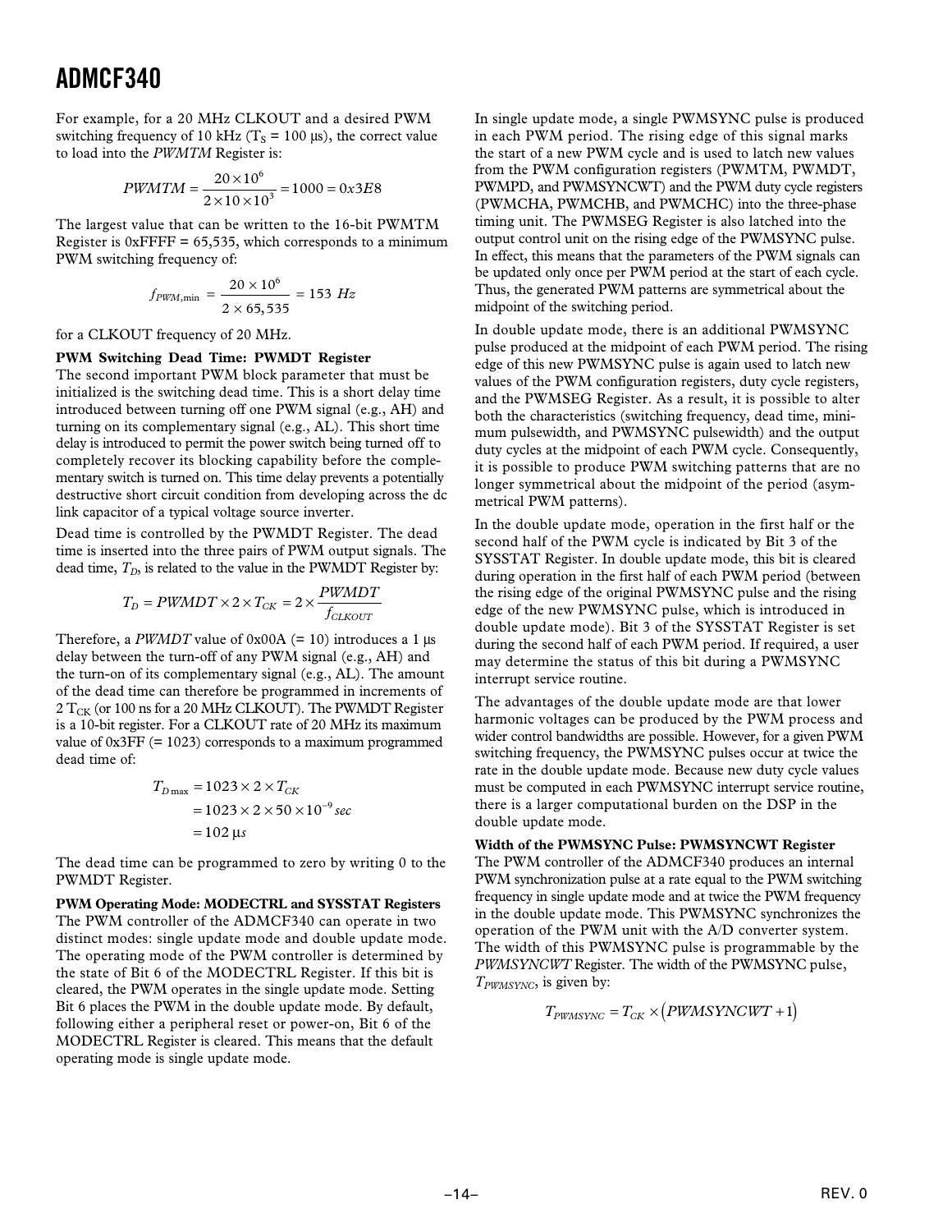For example, for a 20 MHz CLKOUT and a desired PWM switching frequency of 10 kHz ( $T_s$  = 100 µs), the correct value to load into the *PWMTM* Register is:

$$
PWMTM = \frac{20 \times 10^6}{2 \times 10 \times 10^3} = 1000 = 0 \times 3E8
$$

The largest value that can be written to the 16-bit PWMTM Register is  $0x$ FFFF = 65,535, which corresponds to a minimum PWM switching frequency of:

$$
f_{PWM,min} = \frac{20 \times 10^6}{2 \times 65,535} = 153 Hz
$$

for a CLKOUT frequency of 20 MHz.

#### **PWM Switching Dead Time: PWMDT Register**

The second important PWM block parameter that must be initialized is the switching dead time. This is a short delay time introduced between turning off one PWM signal (e.g., AH) and turning on its complementary signal (e.g., AL). This short time delay is introduced to permit the power switch being turned off to completely recover its blocking capability before the complementary switch is turned on. This time delay prevents a potentially destructive short circuit condition from developing across the dc link capacitor of a typical voltage source inverter.

Dead time is controlled by the PWMDT Register. The dead time is inserted into the three pairs of PWM output signals. The dead time,  $T_D$ , is related to the value in the PWMDT Register by:

$$
T_D = PWMDT \times 2 \times T_{CK} = 2 \times \frac{PWMDT}{f_{CLKOUT}}
$$

Therefore, a *PWMDT* value of  $0x00A$  (= 10) introduces a 1 µs delay between the turn-off of any PWM signal (e.g., AH) and the turn-on of its complementary signal (e.g., AL). The amount of the dead time can therefore be programmed in increments of  $2 T_{CK}$  (or 100 ns for a 20 MHz CLKOUT). The PWMDT Register is a 10-bit register. For a CLKOUT rate of 20 MHz its maximum value of 0x3FF (= 1023) corresponds to a maximum programmed dead time of:

$$
T_{D\max} = 1023 \times 2 \times T_{CK}
$$
  
= 1023 \times 2 \times 50 \times 10^{-9} sec  
= 102 \text{ }\mu\text{s}

The dead time can be programmed to zero by writing 0 to the PWMDT Register.

**PWM Operating Mode: MODECTRL and SYSSTAT Registers** The PWM controller of the ADMCF340 can operate in two distinct modes: single update mode and double update mode. The operating mode of the PWM controller is determined by the state of Bit 6 of the MODECTRL Register. If this bit is cleared, the PWM operates in the single update mode. Setting Bit 6 places the PWM in the double update mode. By default, following either a peripheral reset or power-on, Bit 6 of the MODECTRL Register is cleared. This means that the default operating mode is single update mode.

In single update mode, a single PWMSYNC pulse is produced in each PWM period. The rising edge of this signal marks the start of a new PWM cycle and is used to latch new values from the PWM configuration registers (PWMTM, PWMDT, PWMPD, and PWMSYNCWT) and the PWM duty cycle registers (PWMCHA, PWMCHB, and PWMCHC) into the three-phase timing unit. The PWMSEG Register is also latched into the output control unit on the rising edge of the PWMSYNC pulse. In effect, this means that the parameters of the PWM signals can be updated only once per PWM period at the start of each cycle. Thus, the generated PWM patterns are symmetrical about the midpoint of the switching period.

In double update mode, there is an additional PWMSYNC pulse produced at the midpoint of each PWM period. The rising edge of this new PWMSYNC pulse is again used to latch new values of the PWM configuration registers, duty cycle registers, and the PWMSEG Register. As a result, it is possible to alter both the characteristics (switching frequency, dead time, minimum pulsewidth, and PWMSYNC pulsewidth) and the output duty cycles at the midpoint of each PWM cycle. Consequently, it is possible to produce PWM switching patterns that are no longer symmetrical about the midpoint of the period (asymmetrical PWM patterns).

In the double update mode, operation in the first half or the second half of the PWM cycle is indicated by Bit 3 of the SYSSTAT Register. In double update mode, this bit is cleared during operation in the first half of each PWM period (between the rising edge of the original PWMSYNC pulse and the rising edge of the new PWMSYNC pulse, which is introduced in double update mode). Bit 3 of the SYSSTAT Register is set during the second half of each PWM period. If required, a user may determine the status of this bit during a PWMSYNC interrupt service routine.

The advantages of the double update mode are that lower harmonic voltages can be produced by the PWM process and wider control bandwidths are possible. However, for a given PWM switching frequency, the PWMSYNC pulses occur at twice the rate in the double update mode. Because new duty cycle values must be computed in each PWMSYNC interrupt service routine, there is a larger computational burden on the DSP in the double update mode.

#### **Width of the PWMSYNC Pulse: PWMSYNCWT Register**

The PWM controller of the ADMCF340 produces an internal PWM synchronization pulse at a rate equal to the PWM switching frequency in single update mode and at twice the PWM frequency in the double update mode. This PWMSYNC synchronizes the operation of the PWM unit with the A/D converter system. The width of this PWMSYNC pulse is programmable by the *PWMSYNCWT* Register. The width of the PWMSYNC pulse, *TPWMSYNC*, is given by:

$$
T_{PWMSYNC} = T_{CK} \times (PWMSYNCWT + 1)
$$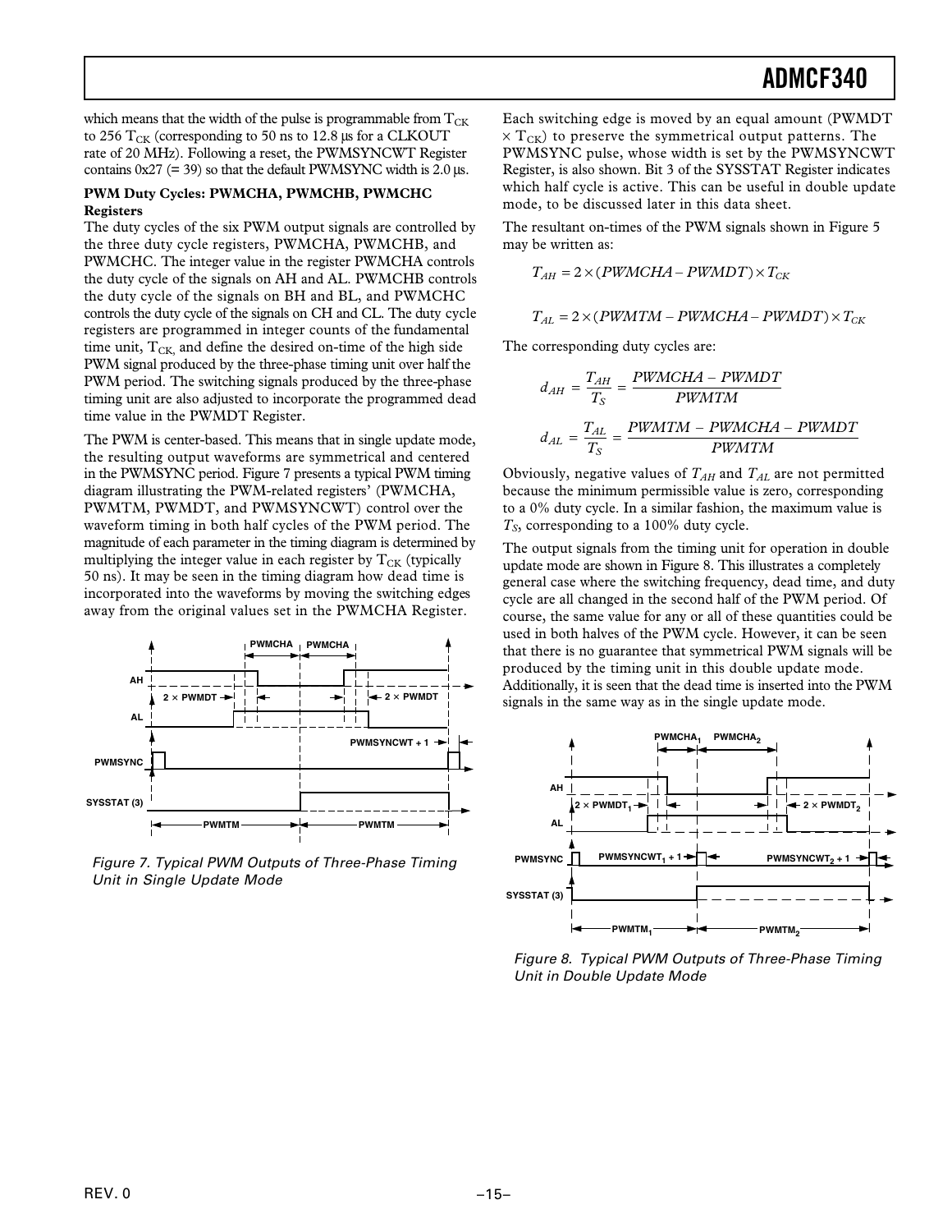which means that the width of the pulse is programmable from  $T_{CK}$ to 256  $T_{CK}$  (corresponding to 50 ns to 12.8 µs for a CLKOUT rate of 20 MHz). Following a reset, the PWMSYNCWT Register contains  $0x27$  (= 39) so that the default PWMSYNC width is 2.0  $\mu$ s.

#### **PWM Duty Cycles: PWMCHA, PWMCHB, PWMCHC Registers**

The duty cycles of the six PWM output signals are controlled by the three duty cycle registers, PWMCHA, PWMCHB, and PWMCHC. The integer value in the register PWMCHA controls the duty cycle of the signals on AH and AL. PWMCHB controls the duty cycle of the signals on BH and BL, and PWMCHC controls the duty cycle of the signals on CH and CL. The duty cycle registers are programmed in integer counts of the fundamental time unit,  $T_{CK}$  and define the desired on-time of the high side PWM signal produced by the three-phase timing unit over half the PWM period. The switching signals produced by the three-phase timing unit are also adjusted to incorporate the programmed dead time value in the PWMDT Register.

The PWM is center-based. This means that in single update mode, the resulting output waveforms are symmetrical and centered in the PWMSYNC period. Figure 7 presents a typical PWM timing diagram illustrating the PWM-related registers' (PWMCHA, PWMTM, PWMDT, and PWMSYNCWT) control over the waveform timing in both half cycles of the PWM period. The magnitude of each parameter in the timing diagram is determined by multiplying the integer value in each register by  $T_{CK}$  (typically 50 ns). It may be seen in the timing diagram how dead time is incorporated into the waveforms by moving the switching edges away from the original values set in the PWMCHA Register.



Figure 7. Typical PWM Outputs of Three-Phase Timing Unit in Single Update Mode

Each switching edge is moved by an equal amount (PWMDT  $\times T_{CK}$ ) to preserve the symmetrical output patterns. The PWMSYNC pulse, whose width is set by the PWMSYNCWT Register, is also shown. Bit 3 of the SYSSTAT Register indicates which half cycle is active. This can be useful in double update mode, to be discussed later in this data sheet.

The resultant on-times of the PWM signals shown in Figure 5 may be written as:

$$
T_{AH} = 2 \times (PWMCHA - PWMDT) \times T_{CK}
$$

$$
T_{AL}=2\times (PWMTM-PWMCHA-PWMDT)\times T_{CK}
$$

The corresponding duty cycles are:

$$
d_{AH} = \frac{T_{AH}}{T_S} = \frac{PWMCHA - PWMDT}{PWMTM}
$$

$$
d_{AL} = \frac{T_{AL}}{T_S} = \frac{PWMTM - PWMCHA - PWMDT}{PWMTM}
$$

Obviously, negative values of  $T_{AH}$  and  $T_{AL}$  are not permitted because the minimum permissible value is zero, corresponding to a 0% duty cycle. In a similar fashion, the maximum value is *TS*, corresponding to a 100% duty cycle.

The output signals from the timing unit for operation in double update mode are shown in Figure 8. This illustrates a completely general case where the switching frequency, dead time, and duty cycle are all changed in the second half of the PWM period. Of course, the same value for any or all of these quantities could be used in both halves of the PWM cycle. However, it can be seen that there is no guarantee that symmetrical PWM signals will be produced by the timing unit in this double update mode. Additionally, it is seen that the dead time is inserted into the PWM signals in the same way as in the single update mode.



Figure 8. Typical PWM Outputs of Three-Phase Timing Unit in Double Update Mode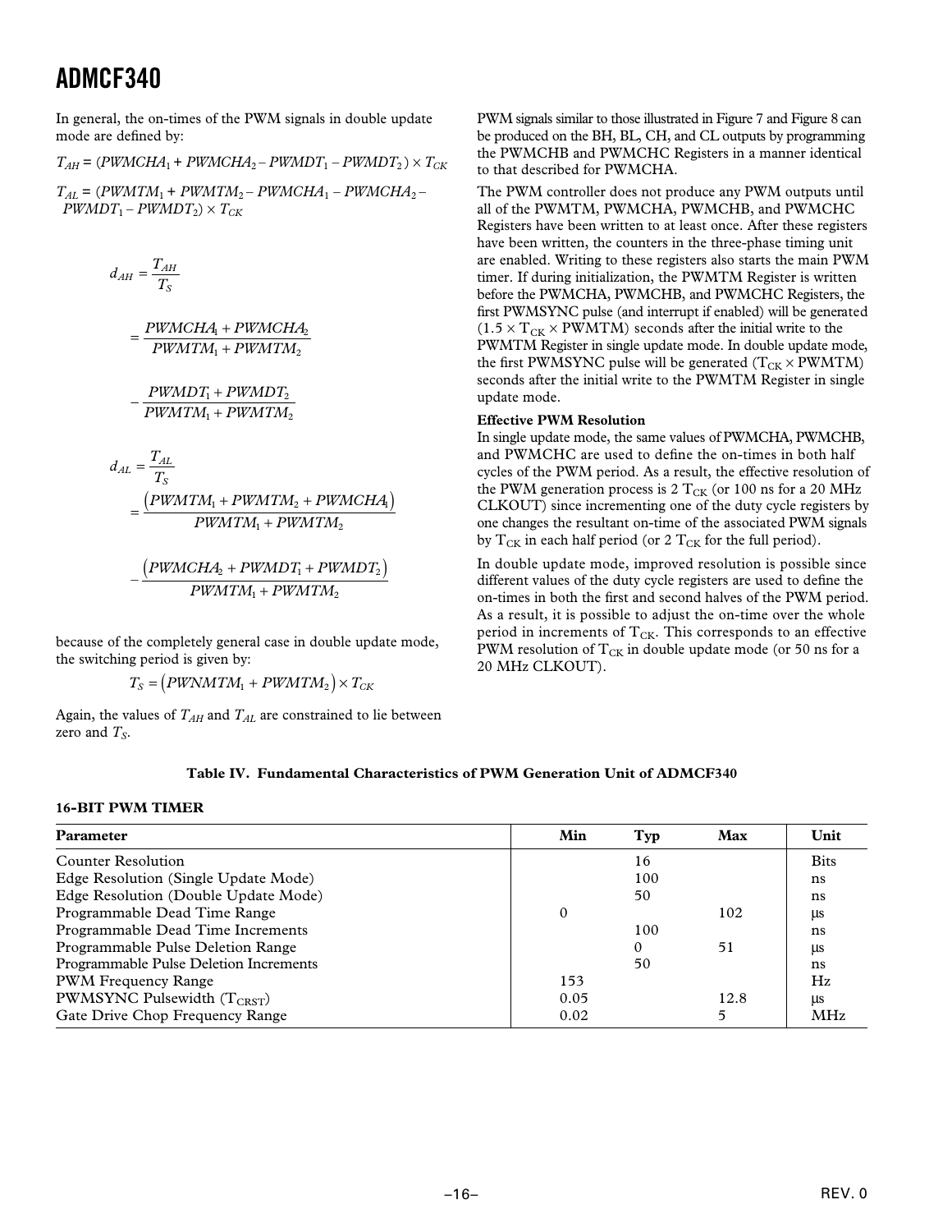In general, the on-times of the PWM signals in double update mode are defined by:

 $T_{AH}$  = (*PWMCHA*<sub>1</sub> + *PWMCHA*<sub>2</sub> – *PWMDT*<sub>1</sub> – *PWMDT*<sub>2</sub>) ×  $T_{CK}$ 

 $T_{AL}$  = (*PWMTM*<sub>1</sub> + *PWMTM*<sub>2</sub> – *PWMCHA*<sub>1</sub> – *PWMCHA*<sub>2</sub> –  $PWMDT_1 - PWMDT_2 \times T_{CK}$ 

$$
d_{AH} = \frac{T_{AH}}{T_S}
$$

*PWMCHA PWMCHA*  $=\frac{PWMCHA_{\textrm{I}}+PWMCH}{PWMTM_{\textrm{I}}+PWMTM_{\textrm{I}}}$  $\mathbf{u}_1 + \mathbf{r}$  winch $\mathbf{H}_2$  $_1 + T$  *wiver the*  $_2$ 

*PWMDT PWMDT* <sup>−</sup> <sup>+</sup> 1 2  $PWMTM_1+PWMTM_2$ 

$$
d_{AL} = \frac{T_{AL}}{T_S}
$$
  
= 
$$
\frac{(PWMTM_1 + PWMTM_2 + PWMCHA_1)}{PWMTM_1 + PWMTM_2}
$$

$$
-\frac{\left(PWMCHA_{2}+PWMDT_{1}+PWMDT_{2}\right)}{PWMTM_{1}+PWMTM_{2}}
$$

because of the completely general case in double update mode, the switching period is given by:

 $T_S = (PWNMTM_1 + PWMTM_2) \times T_{CK}$ 

Again, the values of  $T_{AH}$  and  $T_{AL}$  are constrained to lie between zero and  $T_S$ .

PWM signals similar to those illustrated in Figure 7 and Figure 8 can be produced on the BH, BL, CH, and CL outputs by programming the PWMCHB and PWMCHC Registers in a manner identical to that described for PWMCHA.

The PWM controller does not produce any PWM outputs until all of the PWMTM, PWMCHA, PWMCHB, and PWMCHC Registers have been written to at least once. After these registers have been written, the counters in the three-phase timing unit are enabled. Writing to these registers also starts the main PWM timer. If during initialization, the PWMTM Register is written before the PWMCHA, PWMCHB, and PWMCHC Registers, the first PWMSYNC pulse (and interrupt if enabled) will be generated  $(1.5 \times T_{CK} \times$  PWMTM) seconds after the initial write to the PWMTM Register in single update mode. In double update mode, the first PWMSYNC pulse will be generated  $(T_{CK} \times PWMTM)$ seconds after the initial write to the PWMTM Register in single update mode.

#### **Effective PWM Resolution**

In single update mode, the same values of PWMCHA, PWMCHB, and PWMCHC are used to define the on-times in both half cycles of the PWM period. As a result, the effective resolution of the PWM generation process is  $2 T_{CK}$  (or 100 ns for a 20 MHz CLKOUT) since incrementing one of the duty cycle registers by one changes the resultant on-time of the associated PWM signals by  $T_{CK}$  in each half period (or 2  $T_{CK}$  for the full period).

In double update mode, improved resolution is possible since different values of the duty cycle registers are used to define the on-times in both the first and second halves of the PWM period. As a result, it is possible to adjust the on-time over the whole period in increments of  $T_{CK}$ . This corresponds to an effective PWM resolution of  $T_{CK}$  in double update mode (or 50 ns for a 20 MHz CLKOUT).

#### **Table IV. Fundamental Characteristics of PWM Generation Unit of ADMCF340**

#### **16-BIT PWM TIMER**

| <b>Parameter</b>                       | Min      | Typ | Max  | Unit        |
|----------------------------------------|----------|-----|------|-------------|
| Counter Resolution                     |          | 16  |      | <b>Bits</b> |
| Edge Resolution (Single Update Mode)   |          | 100 |      | ns          |
| Edge Resolution (Double Update Mode)   |          | 50  |      | ns          |
| Programmable Dead Time Range           | $\Omega$ |     | 102  | μs          |
| Programmable Dead Time Increments      |          | 100 |      | ns          |
| Programmable Pulse Deletion Range      |          | 0   | 51   | μs          |
| Programmable Pulse Deletion Increments |          | 50  |      | ns          |
| PWM Frequency Range                    | 153      |     |      | Hz          |
| PWMSYNC Pulsewidth $(T_{CRST})$        | 0.05     |     | 12.8 | LIS         |
| Gate Drive Chop Frequency Range        | 0.02     |     |      | <b>MHz</b>  |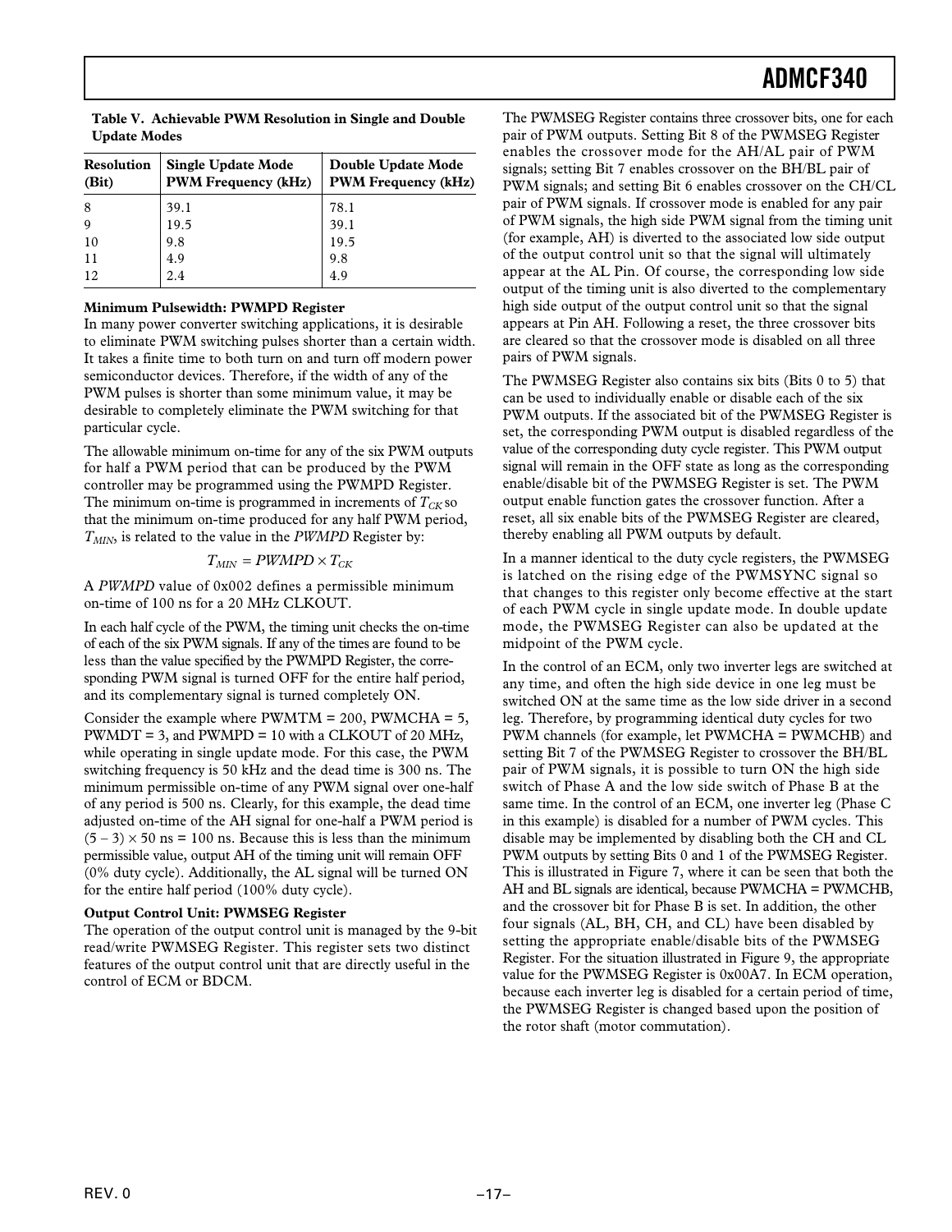| <b>Single Update Mode</b><br>Resolution<br><b>PWM Frequency (kHz)</b><br>(Bit) |      | Double Update Mode<br><b>PWM Frequency (kHz)</b> |  |  |
|--------------------------------------------------------------------------------|------|--------------------------------------------------|--|--|
| 8                                                                              | 39.1 | 78.1                                             |  |  |
| -9                                                                             | 19.5 | 39.1                                             |  |  |
| 10                                                                             | 9.8  | 19.5                                             |  |  |
| 11                                                                             | 4.9  | 9.8                                              |  |  |
| 12                                                                             | 2.4  | 4.9                                              |  |  |

**Table V. Achievable PWM Resolution in Single and Double Update Modes**

#### **Minimum Pulsewidth: PWMPD Register**

In many power converter switching applications, it is desirable to eliminate PWM switching pulses shorter than a certain width. It takes a finite time to both turn on and turn off modern power semiconductor devices. Therefore, if the width of any of the PWM pulses is shorter than some minimum value, it may be desirable to completely eliminate the PWM switching for that particular cycle.

The allowable minimum on-time for any of the six PWM outputs for half a PWM period that can be produced by the PWM controller may be programmed using the PWMPD Register. The minimum on-time is programmed in increments of  $T_{CK}$  so that the minimum on-time produced for any half PWM period, *TMIN*, is related to the value in the *PWMPD* Register by:

$$
T_{MIN} = PWMPD \times T_{CK}
$$

A *PWMPD* value of 0x002 defines a permissible minimum on-time of 100 ns for a 20 MHz CLKOUT.

In each half cycle of the PWM, the timing unit checks the on-time of each of the six PWM signals. If any of the times are found to be less than the value specified by the PWMPD Register, the corresponding PWM signal is turned OFF for the entire half period, and its complementary signal is turned completely ON.

Consider the example where  $PWMTM = 200$ ,  $PWMCHA = 5$ , PWMDT = 3, and PWMPD = 10 with a CLKOUT of 20 MHz, while operating in single update mode. For this case, the PWM switching frequency is 50 kHz and the dead time is 300 ns. The minimum permissible on-time of any PWM signal over one-half of any period is 500 ns. Clearly, for this example, the dead time adjusted on-time of the AH signal for one-half a PWM period is  $(5 - 3) \times 50$  ns = 100 ns. Because this is less than the minimum permissible value, output AH of the timing unit will remain OFF (0% duty cycle). Additionally, the AL signal will be turned ON for the entire half period (100% duty cycle).

#### **Output Control Unit: PWMSEG Register**

The operation of the output control unit is managed by the 9-bit read/write PWMSEG Register. This register sets two distinct features of the output control unit that are directly useful in the control of ECM or BDCM.

The PWMSEG Register contains three crossover bits, one for each pair of PWM outputs. Setting Bit 8 of the PWMSEG Register enables the crossover mode for the AH/AL pair of PWM signals; setting Bit 7 enables crossover on the BH/BL pair of PWM signals; and setting Bit 6 enables crossover on the CH/CL pair of PWM signals. If crossover mode is enabled for any pair of PWM signals, the high side PWM signal from the timing unit (for example, AH) is diverted to the associated low side output of the output control unit so that the signal will ultimately appear at the AL Pin. Of course, the corresponding low side output of the timing unit is also diverted to the complementary high side output of the output control unit so that the signal appears at Pin AH. Following a reset, the three crossover bits are cleared so that the crossover mode is disabled on all three pairs of PWM signals.

The PWMSEG Register also contains six bits (Bits 0 to 5) that can be used to individually enable or disable each of the six PWM outputs. If the associated bit of the PWMSEG Register is set, the corresponding PWM output is disabled regardless of the value of the corresponding duty cycle register. This PWM output signal will remain in the OFF state as long as the corresponding enable/disable bit of the PWMSEG Register is set. The PWM output enable function gates the crossover function. After a reset, all six enable bits of the PWMSEG Register are cleared, thereby enabling all PWM outputs by default.

In a manner identical to the duty cycle registers, the PWMSEG is latched on the rising edge of the PWMSYNC signal so that changes to this register only become effective at the start of each PWM cycle in single update mode. In double update mode, the PWMSEG Register can also be updated at the midpoint of the PWM cycle.

In the control of an ECM, only two inverter legs are switched at any time, and often the high side device in one leg must be switched ON at the same time as the low side driver in a second leg. Therefore, by programming identical duty cycles for two PWM channels (for example, let PWMCHA = PWMCHB) and setting Bit 7 of the PWMSEG Register to crossover the BH/BL pair of PWM signals, it is possible to turn ON the high side switch of Phase A and the low side switch of Phase B at the same time. In the control of an ECM, one inverter leg (Phase C in this example) is disabled for a number of PWM cycles. This disable may be implemented by disabling both the CH and CL PWM outputs by setting Bits 0 and 1 of the PWMSEG Register. This is illustrated in Figure 7, where it can be seen that both the AH and BL signals are identical, because PWMCHA = PWMCHB, and the crossover bit for Phase B is set. In addition, the other four signals (AL, BH, CH, and CL) have been disabled by setting the appropriate enable/disable bits of the PWMSEG Register. For the situation illustrated in Figure 9, the appropriate value for the PWMSEG Register is 0x00A7. In ECM operation, because each inverter leg is disabled for a certain period of time, the PWMSEG Register is changed based upon the position of the rotor shaft (motor commutation).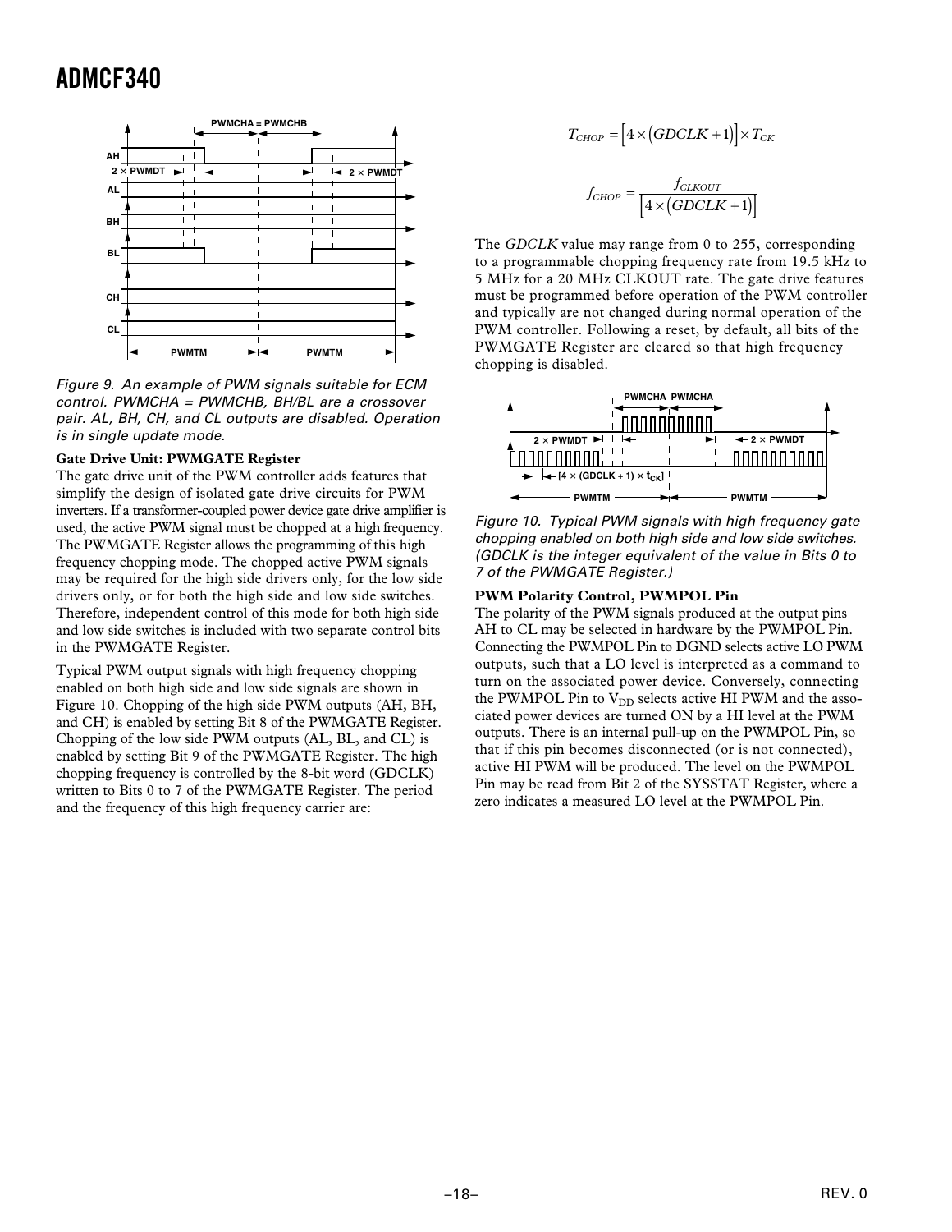

Figure 9. An example of PWM signals suitable for ECM control. PWMCHA = PWMCHB, BH/BL are a crossover pair. AL, BH, CH, and CL outputs are disabled. Operation is in single update mode.

#### **Gate Drive Unit: PWMGATE Register**

The gate drive unit of the PWM controller adds features that simplify the design of isolated gate drive circuits for PWM inverters. If a transformer-coupled power device gate drive amplifier is used, the active PWM signal must be chopped at a high frequency. The PWMGATE Register allows the programming of this high frequency chopping mode. The chopped active PWM signals may be required for the high side drivers only, for the low side drivers only, or for both the high side and low side switches. Therefore, independent control of this mode for both high side and low side switches is included with two separate control bits in the PWMGATE Register.

Typical PWM output signals with high frequency chopping enabled on both high side and low side signals are shown in Figure 10. Chopping of the high side PWM outputs (AH, BH, and CH) is enabled by setting Bit 8 of the PWMGATE Register. Chopping of the low side PWM outputs (AL, BL, and CL) is enabled by setting Bit 9 of the PWMGATE Register. The high chopping frequency is controlled by the 8-bit word (GDCLK) written to Bits 0 to 7 of the PWMGATE Register. The period and the frequency of this high frequency carrier are:

$$
T_{CHOP} = [4 \times (GDCLK + 1)] \times T_{CK}
$$

$$
f_{CHOP} = \frac{f_{CLKOUT}}{[4 \times (GDCLK + 1)]}
$$

The *GDCLK* value may range from 0 to 255, corresponding to a programmable chopping frequency rate from 19.5 kHz to 5 MHz for a 20 MHz CLKOUT rate. The gate drive features must be programmed before operation of the PWM controller and typically are not changed during normal operation of the PWM controller. Following a reset, by default, all bits of the PWMGATE Register are cleared so that high frequency chopping is disabled.



Figure 10. Typical PWM signals with high frequency gate chopping enabled on both high side and low side switches. (GDCLK is the integer equivalent of the value in Bits 0 to 7 of the PWMGATE Register.)

#### **PWM Polarity Control, PWMPOL Pin**

The polarity of the PWM signals produced at the output pins AH to CL may be selected in hardware by the PWMPOL Pin. Connecting the PWMPOL Pin to DGND selects active LO PWM outputs, such that a LO level is interpreted as a command to turn on the associated power device. Conversely, connecting the PWMPOL Pin to  $V_{DD}$  selects active HI PWM and the associated power devices are turned ON by a HI level at the PWM outputs. There is an internal pull-up on the PWMPOL Pin, so that if this pin becomes disconnected (or is not connected), active HI PWM will be produced. The level on the PWMPOL Pin may be read from Bit 2 of the SYSSTAT Register, where a zero indicates a measured LO level at the PWMPOL Pin.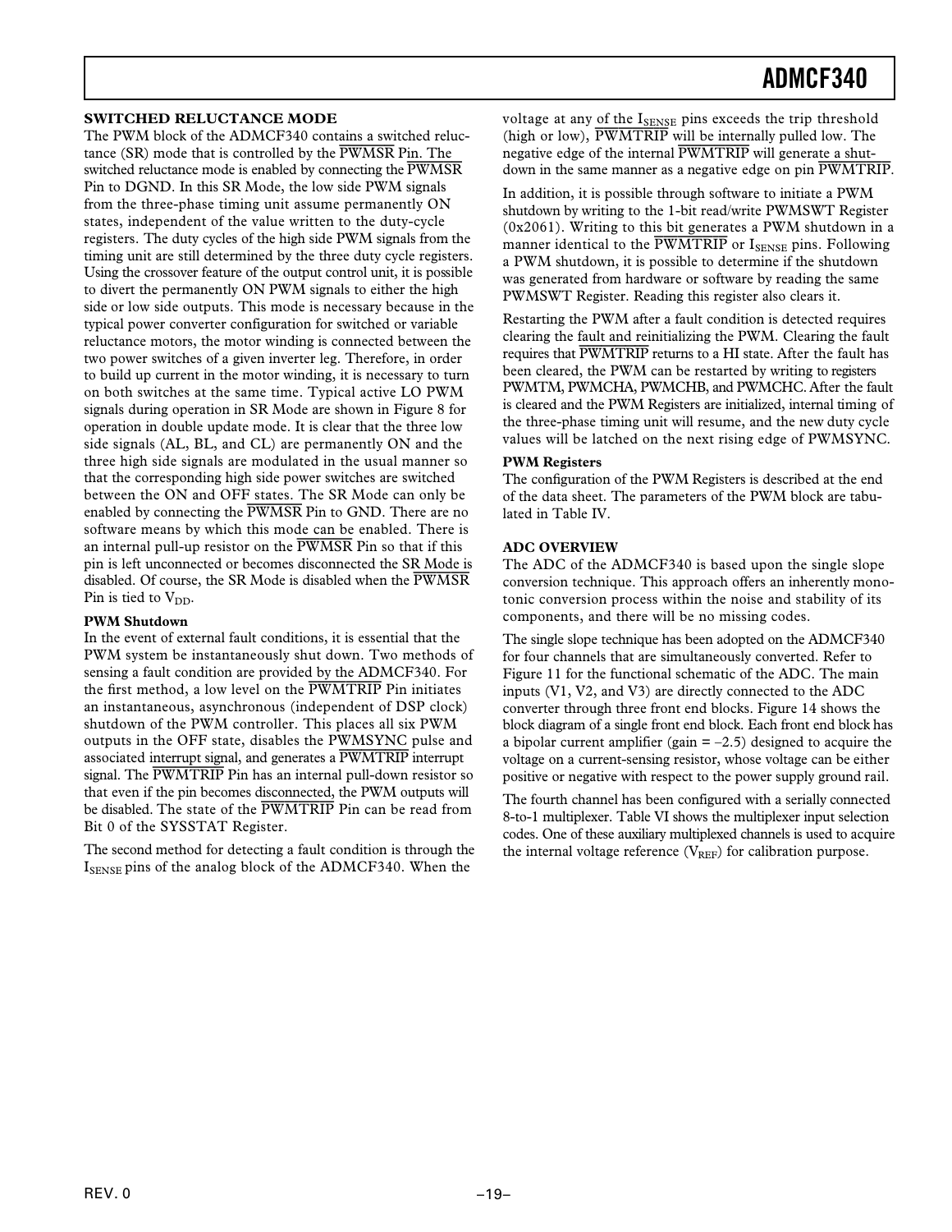#### **SWITCHED RELUCTANCE MODE**

The PWM block of the ADMCF340 contains a switched reluctance (SR) mode that is controlled by the *PWMSR* Pin. The switched reluctance mode is enabled by connecting the *PWMSR* Pin to DGND. In this SR Mode, the low side PWM signals from the three-phase timing unit assume permanently ON states, independent of the value written to the duty-cycle registers. The duty cycles of the high side PWM signals from the timing unit are still determined by the three duty cycle registers. Using the crossover feature of the output control unit, it is possible to divert the permanently ON PWM signals to either the high side or low side outputs. This mode is necessary because in the typical power converter configuration for switched or variable reluctance motors, the motor winding is connected between the two power switches of a given inverter leg. Therefore, in order to build up current in the motor winding, it is necessary to turn on both switches at the same time. Typical active LO PWM signals during operation in SR Mode are shown in Figure 8 for operation in double update mode. It is clear that the three low side signals (AL, BL, and CL) are permanently ON and the three high side signals are modulated in the usual manner so that the corresponding high side power switches are switched between the ON and OFF states. The SR Mode can only be enabled by connecting the *PWMSR* Pin to GND. There are no software means by which this mode can be enabled. There is an internal pull-up resistor on the *PWMSR* Pin so that if this pin is left unconnected or becomes disconnected the SR Mode is disabled. Of course, the SR Mode is disabled when the *PWMSR* Pin is tied to  $V_{DD}$ .

#### **PWM Shutdown**

In the event of external fault conditions, it is essential that the PWM system be instantaneously shut down. Two methods of sensing a fault condition are provided by the ADMCF340. For the first method, a low level on the *PWMTRIP* Pin initiates an instantaneous, asynchronous (independent of DSP clock) shutdown of the PWM controller. This places all six PWM outputs in the OFF state, disables the PWMSYNC pulse and associated interrupt signal, and generates a *PWMTRIP* interrupt signal. The *PWMTRIP* Pin has an internal pull-down resistor so that even if the pin becomes disconnected, the PWM outputs will be disabled. The state of the *PWMTRIP* Pin can be read from Bit 0 of the SYSSTAT Register.

The second method for detecting a fault condition is through the  $I_{\text{SPNSF}}$  pins of the analog block of the ADMCF340. When the

voltage at any of the ISENSE pins exceeds the trip threshold (high or low), *PWMTRIP* will be internally pulled low. The negative edge of the internal *PWMTRIP* will generate a shutdown in the same manner as a negative edge on pin *PWMTRIP*.

In addition, it is possible through software to initiate a PWM shutdown by writing to the 1-bit read/write PWMSWT Register (0x2061). Writing to this bit generates a PWM shutdown in a manner identical to the **PWMTRIP** or ISENSE pins. Following a PWM shutdown, it is possible to determine if the shutdown was generated from hardware or software by reading the same PWMSWT Register. Reading this register also clears it.

Restarting the PWM after a fault condition is detected requires clearing the fault and reinitializing the PWM. Clearing the fault requires that *PWMTRIP* returns to a HI state. After the fault has been cleared, the PWM can be restarted by writing to registers PWMTM, PWMCHA, PWMCHB, and PWMCHC. After the fault is cleared and the PWM Registers are initialized, internal timing of the three-phase timing unit will resume, and the new duty cycle values will be latched on the next rising edge of PWMSYNC.

#### **PWM Registers**

The configuration of the PWM Registers is described at the end of the data sheet. The parameters of the PWM block are tabulated in Table IV.

#### **ADC OVERVIEW**

The ADC of the ADMCF340 is based upon the single slope conversion technique. This approach offers an inherently monotonic conversion process within the noise and stability of its components, and there will be no missing codes.

The single slope technique has been adopted on the ADMCF340 for four channels that are simultaneously converted. Refer to Figure 11 for the functional schematic of the ADC. The main inputs (V1, V2, and V3) are directly connected to the ADC converter through three front end blocks. Figure 14 shows the block diagram of a single front end block. Each front end block has a bipolar current amplifier (gain  $= -2.5$ ) designed to acquire the voltage on a current-sensing resistor, whose voltage can be either positive or negative with respect to the power supply ground rail.

The fourth channel has been configured with a serially connected 8-to-1 multiplexer. Table VI shows the multiplexer input selection codes. One of these auxiliary multiplexed channels is used to acquire the internal voltage reference  $(V_{REF})$  for calibration purpose.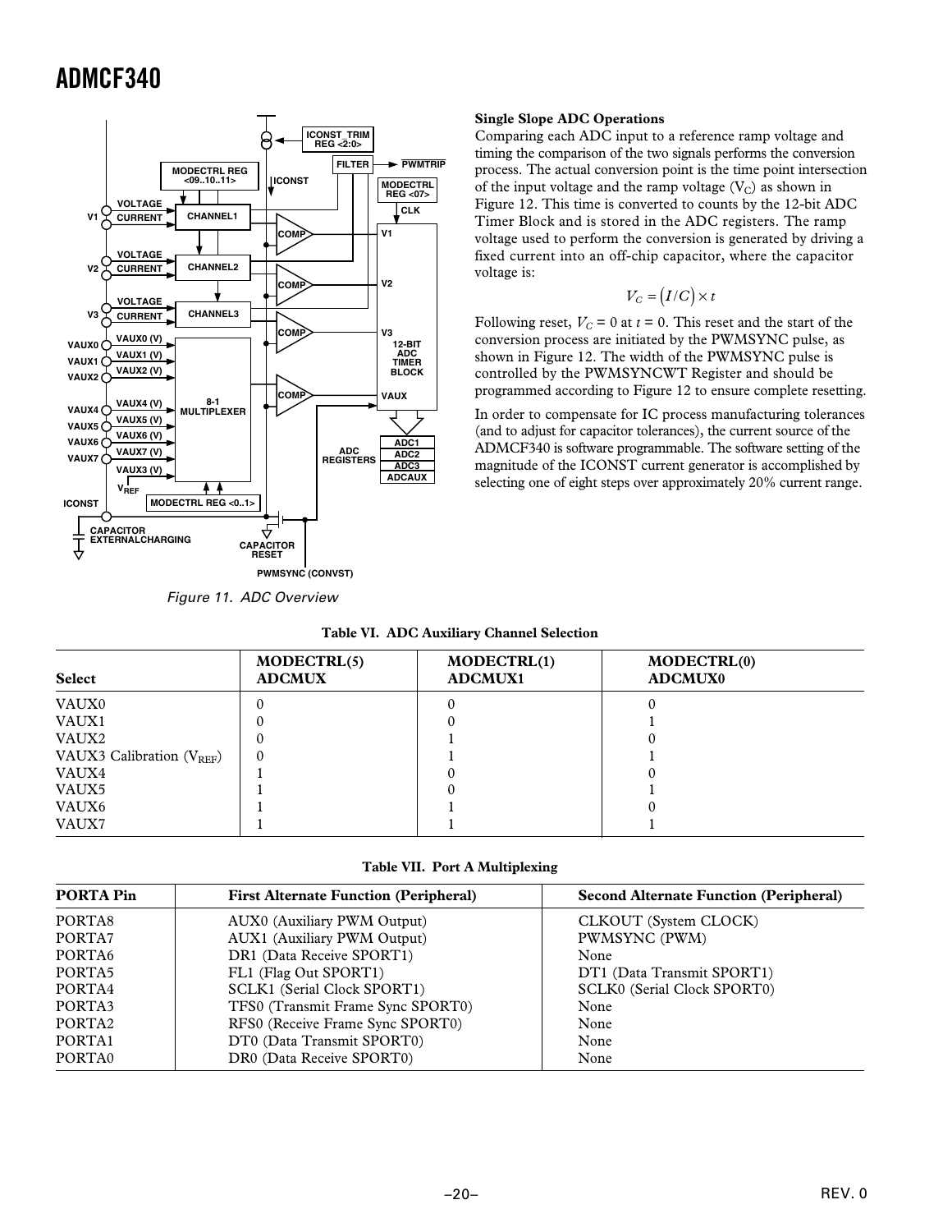

Figure 11. ADC Overview

#### **Single Slope ADC Operations**

Comparing each ADC input to a reference ramp voltage and timing the comparison of the two signals performs the conversion process. The actual conversion point is the time point intersection of the input voltage and the ramp voltage  $(V_C)$  as shown in Figure 12. This time is converted to counts by the 12-bit ADC Timer Block and is stored in the ADC registers. The ramp voltage used to perform the conversion is generated by driving a fixed current into an off-chip capacitor, where the capacitor voltage is:

$$
V_C = (I/C) \times t
$$

Following reset,  $V_C = 0$  at  $t = 0$ . This reset and the start of the conversion process are initiated by the PWMSYNC pulse, as shown in Figure 12. The width of the PWMSYNC pulse is controlled by the PWMSYNCWT Register and should be programmed according to Figure 12 to ensure complete resetting.

In order to compensate for IC process manufacturing tolerances (and to adjust for capacitor tolerances), the current source of the ADMCF340 is software programmable. The software setting of the magnitude of the ICONST current generator is accomplished by selecting one of eight steps over approximately 20% current range.

|  |  | <b>Table VI. ADC Auxiliary Channel Selection</b> |
|--|--|--------------------------------------------------|
|--|--|--------------------------------------------------|

| <b>Select</b>                  | MODECTRL(5)<br><b>ADCMUX</b> | MODECTRL(1)<br><b>ADCMUX1</b> | MODECTRL(0)<br><b>ADCMUX0</b> |
|--------------------------------|------------------------------|-------------------------------|-------------------------------|
| VAUX0                          |                              |                               |                               |
| VAUX1                          |                              |                               |                               |
| VAUX2                          |                              |                               |                               |
| VAUX3 Calibration $(V_{REF}$ ) |                              |                               |                               |
| VAUX4                          |                              |                               |                               |
| VAUX5                          |                              |                               |                               |
| VAUX6                          |                              |                               |                               |
| VAUX7                          |                              |                               |                               |

**Table VII. Port A Multiplexing**

| <b>PORTA Pin</b>   | <b>First Alternate Function (Peripheral)</b> | <b>Second Alternate Function (Peripheral)</b> |
|--------------------|----------------------------------------------|-----------------------------------------------|
| PORTA8             | AUX0 (Auxiliary PWM Output)                  | CLKOUT (System CLOCK)                         |
| PORTA7             | AUX1 (Auxiliary PWM Output)                  | PWMSYNC (PWM)                                 |
| PORTA <sub>6</sub> | DR1 (Data Receive SPORT1)                    | None                                          |
| PORTA5             | FL1 (Flag Out SPORT1)                        | DT1 (Data Transmit SPORT1)                    |
| PORTA4             | SCLK1 (Serial Clock SPORT1)                  | SCLK0 (Serial Clock SPORT0)                   |
| PORTA3             | TFS0 (Transmit Frame Sync SPORT0)            | None                                          |
| PORTA <sub>2</sub> | RFS0 (Receive Frame Sync SPORT0)             | None                                          |
| PORTA1             | DT0 (Data Transmit SPORT0)                   | None                                          |
| PORTA0             | DR0 (Data Receive SPORT0)                    | None                                          |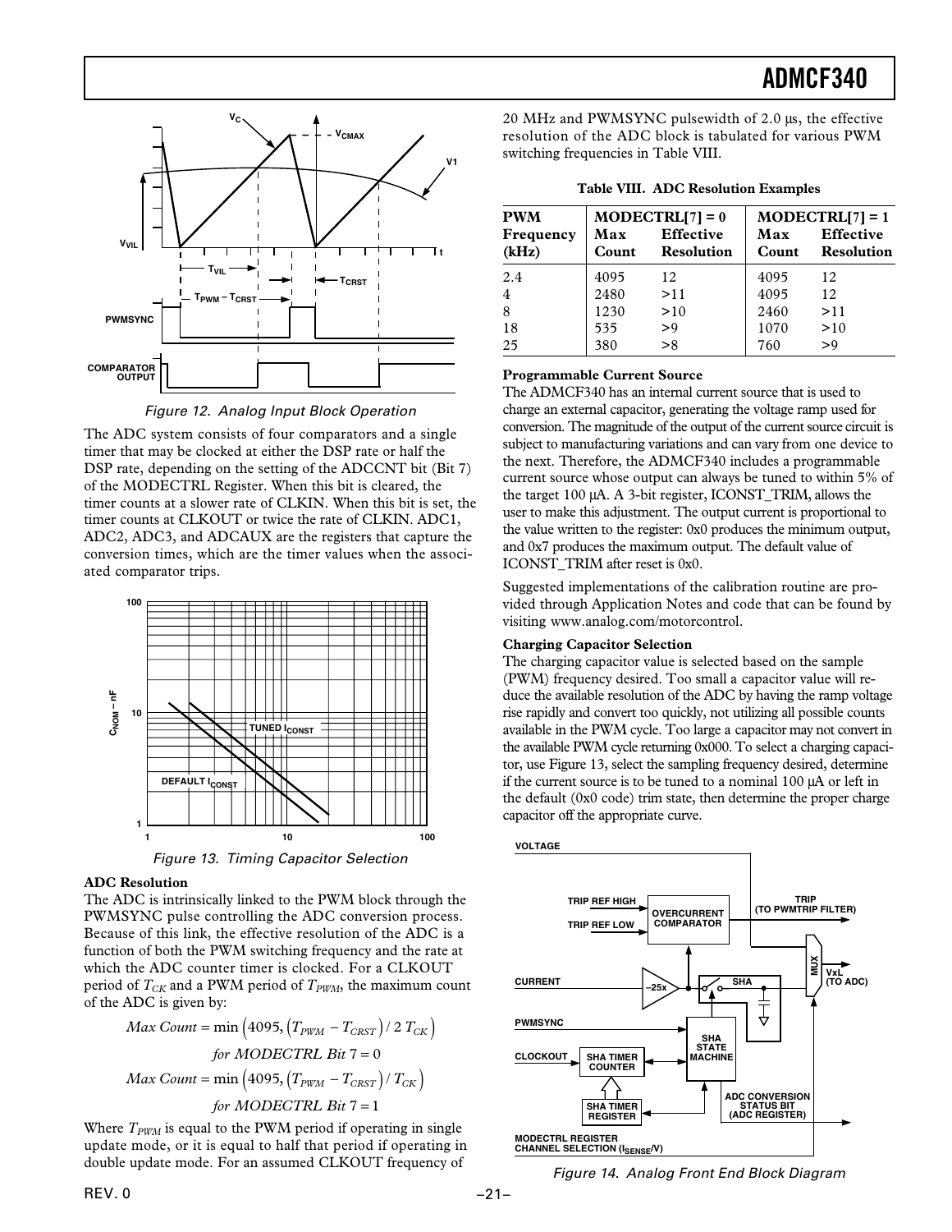

Figure 12. Analog Input Block Operation

The ADC system consists of four comparators and a single timer that may be clocked at either the DSP rate or half the DSP rate, depending on the setting of the ADCCNT bit (Bit 7) of the MODECTRL Register. When this bit is cleared, the timer counts at a slower rate of CLKIN. When this bit is set, the timer counts at CLKOUT or twice the rate of CLKIN. ADC1, ADC2, ADC3, and ADCAUX are the registers that capture the conversion times, which are the timer values when the associated comparator trips.



Figure 13. Timing Capacitor Selection

#### **ADC Resolution**

The ADC is intrinsically linked to the PWM block through the PWMSYNC pulse controlling the ADC conversion process. Because of this link, the effective resolution of the ADC is a function of both the PWM switching frequency and the rate at which the ADC counter timer is clocked. For a CLKOUT period of  $T_{CK}$  and a PWM period of  $T_{PWM}$ , the maximum count of the ADC is given by:

$$
Max Count = min (4095, (T_{PWM} - T_{CRST}) / 2 T_{CK})
$$
  
for *MODECTRL Bit* 7 = 0  
Max Count = min (4095, (T\_{PWM} - T\_{CRST}) / T\_{CK})  
for *MODECTRL Bit* 7 = 1

Where  $T_{PWM}$  is equal to the PWM period if operating in single update mode, or it is equal to half that period if operating in double update mode. For an assumed CLKOUT frequency of

20 MHz and PWMSYNC pulsewidth of 2.0 µs, the effective resolution of the ADC block is tabulated for various PWM switching frequencies in Table VIII.

| <b>PWM</b>         | $MODECTRL[7] = 0$ |                                       |              | $MODECTRL[7] = 1$              |
|--------------------|-------------------|---------------------------------------|--------------|--------------------------------|
| Frequency<br>(kHz) | Max<br>Count      | <b>Effective</b><br><b>Resolution</b> | Max<br>Count | <b>Effective</b><br>Resolution |
| 2.4                | 4095              | 12                                    | 4095         | 12                             |
| $\overline{4}$     | 2480              | >11                                   | 4095         | 12                             |
| 8                  | 1230              | >10                                   | 2460         | >11                            |
| 18                 | 535               | >9                                    | 1070         | >10                            |
| 25                 | 380               | > 8                                   | 760          | > 9                            |

**Table VIII. ADC Resolution Examples**

#### **Programmable Current Source**

The ADMCF340 has an internal current source that is used to charge an external capacitor, generating the voltage ramp used for conversion. The magnitude of the output of the current source circuit is subject to manufacturing variations and can vary from one device to the next. Therefore, the ADMCF340 includes a programmable current source whose output can always be tuned to within 5% of the target 100 µA. A 3-bit register, ICONST\_TRIM, allows the user to make this adjustment. The output current is proportional to the value written to the register: 0x0 produces the minimum output, and 0x7 produces the maximum output. The default value of ICONST\_TRIM after reset is 0x0.

Suggested implementations of the calibration routine are provided through Application Notes and code that can be found by visiting www.analog.com/motorcontrol.

#### **Charging Capacitor Selection**

The charging capacitor value is selected based on the sample (PWM) frequency desired. Too small a capacitor value will reduce the available resolution of the ADC by having the ramp voltage rise rapidly and convert too quickly, not utilizing all possible counts available in the PWM cycle. Too large a capacitor may not convert in the available PWM cycle returning 0x000. To select a charging capacitor, use Figure 13, select the sampling frequency desired, determine if the current source is to be tuned to a nominal 100 µA or left in the default (0x0 code) trim state, then determine the proper charge capacitor off the appropriate curve.



Figure 14. Analog Front End Block Diagram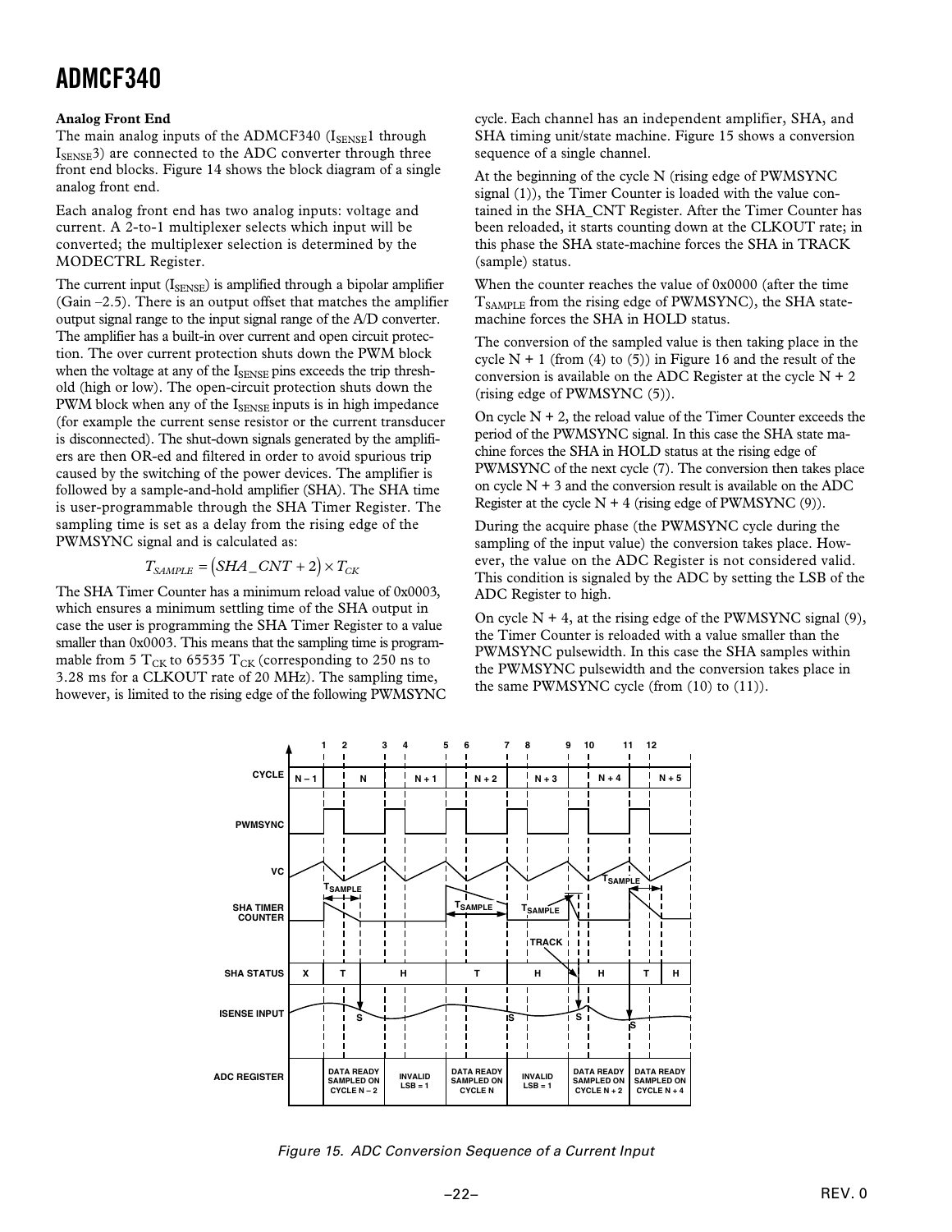#### **Analog Front End**

The main analog inputs of the ADMCF340 (ISENSE1 through  $I_{\text{SENSE}}$ 3) are connected to the ADC converter through three front end blocks. Figure 14 shows the block diagram of a single analog front end.

Each analog front end has two analog inputs: voltage and current. A 2-to-1 multiplexer selects which input will be converted; the multiplexer selection is determined by the MODECTRL Register.

The current input (ISENSE) is amplified through a bipolar amplifier (Gain –2.5). There is an output offset that matches the amplifier output signal range to the input signal range of the A/D converter. The amplifier has a built-in over current and open circuit protection. The over current protection shuts down the PWM block when the voltage at any of the ISENSE pins exceeds the trip threshold (high or low). The open-circuit protection shuts down the PWM block when any of the  $I_{\text{SENSE}}$  inputs is in high impedance (for example the current sense resistor or the current transducer is disconnected). The shut-down signals generated by the amplifiers are then OR-ed and filtered in order to avoid spurious trip caused by the switching of the power devices. The amplifier is followed by a sample-and-hold amplifier (SHA). The SHA time is user-programmable through the SHA Timer Register. The sampling time is set as a delay from the rising edge of the PWMSYNC signal and is calculated as:

### $T_{SAMPLE} = (SHA\_CNT + 2) \times T_{CK}$

The SHA Timer Counter has a minimum reload value of 0x0003, which ensures a minimum settling time of the SHA output in case the user is programming the SHA Timer Register to a value smaller than 0x0003. This means that the sampling time is programmable from 5  $T_{CK}$  to 65535  $T_{CK}$  (corresponding to 250 ns to 3.28 ms for a CLKOUT rate of 20 MHz). The sampling time, however, is limited to the rising edge of the following PWMSYNC

cycle. Each channel has an independent amplifier, SHA, and SHA timing unit/state machine. Figure 15 shows a conversion sequence of a single channel.

At the beginning of the cycle N (rising edge of PWMSYNC signal (1)), the Timer Counter is loaded with the value contained in the SHA\_CNT Register. After the Timer Counter has been reloaded, it starts counting down at the CLKOUT rate; in this phase the SHA state-machine forces the SHA in TRACK (sample) status.

When the counter reaches the value of 0x0000 (after the time  $T_{SAMPIE}$  from the rising edge of PWMSYNC), the SHA statemachine forces the SHA in HOLD status.

The conversion of the sampled value is then taking place in the cycle  $N + 1$  (from (4) to (5)) in Figure 16 and the result of the conversion is available on the ADC Register at the cycle  $N + 2$ (rising edge of PWMSYNC (5)).

On cycle  $N + 2$ , the reload value of the Timer Counter exceeds the period of the PWMSYNC signal. In this case the SHA state machine forces the SHA in HOLD status at the rising edge of PWMSYNC of the next cycle (7). The conversion then takes place on cycle  $N + 3$  and the conversion result is available on the ADC Register at the cycle  $N + 4$  (rising edge of PWMSYNC (9)).

During the acquire phase (the PWMSYNC cycle during the sampling of the input value) the conversion takes place. However, the value on the ADC Register is not considered valid. This condition is signaled by the ADC by setting the LSB of the ADC Register to high.

On cycle  $N + 4$ , at the rising edge of the PWMSYNC signal (9), the Timer Counter is reloaded with a value smaller than the PWMSYNC pulsewidth. In this case the SHA samples within the PWMSYNC pulsewidth and the conversion takes place in the same PWMSYNC cycle (from (10) to (11)).



Figure 15. ADC Conversion Sequence of a Current Input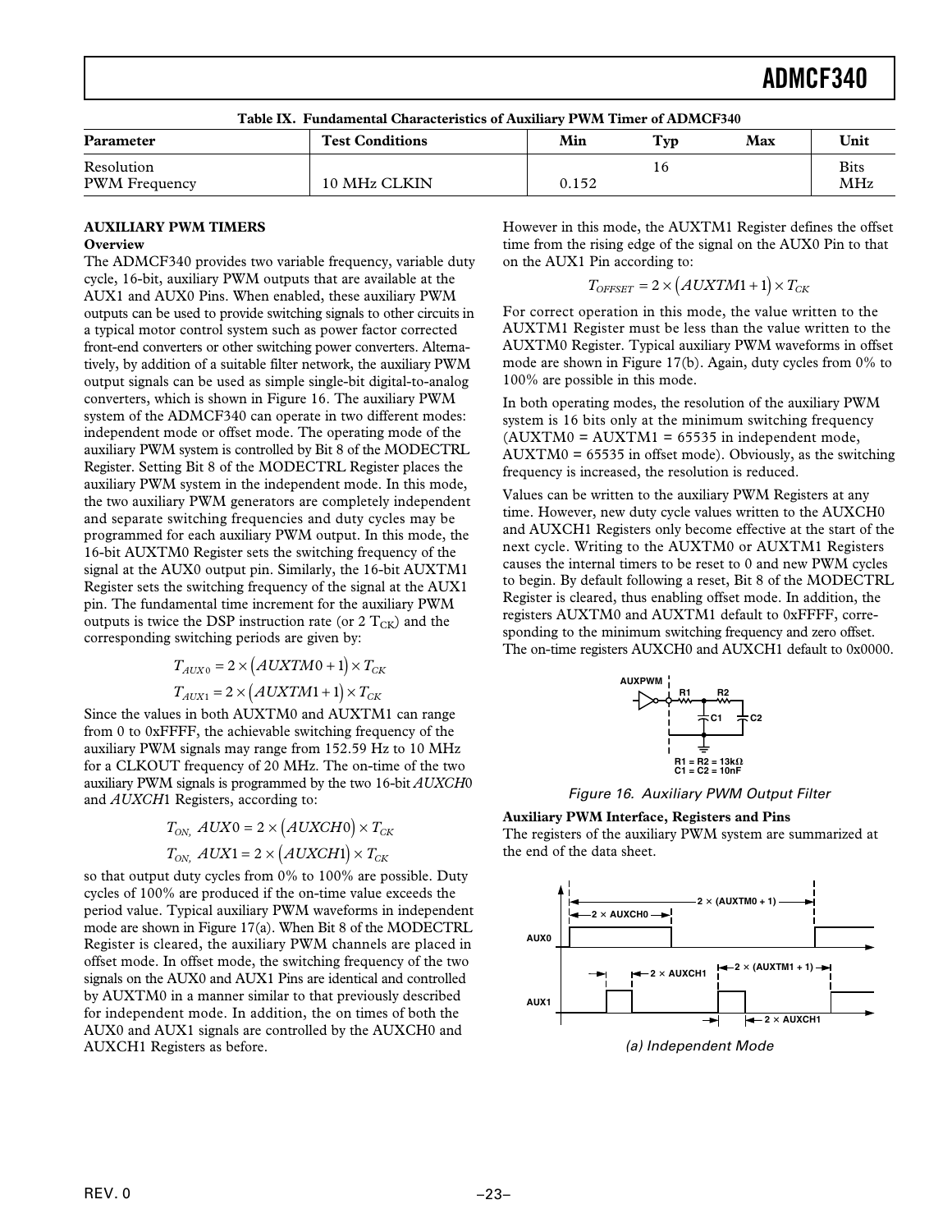| Table IX. Fundamental Characteristics of Auxiliary PWM Timer of ADMCF340 |                        |       |     |     |                           |
|--------------------------------------------------------------------------|------------------------|-------|-----|-----|---------------------------|
| <b>Parameter</b>                                                         | <b>Test Conditions</b> | Min   | Tvp | Max | Unit                      |
| Resolution<br><b>PWM</b> Frequency                                       | 10 MHz CLKIN           | 0.152 | I 6 |     | <b>Bits</b><br><b>MHz</b> |
|                                                                          |                        |       |     |     |                           |

**Table IX. Fundamental Characteristics of Auxiliary PWM Timer of ADMCF340**

#### **AUXILIARY PWM TIMERS Overview**

The ADMCF340 provides two variable frequency, variable duty cycle, 16-bit, auxiliary PWM outputs that are available at the AUX1 and AUX0 Pins. When enabled, these auxiliary PWM outputs can be used to provide switching signals to other circuits in a typical motor control system such as power factor corrected front-end converters or other switching power converters. Alternatively, by addition of a suitable filter network, the auxiliary PWM output signals can be used as simple single-bit digital-to-analog converters, which is shown in Figure 16. The auxiliary PWM system of the ADMCF340 can operate in two different modes: independent mode or offset mode. The operating mode of the auxiliary PWM system is controlled by Bit 8 of the MODECTRL Register. Setting Bit 8 of the MODECTRL Register places the auxiliary PWM system in the independent mode. In this mode, the two auxiliary PWM generators are completely independent and separate switching frequencies and duty cycles may be programmed for each auxiliary PWM output. In this mode, the 16-bit AUXTM0 Register sets the switching frequency of the signal at the AUX0 output pin. Similarly, the 16-bit AUXTM1 Register sets the switching frequency of the signal at the AUX1 pin. The fundamental time increment for the auxiliary PWM outputs is twice the DSP instruction rate (or  $2 T_{CK}$ ) and the corresponding switching periods are given by:

$$
T_{AUX0} = 2 \times (AUXTM0 + 1) \times T_{CK}
$$
  

$$
T_{AUX1} = 2 \times (AUXTM1 + 1) \times T_{CK}
$$

Since the values in both AUXTM0 and AUXTM1 can range from 0 to 0xFFFF, the achievable switching frequency of the auxiliary PWM signals may range from 152.59 Hz to 10 MHz for a CLKOUT frequency of 20 MHz. The on-time of the two auxiliary PWM signals is programmed by the two 16-bit *AUXCH*0 and *AUXCH*1 Registers, according to:

$$
T_{ON,} \quad AUX0 = 2 \times (AUXCH0) \times T_{CK}
$$

$$
T_{ON,} \quad AUX1 = 2 \times (AUXCH1) \times T_{CK}
$$

so that output duty cycles from 0% to 100% are possible. Duty cycles of 100% are produced if the on-time value exceeds the period value. Typical auxiliary PWM waveforms in independent mode are shown in Figure 17(a). When Bit 8 of the MODECTRL Register is cleared, the auxiliary PWM channels are placed in offset mode. In offset mode, the switching frequency of the two signals on the AUX0 and AUX1 Pins are identical and controlled by AUXTM0 in a manner similar to that previously described for independent mode. In addition, the on times of both the AUX0 and AUX1 signals are controlled by the AUXCH0 and AUXCH1 Registers as before.

However in this mode, the AUXTM1 Register defines the offset time from the rising edge of the signal on the AUX0 Pin to that on the AUX1 Pin according to:

$$
T_{OFFSET} = 2 \times (AUXTM1 + 1) \times T_{CK}
$$

j

For correct operation in this mode, the value written to the AUXTM1 Register must be less than the value written to the AUXTM0 Register. Typical auxiliary PWM waveforms in offset mode are shown in Figure 17(b). Again, duty cycles from 0% to 100% are possible in this mode.

In both operating modes, the resolution of the auxiliary PWM system is 16 bits only at the minimum switching frequency  $(AUXTM0 = AUXTM1 = 65535$  in independent mode, AUXTM0 = 65535 in offset mode). Obviously, as the switching frequency is increased, the resolution is reduced.

Values can be written to the auxiliary PWM Registers at any time. However, new duty cycle values written to the AUXCH0 and AUXCH1 Registers only become effective at the start of the next cycle. Writing to the AUXTM0 or AUXTM1 Registers causes the internal timers to be reset to 0 and new PWM cycles to begin. By default following a reset, Bit 8 of the MODECTRL Register is cleared, thus enabling offset mode. In addition, the registers AUXTM0 and AUXTM1 default to 0xFFFF, corresponding to the minimum switching frequency and zero offset. The on-time registers AUXCH0 and AUXCH1 default to 0x0000.



Figure 16. Auxiliary PWM Output Filter

#### **Auxiliary PWM Interface, Registers and Pins**

The registers of the auxiliary PWM system are summarized at the end of the data sheet.



(a) Independent Mode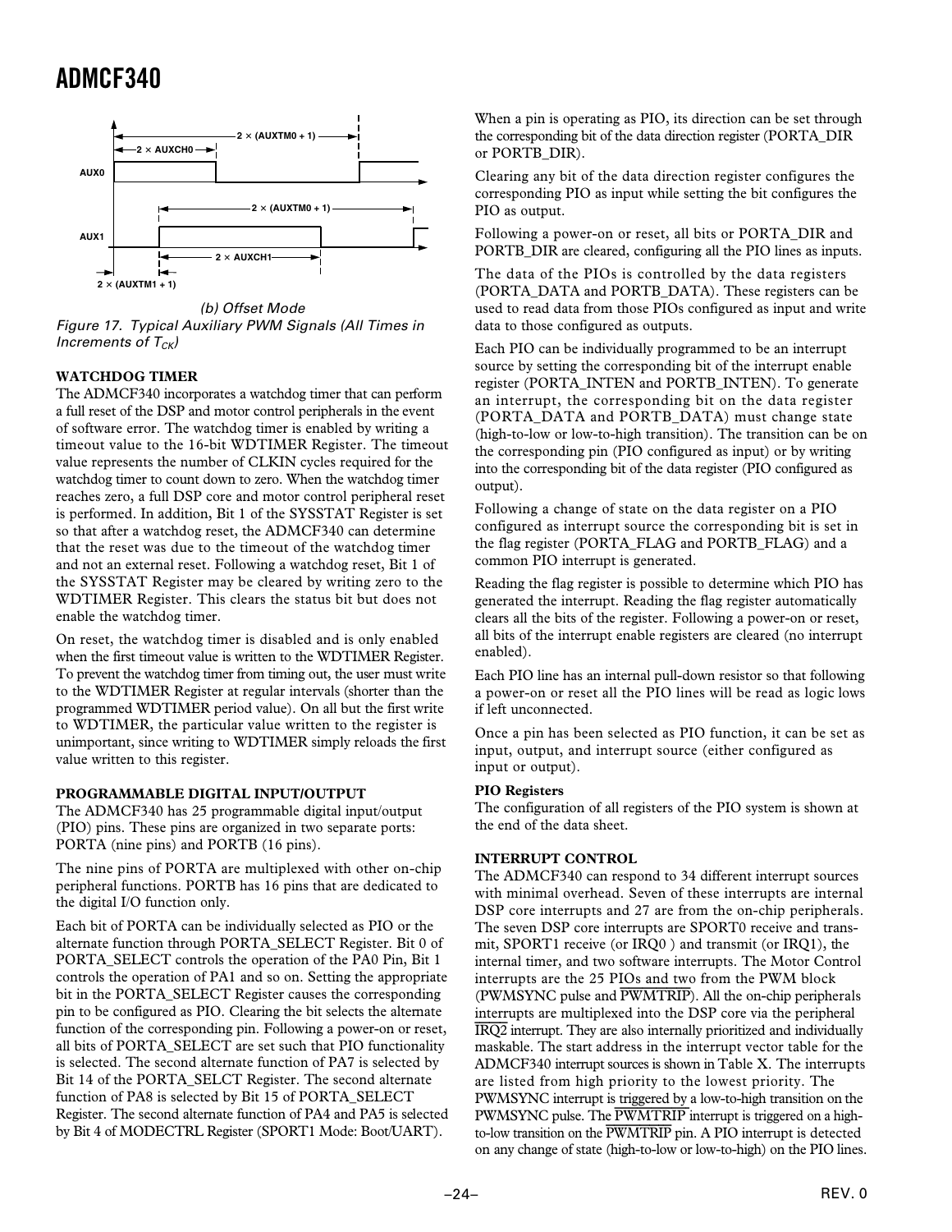

(b) Offset Mode Figure 17. Typical Auxiliary PWM Signals (All Times in Increments of  $T_{CK}$ )

#### **WATCHDOG TIMER**

The ADMCF340 incorporates a watchdog timer that can perform a full reset of the DSP and motor control peripherals in the event of software error. The watchdog timer is enabled by writing a timeout value to the 16-bit WDTIMER Register. The timeout value represents the number of CLKIN cycles required for the watchdog timer to count down to zero. When the watchdog timer reaches zero, a full DSP core and motor control peripheral reset is performed. In addition, Bit 1 of the SYSSTAT Register is set so that after a watchdog reset, the ADMCF340 can determine that the reset was due to the timeout of the watchdog timer and not an external reset. Following a watchdog reset, Bit 1 of the SYSSTAT Register may be cleared by writing zero to the WDTIMER Register. This clears the status bit but does not enable the watchdog timer.

On reset, the watchdog timer is disabled and is only enabled when the first timeout value is written to the WDTIMER Register. To prevent the watchdog timer from timing out, the user must write to the WDTIMER Register at regular intervals (shorter than the programmed WDTIMER period value). On all but the first write to WDTIMER, the particular value written to the register is unimportant, since writing to WDTIMER simply reloads the first value written to this register.

#### **PROGRAMMABLE DIGITAL INPUT/OUTPUT**

The ADMCF340 has 25 programmable digital input/output (PIO) pins. These pins are organized in two separate ports: PORTA (nine pins) and PORTB (16 pins).

The nine pins of PORTA are multiplexed with other on-chip peripheral functions. PORTB has 16 pins that are dedicated to the digital I/O function only.

Each bit of PORTA can be individually selected as PIO or the alternate function through PORTA\_SELECT Register. Bit 0 of PORTA\_SELECT controls the operation of the PA0 Pin, Bit 1 controls the operation of PA1 and so on. Setting the appropriate bit in the PORTA\_SELECT Register causes the corresponding pin to be configured as PIO. Clearing the bit selects the alternate function of the corresponding pin. Following a power-on or reset, all bits of PORTA\_SELECT are set such that PIO functionality is selected. The second alternate function of PA7 is selected by Bit 14 of the PORTA\_SELCT Register. The second alternate function of PA8 is selected by Bit 15 of PORTA\_SELECT Register. The second alternate function of PA4 and PA5 is selected by Bit 4 of MODECTRL Register (SPORT1 Mode: Boot/UART).

When a pin is operating as PIO, its direction can be set through the corresponding bit of the data direction register (PORTA\_DIR or PORTB\_DIR).

Clearing any bit of the data direction register configures the corresponding PIO as input while setting the bit configures the PIO as output.

Following a power-on or reset, all bits or PORTA\_DIR and PORTB DIR are cleared, configuring all the PIO lines as inputs.

The data of the PIOs is controlled by the data registers (PORTA\_DATA and PORTB\_DATA). These registers can be used to read data from those PIOs configured as input and write data to those configured as outputs.

Each PIO can be individually programmed to be an interrupt source by setting the corresponding bit of the interrupt enable register (PORTA\_INTEN and PORTB\_INTEN). To generate an interrupt, the corresponding bit on the data register (PORTA\_DATA and PORTB\_DATA) must change state (high-to-low or low-to-high transition). The transition can be on the corresponding pin (PIO configured as input) or by writing into the corresponding bit of the data register (PIO configured as output).

Following a change of state on the data register on a PIO configured as interrupt source the corresponding bit is set in the flag register (PORTA\_FLAG and PORTB\_FLAG) and a common PIO interrupt is generated.

Reading the flag register is possible to determine which PIO has generated the interrupt. Reading the flag register automatically clears all the bits of the register. Following a power-on or reset, all bits of the interrupt enable registers are cleared (no interrupt enabled).

Each PIO line has an internal pull-down resistor so that following a power-on or reset all the PIO lines will be read as logic lows if left unconnected.

Once a pin has been selected as PIO function, it can be set as input, output, and interrupt source (either configured as input or output).

#### **PIO Registers**

The configuration of all registers of the PIO system is shown at the end of the data sheet.

#### **INTERRUPT CONTROL**

The ADMCF340 can respond to 34 different interrupt sources with minimal overhead. Seven of these interrupts are internal DSP core interrupts and 27 are from the on-chip peripherals. The seven DSP core interrupts are SPORT0 receive and transmit, SPORT1 receive (or IRQ0 ) and transmit (or IRQ1), the internal timer, and two software interrupts. The Motor Control interrupts are the 25 PIOs and two from the PWM block (PWMSYNC pulse and *PWMTRIP*). All the on-chip peripherals interrupts are multiplexed into the DSP core via the peripheral *IRQ2* interrupt. They are also internally prioritized and individually maskable. The start address in the interrupt vector table for the ADMCF340 interrupt sources is shown in Table X. The interrupts are listed from high priority to the lowest priority. The PWMSYNC interrupt is triggered by a low-to-high transition on the PWMSYNC pulse. The *PWMTRIP* interrupt is triggered on a highto-low transition on the *PWMTRIP* pin. A PIO interrupt is detected on any change of state (high-to-low or low-to-high) on the PIO lines.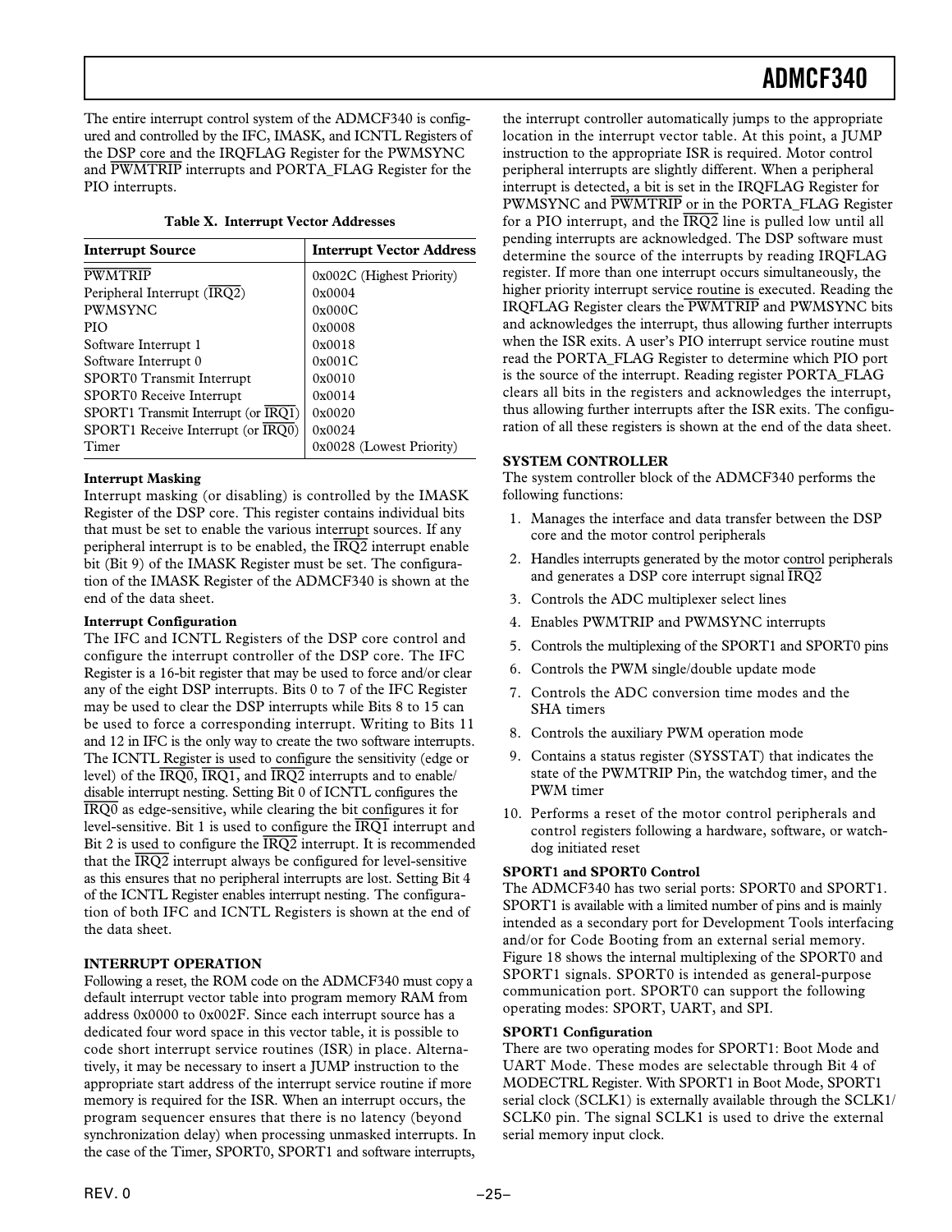The entire interrupt control system of the ADMCF340 is configured and controlled by the IFC, IMASK, and ICNTL Registers of the DSP core and the IRQFLAG Register for the PWMSYNC and *PWMTRIP* interrupts and PORTA\_FLAG Register for the PIO interrupts.

|  |  |  | Table X. Interrupt Vector Addresses |
|--|--|--|-------------------------------------|
|--|--|--|-------------------------------------|

| <b>Interrupt Source</b>             | <b>Interrupt Vector Address</b> |  |
|-------------------------------------|---------------------------------|--|
| <b>PWMTRIP</b>                      | 0x002C (Highest Priority)       |  |
| Peripheral Interrupt (IRQ2)         | 0x0004                          |  |
| <b>PWMSYNC</b>                      | 0x000C                          |  |
| <b>PIO</b>                          | 0x0008                          |  |
| Software Interrupt 1                | 0x0018                          |  |
| Software Interrupt 0                | 0x001C                          |  |
| SPORT0 Transmit Interrupt           | 0x0010                          |  |
| <b>SPORT0</b> Receive Interrupt     | 0x0014                          |  |
| SPORT1 Transmit Interrupt (or IRQ1) | 0x0020                          |  |
| SPORT1 Receive Interrupt (or IRO0)  | 0x0024                          |  |
| Timer                               | 0x0028 (Lowest Priority)        |  |

#### **Interrupt Masking**

Interrupt masking (or disabling) is controlled by the IMASK Register of the DSP core. This register contains individual bits that must be set to enable the various interrupt sources. If any peripheral interrupt is to be enabled, the *IRQ2* interrupt enable bit (Bit 9) of the IMASK Register must be set. The configuration of the IMASK Register of the ADMCF340 is shown at the end of the data sheet.

#### **Interrupt Configuration**

The IFC and ICNTL Registers of the DSP core control and configure the interrupt controller of the DSP core. The IFC Register is a 16-bit register that may be used to force and/or clear any of the eight DSP interrupts. Bits 0 to 7 of the IFC Register may be used to clear the DSP interrupts while Bits 8 to 15 can be used to force a corresponding interrupt. Writing to Bits 11 and 12 in IFC is the only way to create the two software interrupts. The ICNTL Register is used to configure the sensitivity (edge or level) of the *IRQ0*, *IRQ1,* and *IRQ2* interrupts and to enable/ disable interrupt nesting. Setting Bit 0 of ICNTL configures the *IRQ0* as edge-sensitive, while clearing the bit configures it for level-sensitive. Bit 1 is used to configure the *IRQ1* interrupt and Bit 2 is used to configure the *IRQ2* interrupt. It is recommended that the *IRQ2* interrupt always be configured for level-sensitive as this ensures that no peripheral interrupts are lost. Setting Bit 4 of the ICNTL Register enables interrupt nesting. The configuration of both IFC and ICNTL Registers is shown at the end of the data sheet.

#### **INTERRUPT OPERATION**

Following a reset, the ROM code on the ADMCF340 must copy a default interrupt vector table into program memory RAM from address 0x0000 to 0x002F. Since each interrupt source has a dedicated four word space in this vector table, it is possible to code short interrupt service routines (ISR) in place. Alternatively, it may be necessary to insert a JUMP instruction to the appropriate start address of the interrupt service routine if more memory is required for the ISR. When an interrupt occurs, the program sequencer ensures that there is no latency (beyond synchronization delay) when processing unmasked interrupts. In the case of the Timer, SPORT0, SPORT1 and software interrupts,

the interrupt controller automatically jumps to the appropriate location in the interrupt vector table. At this point, a JUMP instruction to the appropriate ISR is required. Motor control peripheral interrupts are slightly different. When a peripheral interrupt is detected, a bit is set in the IRQFLAG Register for PWMSYNC and *PWMTRIP* or in the PORTA\_FLAG Register for a PIO interrupt, and the *IRQ2* line is pulled low until all pending interrupts are acknowledged. The DSP software must determine the source of the interrupts by reading IRQFLAG register. If more than one interrupt occurs simultaneously, the higher priority interrupt service routine is executed. Reading the IRQFLAG Register clears the *PWMTRIP* and PWMSYNC bits and acknowledges the interrupt, thus allowing further interrupts when the ISR exits. A user's PIO interrupt service routine must read the PORTA\_FLAG Register to determine which PIO port is the source of the interrupt. Reading register PORTA\_FLAG clears all bits in the registers and acknowledges the interrupt, thus allowing further interrupts after the ISR exits. The configuration of all these registers is shown at the end of the data sheet.

#### **SYSTEM CONTROLLER**

The system controller block of the ADMCF340 performs the following functions:

- 1. Manages the interface and data transfer between the DSP core and the motor control peripherals
- 2. Handles interrupts generated by the motor control peripherals and generates a DSP core interrupt signal *IRQ2*
- 3. Controls the ADC multiplexer select lines
- 4. Enables PWMTRIP and PWMSYNC interrupts
- 5. Controls the multiplexing of the SPORT1 and SPORT0 pins
- 6. Controls the PWM single/double update mode
- 7. Controls the ADC conversion time modes and the SHA timers
- 8. Controls the auxiliary PWM operation mode
- 9. Contains a status register (SYSSTAT) that indicates the state of the PWMTRIP Pin, the watchdog timer, and the PWM timer
- 10. Performs a reset of the motor control peripherals and control registers following a hardware, software, or watchdog initiated reset

#### **SPORT1 and SPORT0 Control**

The ADMCF340 has two serial ports: SPORT0 and SPORT1. SPORT1 is available with a limited number of pins and is mainly intended as a secondary port for Development Tools interfacing and/or for Code Booting from an external serial memory. Figure 18 shows the internal multiplexing of the SPORT0 and SPORT1 signals. SPORT0 is intended as general-purpose communication port. SPORT0 can support the following operating modes: SPORT, UART, and SPI.

#### **SPORT1 Configuration**

There are two operating modes for SPORT1: Boot Mode and UART Mode. These modes are selectable through Bit 4 of MODECTRL Register. With SPORT1 in Boot Mode, SPORT1 serial clock (SCLK1) is externally available through the SCLK1/ SCLK0 pin. The signal SCLK1 is used to drive the external serial memory input clock.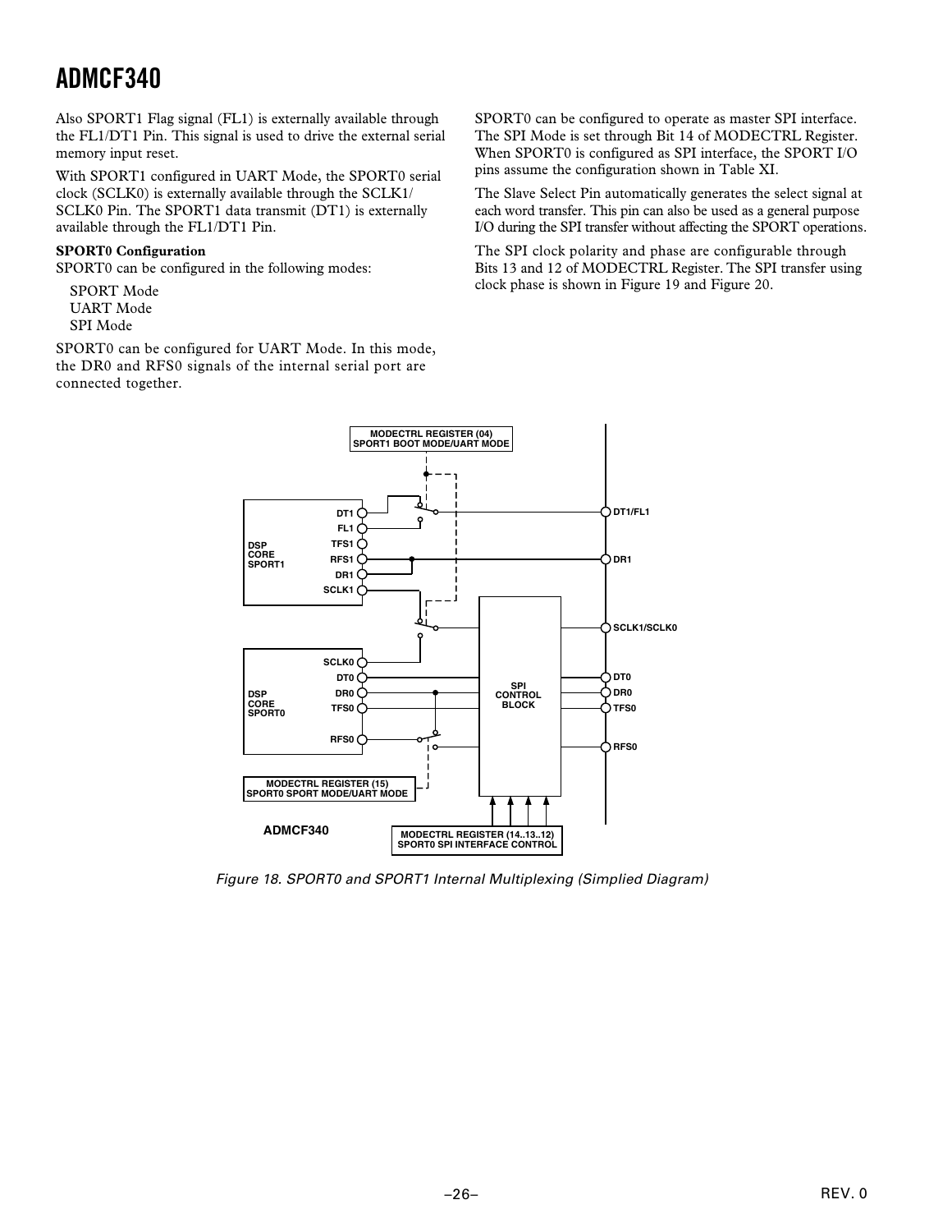Also SPORT1 Flag signal (FL1) is externally available through the FL1/DT1 Pin. This signal is used to drive the external serial memory input reset.

With SPORT1 configured in UART Mode, the SPORT0 serial clock (SCLK0) is externally available through the SCLK1/ SCLK0 Pin. The SPORT1 data transmit (DT1) is externally available through the FL1/DT1 Pin.

#### **SPORT0 Configuration**

SPORT0 can be configured in the following modes:

SPORT Mode UART Mode SPI Mode

SPORT0 can be configured for UART Mode. In this mode, the DR0 and RFS0 signals of the internal serial port are connected together.

SPORT0 can be configured to operate as master SPI interface. The SPI Mode is set through Bit 14 of MODECTRL Register. When SPORT0 is configured as SPI interface, the SPORT I/O pins assume the configuration shown in Table XI.

The Slave Select Pin automatically generates the select signal at each word transfer. This pin can also be used as a general purpose I/O during the SPI transfer without affecting the SPORT operations.

The SPI clock polarity and phase are configurable through Bits 13 and 12 of MODECTRL Register. The SPI transfer using clock phase is shown in Figure 19 and Figure 20.



Figure 18. SPORT0 and SPORT1 Internal Multiplexing (Simplied Diagram)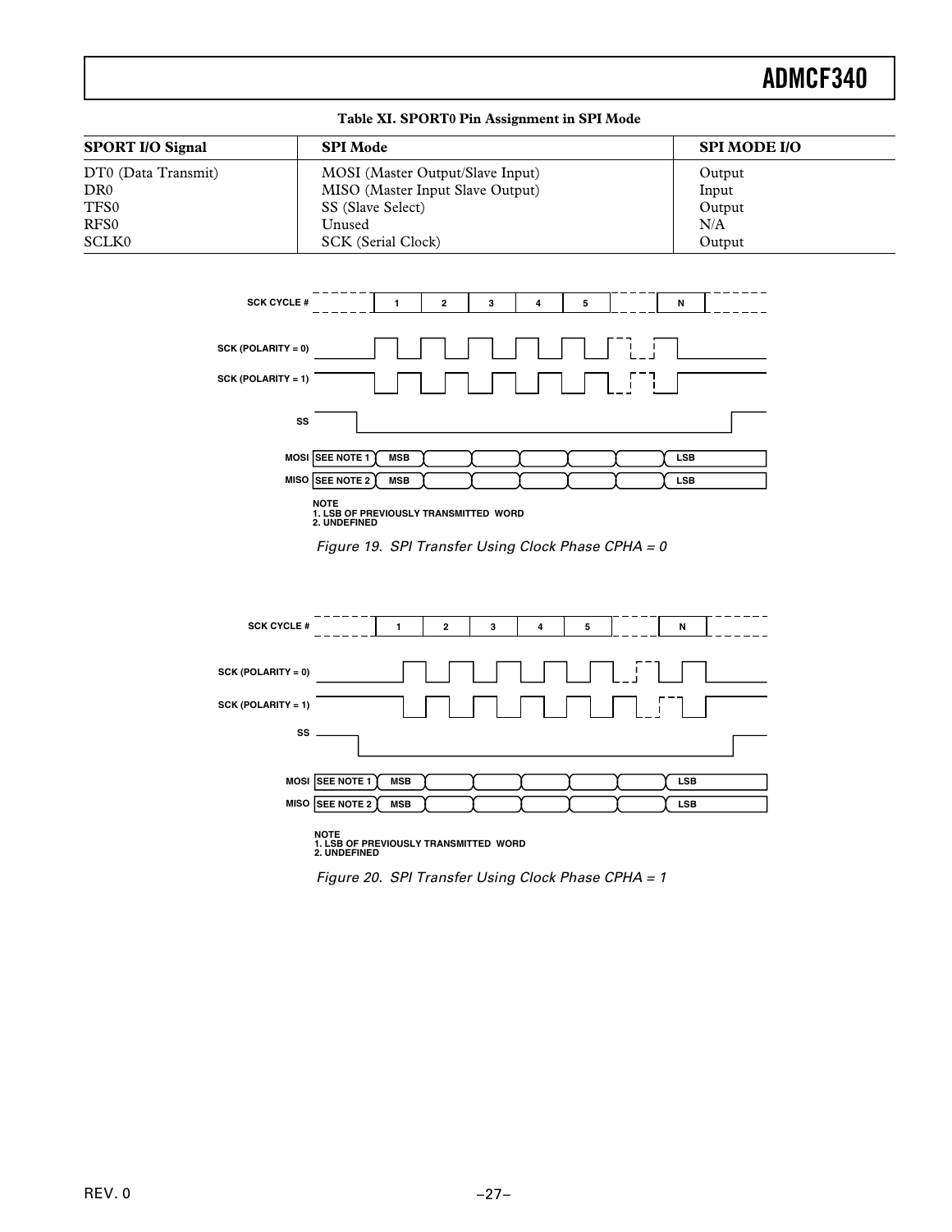#### **Table XI. SPORT0 Pin Assignment in SPI Mode**

| <b>SPORT I/O Signal</b> | <b>SPI</b> Mode                  | <b>SPI MODE I/O</b> |
|-------------------------|----------------------------------|---------------------|
| DT0 (Data Transmit)     | MOSI (Master Output/Slave Input) | Output              |
| DR <sub>0</sub>         | MISO (Master Input Slave Output) | Input               |
| TFS0                    | SS (Slave Select)                | Output              |
| RFS <sub>0</sub>        | Unused                           | N/A                 |
| SCLK0                   | SCK (Serial Clock)               | Output              |



**NOTE 1. LSB OF PREVIOUSLY TRANSMITTED WORD 2. UNDEFINED**





Figure 20. SPI Transfer Using Clock Phase CPHA = 1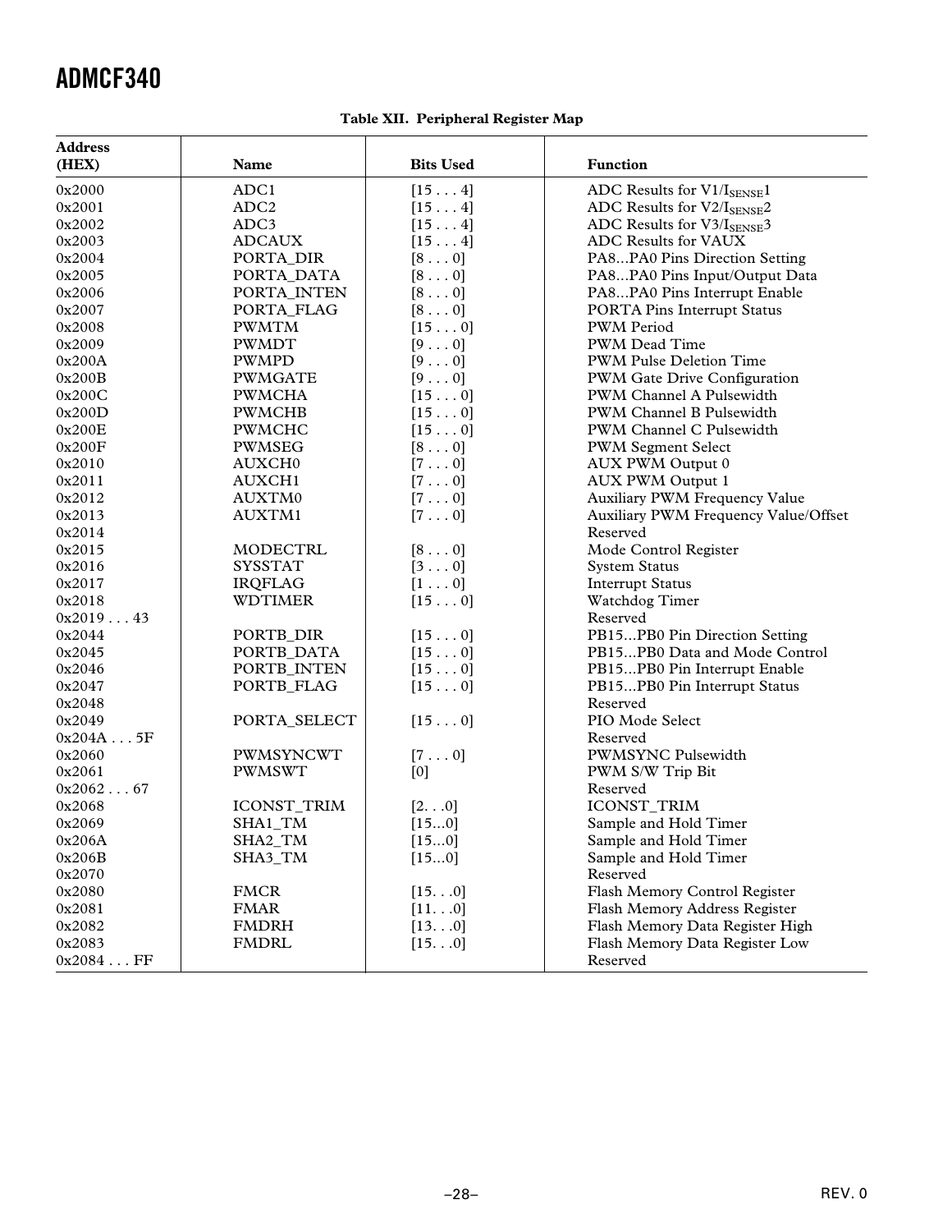|  | Table XII. Peripheral Register Map |  |  |
|--|------------------------------------|--|--|
|--|------------------------------------|--|--|

| <b>Address</b> |                                     |                  |                                        |
|----------------|-------------------------------------|------------------|----------------------------------------|
| (HEX)          | Name                                | <b>Bits Used</b> | <b>Function</b>                        |
| 0x2000         | ADC1                                | $[15 \ldots 4]$  | ADC Results for $V1/I_{\text{SENSE}}1$ |
| 0x2001         | ADC <sub>2</sub>                    | $[15 \ldots 4]$  | ADC Results for V2/ISENSE2             |
| 0x2002         | ADC3                                | $[15 \ldots 4]$  | ADC Results for $V3/I_{\text{SENSE}}3$ |
| 0x2003         | <b>ADCAUX</b>                       | $[15 \ldots 4]$  | ADC Results for VAUX                   |
| 0x2004         | PORTA_DIR                           | $[8 \ldots 0]$   | PA8PA0 Pins Direction Setting          |
| 0x2005         | PORTA_DATA                          | $[8 \ldots 0]$   | PA8PA0 Pins Input/Output Data          |
| 0x2006         | PORTA_INTEN                         | $[8 \ldots 0]$   | PA8PA0 Pins Interrupt Enable           |
| 0x2007         | PORTA_FLAG                          | $[8 \ldots 0]$   | <b>PORTA Pins Interrupt Status</b>     |
| 0x2008         | <b>PWMTM</b>                        | $[15 \ldots 0]$  | <b>PWM</b> Period                      |
| 0x2009         | PWMDT                               | $[9 \ldots 0]$   | PWM Dead Time                          |
| 0x200A         | PWMPD                               | $[9 \ldots 0]$   | <b>PWM Pulse Deletion Time</b>         |
| 0x200B         | <b>PWMGATE</b>                      | $[9 \ldots 0]$   | PWM Gate Drive Configuration           |
| 0x200C         | <b>PWMCHA</b>                       | $[15 \ldots 0]$  | PWM Channel A Pulsewidth               |
| 0x200D         | PWMCHB                              | $[15 \ldots 0]$  | PWM Channel B Pulsewidth               |
| 0x200E         | PWMCHC                              | $[15 \ldots 0]$  | PWM Channel C Pulsewidth               |
| 0x200F         | PWMSEG                              | $[8 \ldots 0]$   | <b>PWM Segment Select</b>              |
| 0x2010         |                                     |                  |                                        |
|                | AUXCH <sub>0</sub><br><b>AUXCH1</b> | $[7 \ldots 0]$   | AUX PWM Output 0                       |
| 0x2011         |                                     | $[7 \ldots 0]$   | <b>AUX PWM Output 1</b>                |
| 0x2012         | AUXTM0                              | $[7 \ldots 0]$   | Auxiliary PWM Frequency Value          |
| 0x2013         | AUXTM1                              | $[7 \ldots 0]$   | Auxiliary PWM Frequency Value/Offset   |
| 0x2014         |                                     |                  | Reserved                               |
| 0x2015         | MODECTRL                            | $[8 \ldots 0]$   | Mode Control Register                  |
| 0x2016         | <b>SYSSTAT</b>                      | $[3 \ldots 0]$   | <b>System Status</b>                   |
| 0x2017         | <b>IRQFLAG</b>                      | $[1 \ldots 0]$   | <b>Interrupt Status</b>                |
| 0x2018         | <b>WDTIMER</b>                      | $[15 \ldots 0]$  | Watchdog Timer                         |
| 0x201943       |                                     |                  | Reserved                               |
| 0x2044         | PORTB_DIR                           | $[15 \ldots 0]$  | PB15PB0 Pin Direction Setting          |
| 0x2045         | PORTB_DATA                          | $[15 \ldots 0]$  | PB15PB0 Data and Mode Control          |
| 0x2046         | PORTB_INTEN                         | $[15 \ldots 0]$  | PB15PB0 Pin Interrupt Enable           |
| 0x2047         | PORTB_FLAG                          | $[15 \ldots 0]$  | PB15PB0 Pin Interrupt Status           |
| 0x2048         |                                     |                  | Reserved                               |
| 0x2049         | PORTA_SELECT                        | $[15 \ldots 0]$  | PIO Mode Select                        |
| 0x204A5F       |                                     |                  | Reserved                               |
| 0x2060         | PWMSYNCWT                           | $[7 \ldots 0]$   | <b>PWMSYNC Pulsewidth</b>              |
| 0x2061         | <b>PWMSWT</b>                       | [0]              | PWM S/W Trip Bit                       |
| 0x206267       |                                     |                  | Reserved                               |
| 0x2068         | ICONST_TRIM                         | [20]             | ICONST_TRIM                            |
| 0x2069         | SHA1_TM                             | [150]            | Sample and Hold Timer                  |
| 0x206A         | SHA2_TM                             | [150]            | Sample and Hold Timer                  |
| 0x206B         | SHA3_TM                             | [150]            | Sample and Hold Timer                  |
| 0x2070         |                                     |                  | Reserved                               |
| 0x2080         | <b>FMCR</b>                         | [150]            | Flash Memory Control Register          |
| 0x2081         | <b>FMAR</b>                         | [110]            | Flash Memory Address Register          |
| 0x2082         | <b>FMDRH</b>                        | [130]            | Flash Memory Data Register High        |
| 0x2083         | <b>FMDRL</b>                        | [150]            | Flash Memory Data Register Low         |
| 0x2084FF       |                                     |                  | Reserved                               |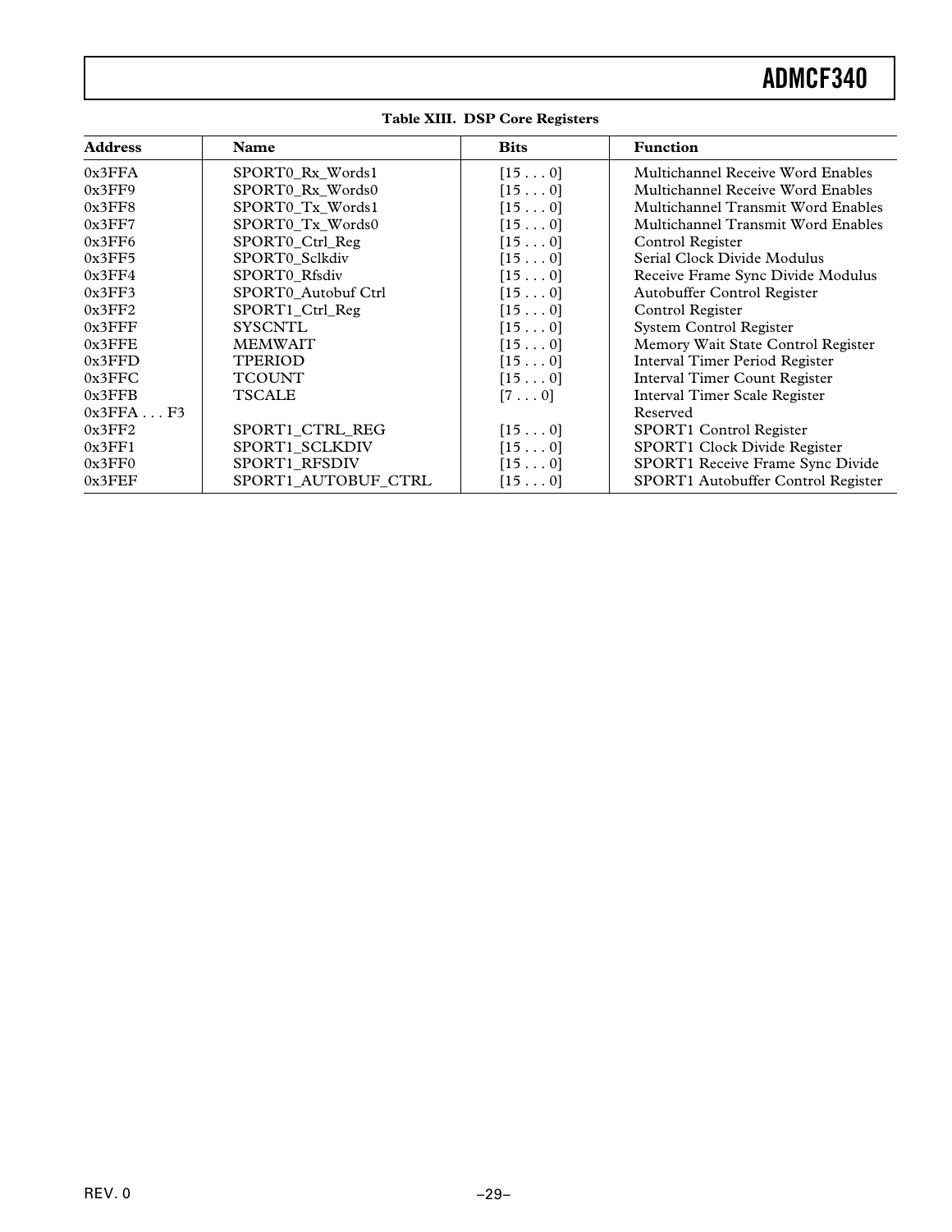| <b>Address</b> | <b>Name</b>         | <b>Bits</b>     | <b>Function</b>                           |
|----------------|---------------------|-----------------|-------------------------------------------|
| 0x3FFA         | SPORT0_Rx_Words1    | [150]           | Multichannel Receive Word Enables         |
| 0x3FF9         | SPORTO Rx Words0    | [150]           | Multichannel Receive Word Enables         |
| 0x3FF8         | SPORTO Tx Words1    | [150]           | <b>Multichannel Transmit Word Enables</b> |
| 0x3FF7         | SPORT0_Tx_Words0    | [150]           | Multichannel Transmit Word Enables        |
| 0x3FF6         | SPORT0_Ctrl_Reg     | [150]           | Control Register                          |
| 0x3FF5         | SPORT0 Sclkdiv      | [150]           | Serial Clock Divide Modulus               |
| 0x3FF4         | SPORT0 Rfsdiv       | [150]           | Receive Frame Sync Divide Modulus         |
| 0x3FF3         | SPORT0_Autobuf Ctrl | [150]           | Autobuffer Control Register               |
| 0x3FF2         | SPORT1_Ctrl_Reg     | [150]           | Control Register                          |
| $0x3$ FFF      | <b>SYSCNTL</b>      | [150]           | <b>System Control Register</b>            |
| $0x3$ FFE      | <b>MEMWAIT</b>      | [150]           | Memory Wait State Control Register        |
| 0x3FFD         | <b>TPERIOD</b>      | $[15 \ldots 0]$ | <b>Interval Timer Period Register</b>     |
| 0x3FFC         | <b>TCOUNT</b>       | $[15 \ldots 0]$ | <b>Interval Timer Count Register</b>      |
| 0x3FFB         | <b>TSCALE</b>       | $[7 \ldots 0]$  | <b>Interval Timer Scale Register</b>      |
| 0x3FFAF3       |                     |                 | Reserved                                  |
| 0x3FF2         | SPORT1 CTRL REG     | [150]           | SPORT1 Control Register                   |
| 0x3FF1         | SPORT1_SCLKDIV      | [150]           | SPORT1 Clock Divide Register              |
| 0x3FF0         | SPORT1_RFSDIV       | [150]           | SPORT1 Receive Frame Sync Divide          |
| 0x3FEF         | SPORT1 AUTOBUF CTRL | $[15 \ldots 0]$ | SPORT1 Autobuffer Control Register        |

#### **Table XIII. DSP Core Registers**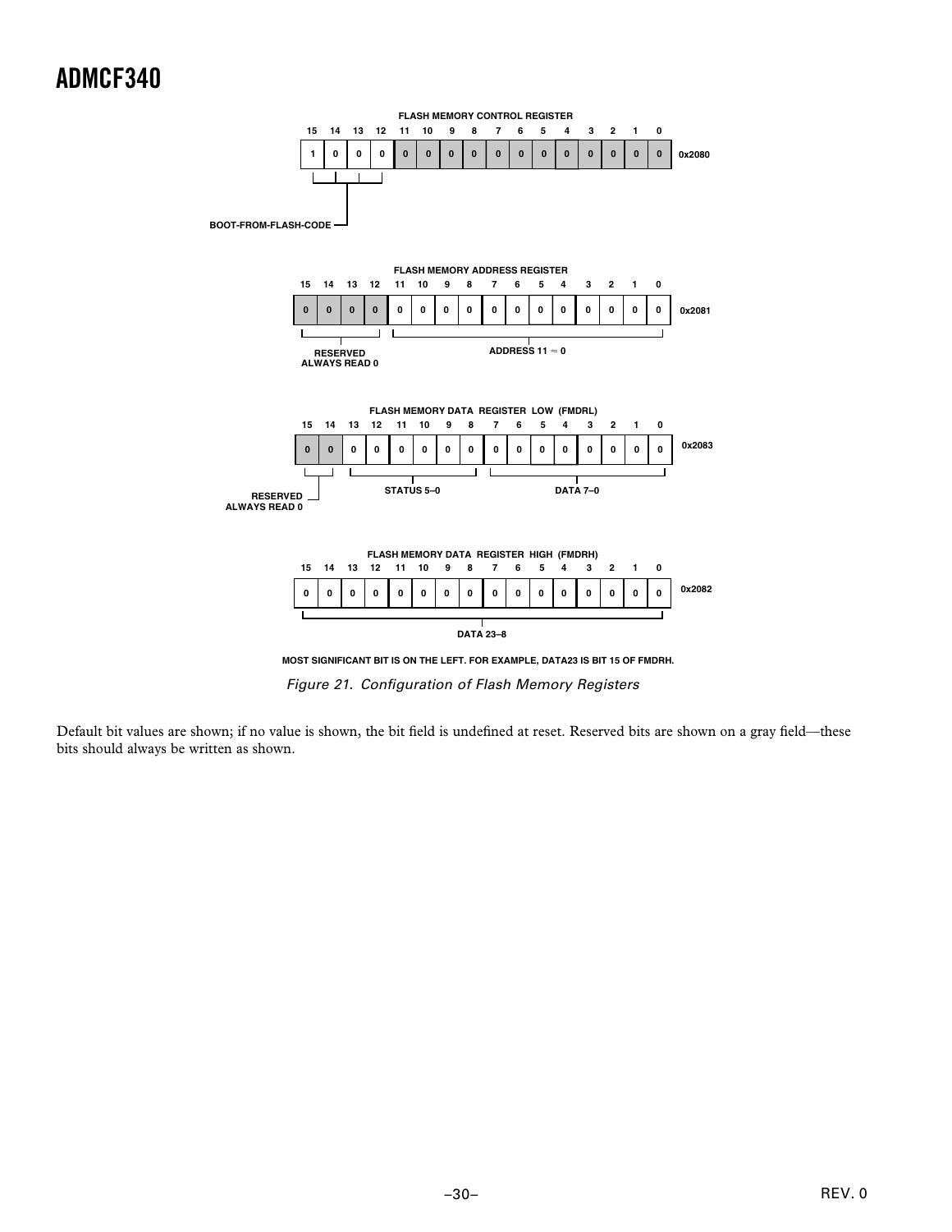

Figure 21. Configuration of Flash Memory Registers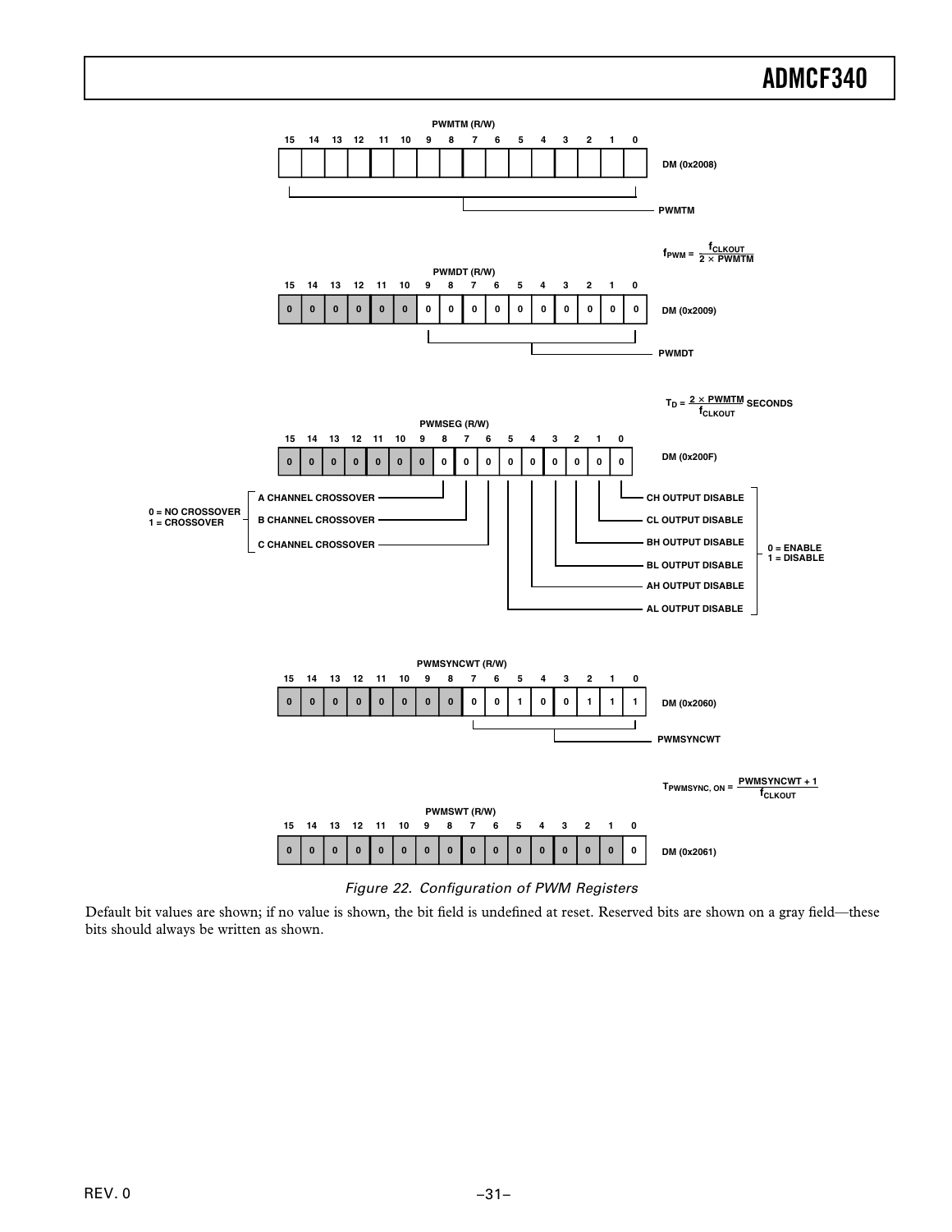

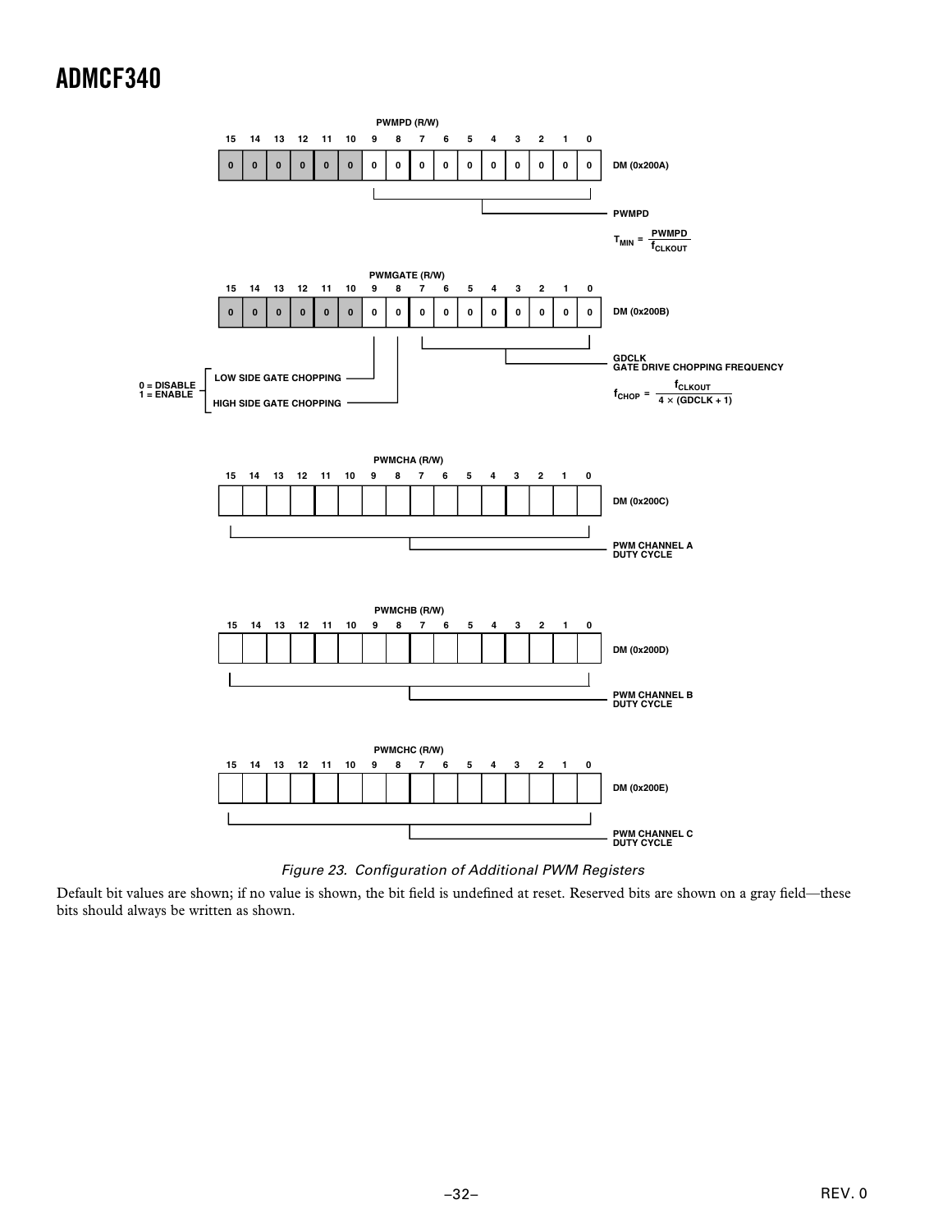

Figure 23. Configuration of Additional PWM Registers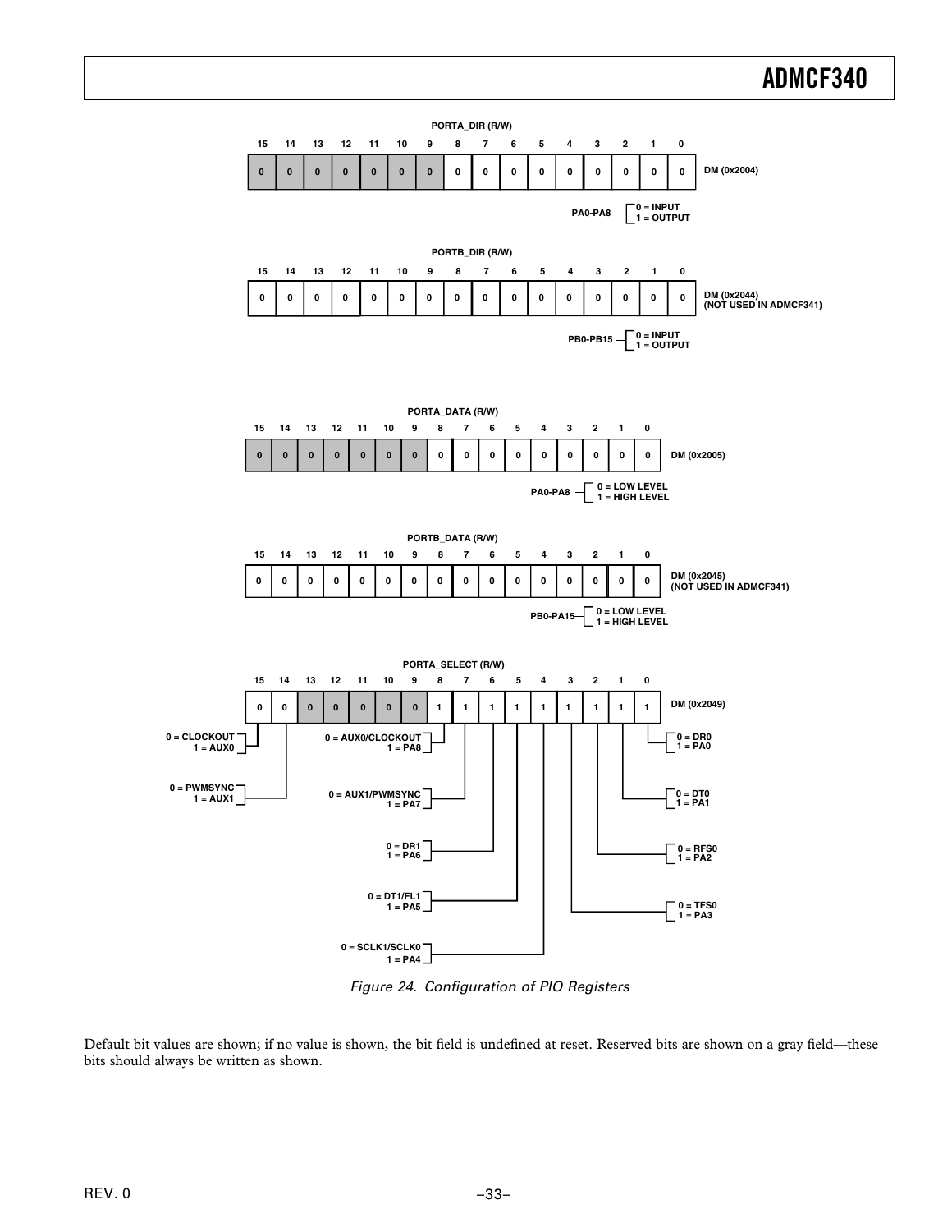

Figure 24. Configuration of PIO Registers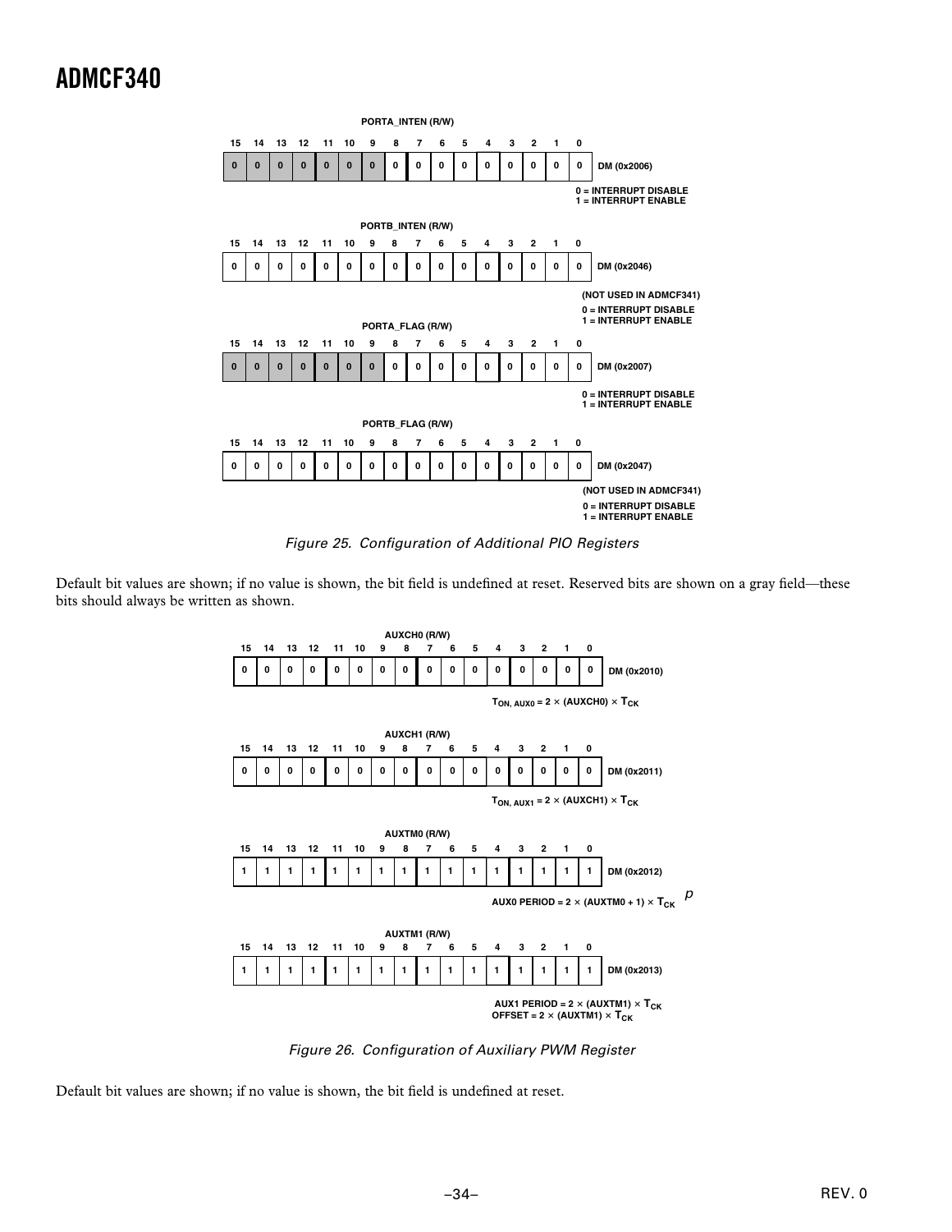

Figure 25. Configuration of Additional PIO Registers

Default bit values are shown; if no value is shown, the bit field is undefined at reset. Reserved bits are shown on a gray field—these bits should always be written as shown.



Figure 26. Configuration of Auxiliary PWM Register

Default bit values are shown; if no value is shown, the bit field is undefined at reset.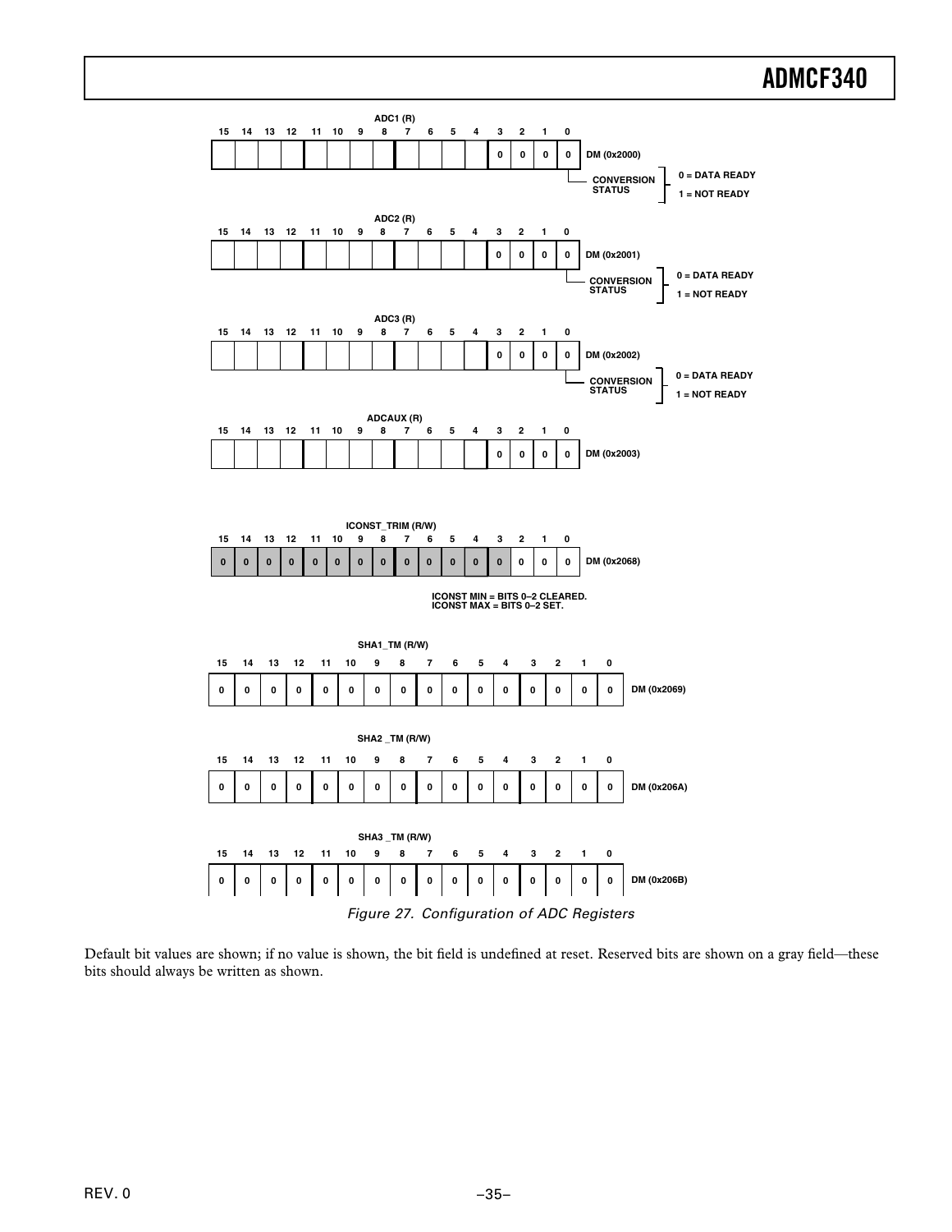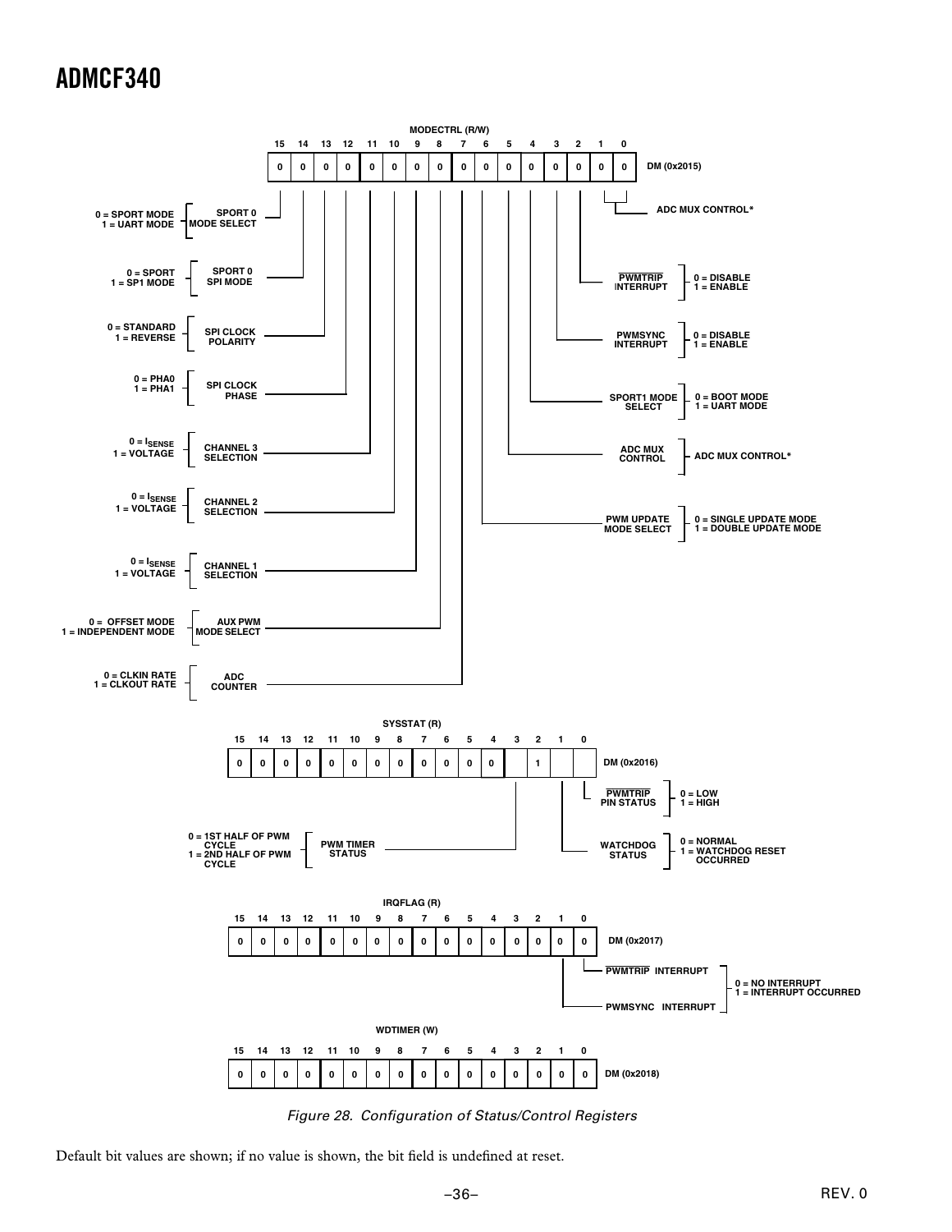

Figure 28. Configuration of Status/Control Registers

Default bit values are shown; if no value is shown, the bit field is undefined at reset.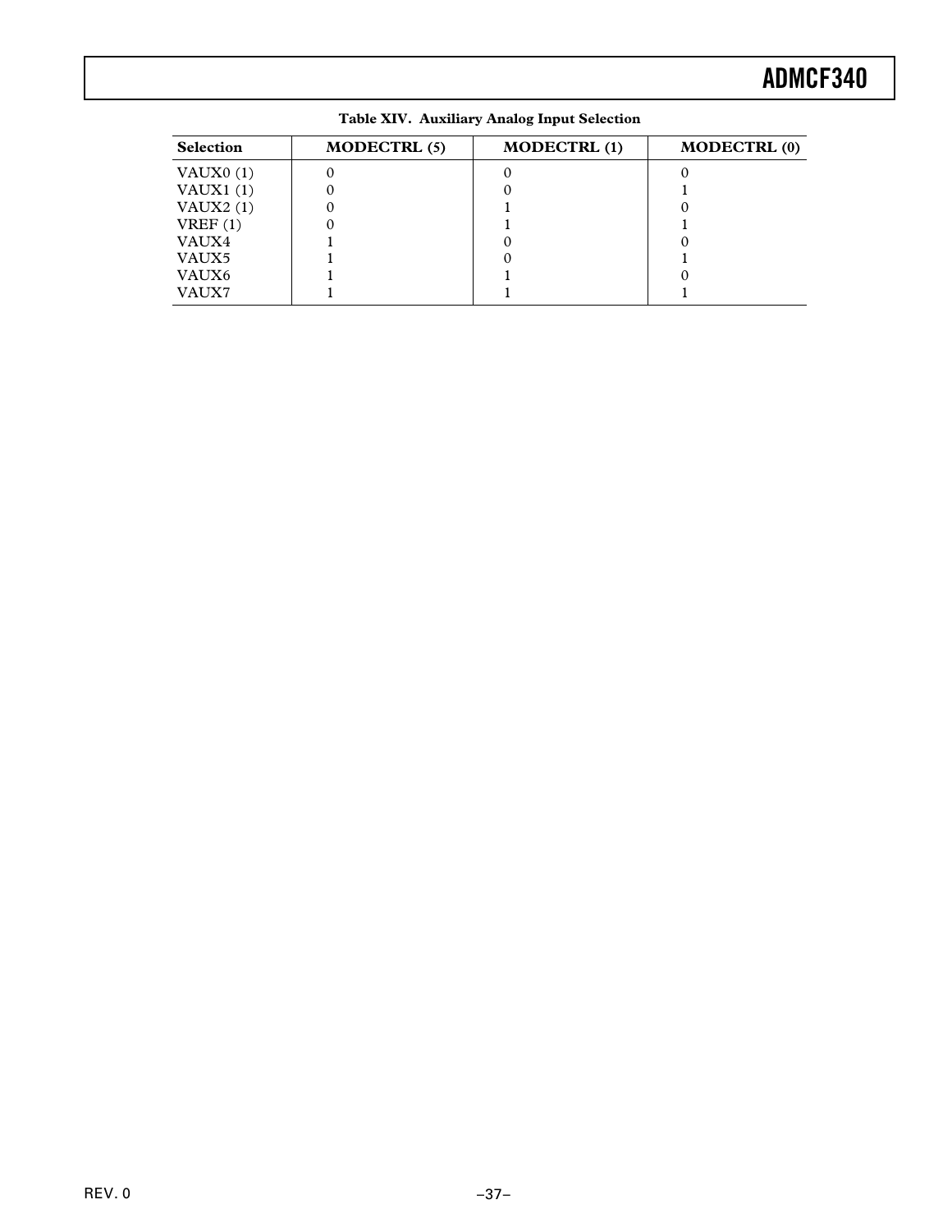| <b>Selection</b> | <b>MODECTRL (5)</b> | <b>MODECTRL</b> (1) | <b>MODECTRL (0)</b> |
|------------------|---------------------|---------------------|---------------------|
| VAUX $0(1)$      |                     |                     |                     |
| VAUX1 $(1)$      |                     |                     |                     |
| VAUX $2(1)$      |                     |                     |                     |
| VREF(1)          |                     |                     |                     |
| VAUX4            |                     |                     |                     |
| VAUX5            |                     |                     |                     |
| VAUX6            |                     |                     |                     |
| VAUX7            |                     |                     |                     |

**Table XIV. Auxiliary Analog Input Selection**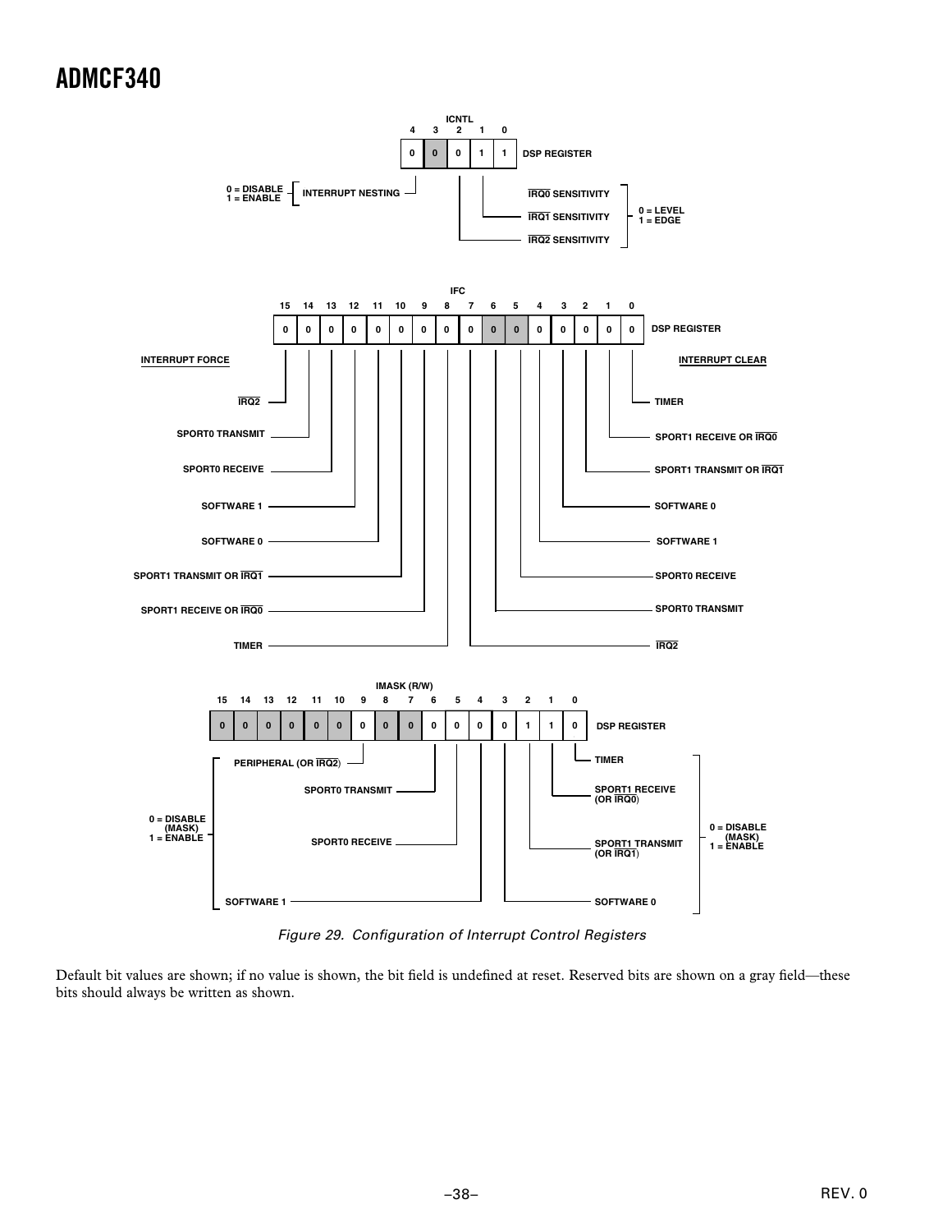

Figure 29. Configuration of Interrupt Control Registers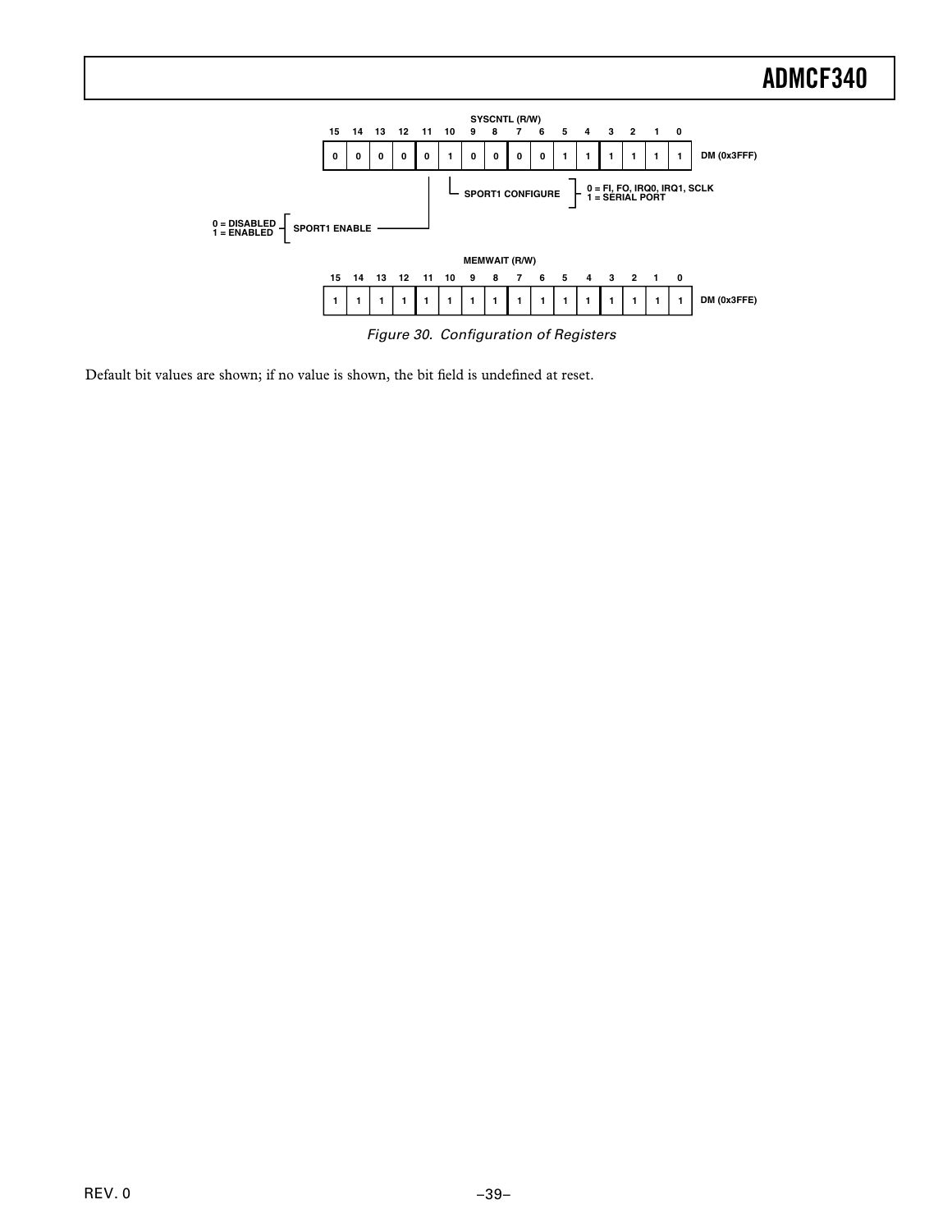

Figure 30. Configuration of Registers

Default bit values are shown; if no value is shown, the bit field is undefined at reset.